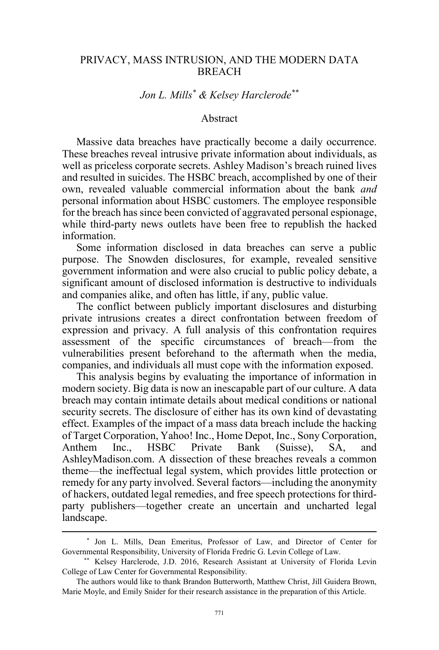### PRIVACY, MASS INTRUSION, AND THE MODERN DATA BREACH

# *Jon L. Mills\* & Kelsey Harclerode\*\**

### Abstract

Massive data breaches have practically become a daily occurrence. These breaches reveal intrusive private information about individuals, as well as priceless corporate secrets. Ashley Madison's breach ruined lives and resulted in suicides. The HSBC breach, accomplished by one of their own, revealed valuable commercial information about the bank *and*  personal information about HSBC customers. The employee responsible for the breach has since been convicted of aggravated personal espionage, while third-party news outlets have been free to republish the hacked information.

Some information disclosed in data breaches can serve a public purpose. The Snowden disclosures, for example, revealed sensitive government information and were also crucial to public policy debate, a significant amount of disclosed information is destructive to individuals and companies alike, and often has little, if any, public value.

The conflict between publicly important disclosures and disturbing private intrusions creates a direct confrontation between freedom of expression and privacy. A full analysis of this confrontation requires assessment of the specific circumstances of breach—from the vulnerabilities present beforehand to the aftermath when the media, companies, and individuals all must cope with the information exposed.

This analysis begins by evaluating the importance of information in modern society. Big data is now an inescapable part of our culture. A data breach may contain intimate details about medical conditions or national security secrets. The disclosure of either has its own kind of devastating effect. Examples of the impact of a mass data breach include the hacking of Target Corporation, Yahoo! Inc., Home Depot, Inc., Sony Corporation, Anthem Inc., HSBC Private Bank (Suisse), SA, and AshleyMadison.com. A dissection of these breaches reveals a common theme—the ineffectual legal system, which provides little protection or remedy for any party involved. Several factors—including the anonymity of hackers, outdated legal remedies, and free speech protections for thirdparty publishers—together create an uncertain and uncharted legal landscape.

 <sup>\*</sup> Jon L. Mills, Dean Emeritus, Professor of Law, and Director of Center for Governmental Responsibility, University of Florida Fredric G. Levin College of Law.

<sup>\*\*</sup> Kelsey Harclerode, J.D. 2016, Research Assistant at University of Florida Levin College of Law Center for Governmental Responsibility.

The authors would like to thank Brandon Butterworth, Matthew Christ, Jill Guidera Brown, Marie Moyle, and Emily Snider for their research assistance in the preparation of this Article.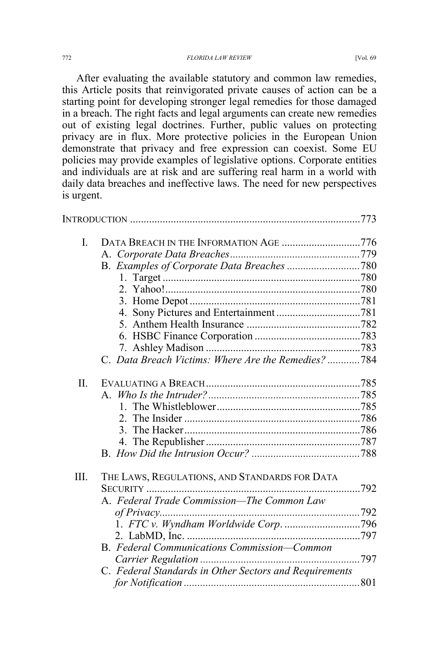After evaluating the available statutory and common law remedies, this Article posits that reinvigorated private causes of action can be a starting point for developing stronger legal remedies for those damaged in a breach. The right facts and legal arguments can create new remedies out of existing legal doctrines. Further, public values on protecting privacy are in flux. More protective policies in the European Union demonstrate that privacy and free expression can coexist. Some EU policies may provide examples of legislative options. Corporate entities and individuals are at risk and are suffering real harm in a world with daily data breaches and ineffective laws. The need for new perspectives

| L    | DATA BREACH IN THE INFORMATION AGE 776                 |  |
|------|--------------------------------------------------------|--|
|      |                                                        |  |
|      |                                                        |  |
|      |                                                        |  |
|      |                                                        |  |
|      |                                                        |  |
|      |                                                        |  |
|      |                                                        |  |
|      |                                                        |  |
|      |                                                        |  |
|      | C. Data Breach Victims: Where Are the Remedies? 784    |  |
| Π.   |                                                        |  |
|      |                                                        |  |
|      |                                                        |  |
|      |                                                        |  |
|      |                                                        |  |
|      |                                                        |  |
|      |                                                        |  |
| III. | THE LAWS, REGULATIONS, AND STANDARDS FOR DATA          |  |
|      | SECURITY                                               |  |
|      | A. Federal Trade Commission—The Common Law             |  |
|      |                                                        |  |
|      |                                                        |  |
|      |                                                        |  |
|      | B. Federal Communications Commission-Common            |  |
|      |                                                        |  |
|      | C. Federal Standards in Other Sectors and Requirements |  |
|      |                                                        |  |
|      |                                                        |  |

is urgent.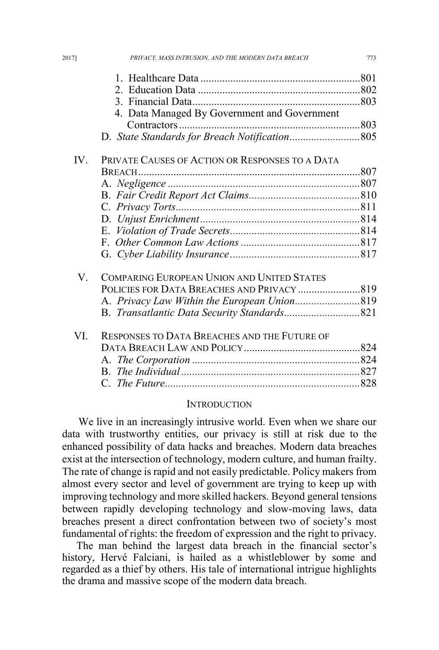|          | 4. Data Managed By Government and Government        |  |
|----------|-----------------------------------------------------|--|
|          |                                                     |  |
|          |                                                     |  |
| $IV_{-}$ | PRIVATE CAUSES OF ACTION OR RESPONSES TO A DATA     |  |
|          |                                                     |  |
|          |                                                     |  |
|          |                                                     |  |
|          |                                                     |  |
|          |                                                     |  |
|          |                                                     |  |
|          |                                                     |  |
|          |                                                     |  |
| V        | <b>COMPARING EUROPEAN UNION AND UNITED STATES</b>   |  |
|          |                                                     |  |
|          |                                                     |  |
|          |                                                     |  |
| VI       | <b>RESPONSES TO DATA BREACHES AND THE FUTURE OF</b> |  |
|          |                                                     |  |
|          |                                                     |  |
|          |                                                     |  |
|          |                                                     |  |

#### **INTRODUCTION**

We live in an increasingly intrusive world. Even when we share our data with trustworthy entities, our privacy is still at risk due to the enhanced possibility of data hacks and breaches. Modern data breaches exist at the intersection of technology, modern culture, and human frailty. The rate of change is rapid and not easily predictable. Policy makers from almost every sector and level of government are trying to keep up with improving technology and more skilled hackers. Beyond general tensions between rapidly developing technology and slow-moving laws, data breaches present a direct confrontation between two of society's most fundamental of rights: the freedom of expression and the right to privacy.

The man behind the largest data breach in the financial sector's history, Hervé Falciani, is hailed as a whistleblower by some and regarded as a thief by others. His tale of international intrigue highlights the drama and massive scope of the modern data breach.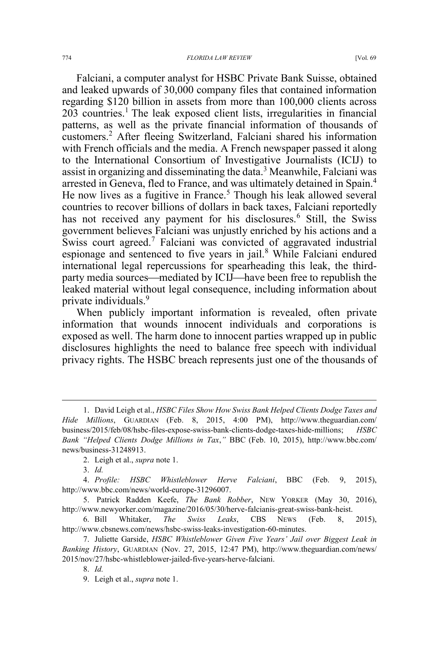Falciani, a computer analyst for HSBC Private Bank Suisse, obtained and leaked upwards of 30,000 company files that contained information regarding \$120 billion in assets from more than 100,000 clients across  $203$  countries.<sup>1</sup> The leak exposed client lists, irregularities in financial patterns, as well as the private financial information of thousands of customers.<sup>2</sup> After fleeing Switzerland, Falciani shared his information with French officials and the media. A French newspaper passed it along to the International Consortium of Investigative Journalists (ICIJ) to assist in organizing and disseminating the data.<sup>3</sup> Meanwhile, Falciani was arrested in Geneva, fled to France, and was ultimately detained in Spain.<sup>4</sup> He now lives as a fugitive in France.<sup>5</sup> Though his leak allowed several countries to recover billions of dollars in back taxes, Falciani reportedly has not received any payment for his disclosures.<sup>6</sup> Still, the Swiss government believes Falciani was unjustly enriched by his actions and a Swiss court agreed.<sup>7</sup> Falciani was convicted of aggravated industrial espionage and sentenced to five years in jail.<sup>8</sup> While Falciani endured international legal repercussions for spearheading this leak, the thirdparty media sources—mediated by ICIJ—have been free to republish the leaked material without legal consequence, including information about private individuals.<sup>9</sup>

When publicly important information is revealed, often private information that wounds innocent individuals and corporations is exposed as well. The harm done to innocent parties wrapped up in public disclosures highlights the need to balance free speech with individual privacy rights. The HSBC breach represents just one of the thousands of

 <sup>1.</sup> David Leigh et al., *HSBC Files Show How Swiss Bank Helped Clients Dodge Taxes and Hide Millions*, GUARDIAN (Feb. 8, 2015, 4:00 PM), http://www.theguardian.com/ business/2015/feb/08/hsbc-files-expose-swiss-bank-clients-dodge-taxes-hide-millions; *HSBC Bank "Helped Clients Dodge Millions in Tax*,*"* BBC (Feb. 10, 2015), http://www.bbc.com/ news/business-31248913.

<sup>2.</sup> Leigh et al., *supra* note 1.

<sup>3.</sup> *Id.*

<sup>4.</sup> *Profile: HSBC Whistleblower Herve Falciani*, BBC (Feb. 9, 2015), http://www.bbc.com/news/world-europe-31296007.

<sup>5.</sup> Patrick Radden Keefe, *The Bank Robber*, NEW YORKER (May 30, 2016), http://www.newyorker.com/magazine/2016/05/30/herve-falcianis-great-swiss-bank-heist.

<sup>6.</sup> Bill Whitaker, *The Swiss Leaks*, CBS NEWS (Feb. 8, 2015), http://www.cbsnews.com/news/hsbc-swiss-leaks-investigation-60-minutes.

<sup>7.</sup> Juliette Garside, *HSBC Whistleblower Given Five Years' Jail over Biggest Leak in Banking History*, GUARDIAN (Nov. 27, 2015, 12:47 PM), http://www.theguardian.com/news/ 2015/nov/27/hsbc-whistleblower-jailed-five-years-herve-falciani.

<sup>8.</sup> *Id.*

<sup>9.</sup> Leigh et al., *supra* note 1.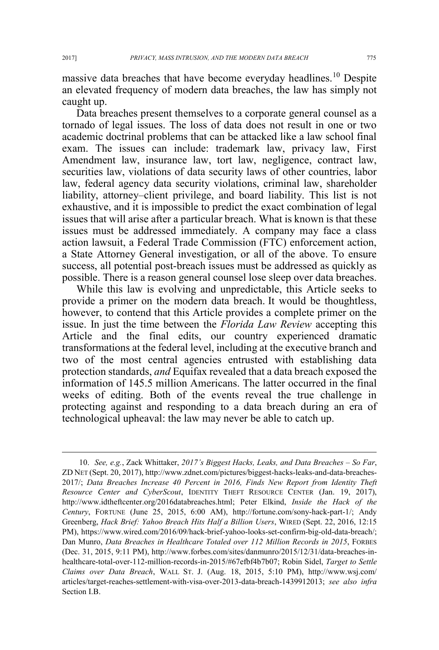massive data breaches that have become everyday headlines.<sup>10</sup> Despite an elevated frequency of modern data breaches, the law has simply not caught up.

Data breaches present themselves to a corporate general counsel as a tornado of legal issues. The loss of data does not result in one or two academic doctrinal problems that can be attacked like a law school final exam. The issues can include: trademark law, privacy law, First Amendment law, insurance law, tort law, negligence, contract law, securities law, violations of data security laws of other countries, labor law, federal agency data security violations, criminal law, shareholder liability, attorney–client privilege, and board liability. This list is not exhaustive, and it is impossible to predict the exact combination of legal issues that will arise after a particular breach. What is known is that these issues must be addressed immediately. A company may face a class action lawsuit, a Federal Trade Commission (FTC) enforcement action, a State Attorney General investigation, or all of the above. To ensure success, all potential post-breach issues must be addressed as quickly as possible. There is a reason general counsel lose sleep over data breaches.

While this law is evolving and unpredictable, this Article seeks to provide a primer on the modern data breach. It would be thoughtless, however, to contend that this Article provides a complete primer on the issue. In just the time between the *Florida Law Review* accepting this Article and the final edits, our country experienced dramatic transformations at the federal level, including at the executive branch and two of the most central agencies entrusted with establishing data protection standards, *and* Equifax revealed that a data breach exposed the information of 145.5 million Americans. The latter occurred in the final weeks of editing. Both of the events reveal the true challenge in protecting against and responding to a data breach during an era of technological upheaval: the law may never be able to catch up.

 <sup>10.</sup> *See, e.g.*, Zack Whittaker, *2017's Biggest Hacks, Leaks, and Data Breaches – So Far*, ZD NET (Sept. 20, 2017), http://www.zdnet.com/pictures/biggest-hacks-leaks-and-data-breaches-2017/; *Data Breaches Increase 40 Percent in 2016, Finds New Report from Identity Theft Resource Center and CyberScout*, IDENTITY THEFT RESOURCE CENTER (Jan. 19, 2017), http://www.idtheftcenter.org/2016databreaches.html; Peter Elkind, *Inside the Hack of the Century*, FORTUNE (June 25, 2015, 6:00 AM), http://fortune.com/sony-hack-part-1/; Andy Greenberg, *Hack Brief: Yahoo Breach Hits Half a Billion Users*, WIRED (Sept. 22, 2016, 12:15 PM), https://www.wired.com/2016/09/hack-brief-yahoo-looks-set-confirm-big-old-data-breach/; Dan Munro, *Data Breaches in Healthcare Totaled over 112 Million Records in 2015*, FORBES (Dec. 31, 2015, 9:11 PM), http://www.forbes.com/sites/danmunro/2015/12/31/data-breaches-inhealthcare-total-over-112-million-records-in-2015/#67efbf4b7b07; Robin Sidel, *Target to Settle Claims over Data Breach*, WALL ST. J. (Aug. 18, 2015, 5:10 PM), http://www.wsj.com/ articles/target-reaches-settlement-with-visa-over-2013-data-breach-1439912013; *see also infra* Section I.B.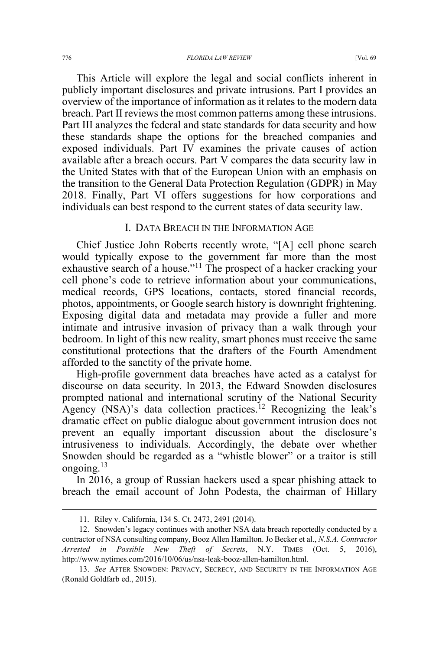This Article will explore the legal and social conflicts inherent in publicly important disclosures and private intrusions. Part I provides an overview of the importance of information as it relates to the modern data breach. Part II reviews the most common patterns among these intrusions. Part III analyzes the federal and state standards for data security and how these standards shape the options for the breached companies and exposed individuals. Part IV examines the private causes of action available after a breach occurs. Part V compares the data security law in the United States with that of the European Union with an emphasis on the transition to the General Data Protection Regulation (GDPR) in May 2018. Finally, Part VI offers suggestions for how corporations and individuals can best respond to the current states of data security law.

#### I. DATA BREACH IN THE INFORMATION AGE

Chief Justice John Roberts recently wrote, "[A] cell phone search would typically expose to the government far more than the most exhaustive search of a house."<sup>11</sup> The prospect of a hacker cracking your cell phone's code to retrieve information about your communications, medical records, GPS locations, contacts, stored financial records, photos, appointments, or Google search history is downright frightening. Exposing digital data and metadata may provide a fuller and more intimate and intrusive invasion of privacy than a walk through your bedroom. In light of this new reality, smart phones must receive the same constitutional protections that the drafters of the Fourth Amendment afforded to the sanctity of the private home.

High-profile government data breaches have acted as a catalyst for discourse on data security. In 2013, the Edward Snowden disclosures prompted national and international scrutiny of the National Security Agency (NSA)'s data collection practices.<sup>12</sup> Recognizing the leak's dramatic effect on public dialogue about government intrusion does not prevent an equally important discussion about the disclosure's intrusiveness to individuals. Accordingly, the debate over whether Snowden should be regarded as a "whistle blower" or a traitor is still ongoing. $13$ 

In 2016, a group of Russian hackers used a spear phishing attack to breach the email account of John Podesta, the chairman of Hillary

 <sup>11.</sup> Riley v. California, 134 S. Ct. 2473, 2491 (2014).

<sup>12.</sup> Snowden's legacy continues with another NSA data breach reportedly conducted by a contractor of NSA consulting company, Booz Allen Hamilton. Jo Becker et al., *N.S.A. Contractor Arrested in Possible New Theft of Secrets*, N.Y. TIMES (Oct. 5, 2016), http://www.nytimes.com/2016/10/06/us/nsa-leak-booz-allen-hamilton.html.

<sup>13.</sup> *See* AFTER SNOWDEN: PRIVACY, SECRECY, AND SECURITY IN THE INFORMATION AGE (Ronald Goldfarb ed., 2015).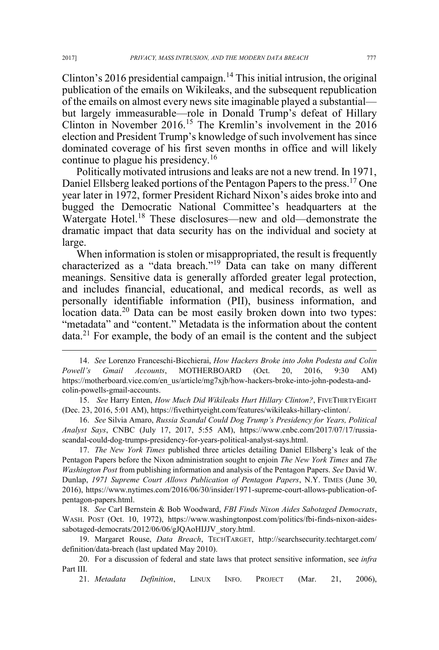Clinton's 2016 presidential campaign.<sup>14</sup> This initial intrusion, the original publication of the emails on Wikileaks, and the subsequent republication of the emails on almost every news site imaginable played a substantial but largely immeasurable—role in Donald Trump's defeat of Hillary Clinton in November 2016.<sup>15</sup> The Kremlin's involvement in the 2016 election and President Trump's knowledge of such involvement has since dominated coverage of his first seven months in office and will likely continue to plague his presidency.<sup>16</sup>

Politically motivated intrusions and leaks are not a new trend. In 1971, Daniel Ellsberg leaked portions of the Pentagon Papers to the press.<sup>17</sup> One year later in 1972, former President Richard Nixon's aides broke into and bugged the Democratic National Committee's headquarters at the Watergate Hotel.<sup>18</sup> These disclosures—new and old—demonstrate the dramatic impact that data security has on the individual and society at large.

When information is stolen or misappropriated, the result is frequently characterized as a "data breach."<sup>19</sup> Data can take on many different meanings. Sensitive data is generally afforded greater legal protection, and includes financial, educational, and medical records, as well as personally identifiable information (PII), business information, and location data.<sup>20</sup> Data can be most easily broken down into two types: "metadata" and "content." Metadata is the information about the content data.<sup>21</sup> For example, the body of an email is the content and the subject

15. *See* Harry Enten, *How Much Did Wikileaks Hurt Hillary Clinton?*, FIVETHIRTYEIGHT (Dec. 23, 2016, 5:01 AM), https://fivethirtyeight.com/features/wikileaks-hillary-clinton/.

16. *See* Silvia Amaro, *Russia Scandal Could Dog Trump's Presidency for Years, Political Analyst Says*, CNBC (July 17, 2017, 5:55 AM), https://www.cnbc.com/2017/07/17/russiascandal-could-dog-trumps-presidency-for-years-political-analyst-says.html.

17. *The New York Times* published three articles detailing Daniel Ellsberg's leak of the Pentagon Papers before the Nixon administration sought to enjoin *The New York Times* and *The Washington Post* from publishing information and analysis of the Pentagon Papers. *See* David W. Dunlap, *1971 Supreme Court Allows Publication of Pentagon Papers*, N.Y. TIMES (June 30, 2016), https://www.nytimes.com/2016/06/30/insider/1971-supreme-court-allows-publication-ofpentagon-papers.html.

18. *See* Carl Bernstein & Bob Woodward, *FBI Finds Nixon Aides Sabotaged Democrats*, WASH. POST (Oct. 10, 1972), https://www.washingtonpost.com/politics/fbi-finds-nixon-aidessabotaged-democrats/2012/06/06/gJQAoHIJJV\_story.html.

19. Margaret Rouse, *Data Breach*, TECHTARGET, http://searchsecurity.techtarget.com/ definition/data-breach (last updated May 2010).

20. For a discussion of federal and state laws that protect sensitive information, see *infra* Part III.

21. *Metadata Definition*, LINUX INFO. PROJECT (Mar. 21, 2006),

 <sup>14.</sup> *See* Lorenzo Franceschi-Bicchierai, *How Hackers Broke into John Podesta and Colin Powell's Gmail Accounts*, MOTHERBOARD (Oct. 20, 2016, 9:30 AM) https://motherboard.vice.com/en\_us/article/mg7xjb/how-hackers-broke-into-john-podesta-andcolin-powells-gmail-accounts.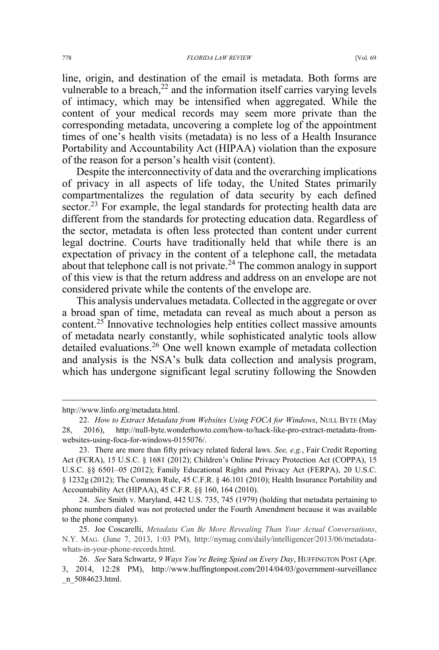line, origin, and destination of the email is metadata. Both forms are vulnerable to a breach, $2<sup>2</sup>$  and the information itself carries varying levels of intimacy, which may be intensified when aggregated. While the content of your medical records may seem more private than the corresponding metadata, uncovering a complete log of the appointment times of one's health visits (metadata) is no less of a Health Insurance Portability and Accountability Act (HIPAA) violation than the exposure of the reason for a person's health visit (content).

Despite the interconnectivity of data and the overarching implications of privacy in all aspects of life today, the United States primarily compartmentalizes the regulation of data security by each defined sector.<sup>23</sup> For example, the legal standards for protecting health data are different from the standards for protecting education data. Regardless of the sector, metadata is often less protected than content under current legal doctrine. Courts have traditionally held that while there is an expectation of privacy in the content of a telephone call, the metadata about that telephone call is not private.<sup>24</sup> The common analogy in support of this view is that the return address and address on an envelope are not considered private while the contents of the envelope are.

This analysis undervalues metadata. Collected in the aggregate or over a broad span of time, metadata can reveal as much about a person as content.25 Innovative technologies help entities collect massive amounts of metadata nearly constantly, while sophisticated analytic tools allow detailed evaluations.<sup>26</sup> One well known example of metadata collection and analysis is the NSA's bulk data collection and analysis program, which has undergone significant legal scrutiny following the Snowden

 $\overline{a}$ 

http://www.linfo.org/metadata.html.

<sup>22.</sup> *How to Extract Metadata from Websites Using FOCA for Windows*, NULL BYTE (May 28, 2016), http://null-byte.wonderhowto.com/how-to/hack-like-pro-extract-metadata-fromwebsites-using-foca-for-windows-0155076/.

<sup>23.</sup> There are more than fifty privacy related federal laws. *See, e.g.*, Fair Credit Reporting Act (FCRA), 15 U.S.C. § 1681 (2012); Children's Online Privacy Protection Act (COPPA), 15 U.S.C. §§ 6501–05 (2012); Family Educational Rights and Privacy Act (FERPA), 20 U.S.C. § 1232g (2012); The Common Rule, 45 C.F.R. § 46.101 (2010); Health Insurance Portability and Accountability Act (HIPAA), 45 C.F.R. §§ 160, 164 (2010).

<sup>24.</sup> *See* Smith v. Maryland, 442 U.S. 735, 745 (1979) (holding that metadata pertaining to phone numbers dialed was not protected under the Fourth Amendment because it was available to the phone company).

<sup>25.</sup> Joe Coscarelli, *Metadata Can Be More Revealing Than Your Actual Conversations*, N.Y. MAG. (June 7, 2013, 1:03 PM), http://nymag.com/daily/intelligencer/2013/06/metadatawhats-in-your-phone-records.html.

<sup>26.</sup> *See* Sara Schwartz, *9 Ways You're Being Spied on Every Day*, HUFFINGTON POST (Apr. 3, 2014, 12:28 PM), http://www.huffingtonpost.com/2014/04/03/government-surveillance \_n\_5084623.html.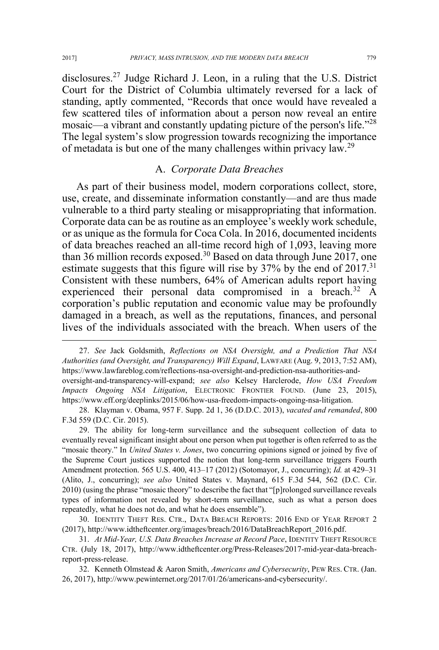disclosures.27 Judge Richard J. Leon, in a ruling that the U.S. District Court for the District of Columbia ultimately reversed for a lack of standing, aptly commented, "Records that once would have revealed a few scattered tiles of information about a person now reveal an entire mosaic—a vibrant and constantly updating picture of the person's life.<sup>"28</sup> The legal system's slow progression towards recognizing the importance of metadata is but one of the many challenges within privacy law.<sup>29</sup>

#### A. *Corporate Data Breaches*

As part of their business model, modern corporations collect, store, use, create, and disseminate information constantly—and are thus made vulnerable to a third party stealing or misappropriating that information. Corporate data can be as routine as an employee's weekly work schedule, or as unique as the formula for Coca Cola. In 2016, documented incidents of data breaches reached an all-time record high of 1,093, leaving more than 36 million records exposed.<sup>30</sup> Based on data through June 2017, one estimate suggests that this figure will rise by 37% by the end of 2017.<sup>31</sup> Consistent with these numbers, 64% of American adults report having experienced their personal data compromised in a breach.<sup>32</sup> A corporation's public reputation and economic value may be profoundly damaged in a breach, as well as the reputations, finances, and personal lives of the individuals associated with the breach. When users of the

 <sup>27.</sup> *See* Jack Goldsmith, *Reflections on NSA Oversight, and a Prediction That NSA Authorities (and Oversight, and Transparency) Will Expand*, LAWFARE (Aug. 9, 2013, 7:52 AM), https://www.lawfareblog.com/reflections-nsa-oversight-and-prediction-nsa-authorities-andoversight-and-transparency-will-expand; *see also* Kelsey Harclerode, *How USA Freedom Impacts Ongoing NSA Litigation*, ELECTRONIC FRONTIER FOUND. (June 23, 2015), https://www.eff.org/deeplinks/2015/06/how-usa-freedom-impacts-ongoing-nsa-litigation.

<sup>28.</sup> Klayman v. Obama, 957 F. Supp. 2d 1, 36 (D.D.C. 2013), *vacated and remanded*, 800 F.3d 559 (D.C. Cir. 2015).

<sup>29.</sup> The ability for long-term surveillance and the subsequent collection of data to eventually reveal significant insight about one person when put together is often referred to as the "mosaic theory." In *United States v. Jones*, two concurring opinions signed or joined by five of the Supreme Court justices supported the notion that long-term surveillance triggers Fourth Amendment protection. 565 U.S. 400, 413–17 (2012) (Sotomayor, J., concurring); *Id.* at 429–31 (Alito, J., concurring); *see also* United States v. Maynard, 615 F.3d 544, 562 (D.C. Cir. 2010) (using the phrase "mosaic theory" to describe the fact that "[p]rolonged surveillance reveals types of information not revealed by short-term surveillance, such as what a person does repeatedly, what he does not do, and what he does ensemble").

<sup>30.</sup> IDENTITY THEFT RES. CTR., DATA BREACH REPORTS: 2016 END OF YEAR REPORT 2 (2017), http://www.idtheftcenter.org/images/breach/2016/DataBreachReport\_2016.pdf.

<sup>31.</sup> *At Mid-Year, U.S. Data Breaches Increase at Record Pace*, IDENTITY THEFT RESOURCE CTR. (July 18, 2017), http://www.idtheftcenter.org/Press-Releases/2017-mid-year-data-breachreport-press-release.

<sup>32.</sup> Kenneth Olmstead & Aaron Smith, *Americans and Cybersecurity*, PEW RES. CTR. (Jan. 26, 2017), http://www.pewinternet.org/2017/01/26/americans-and-cybersecurity/.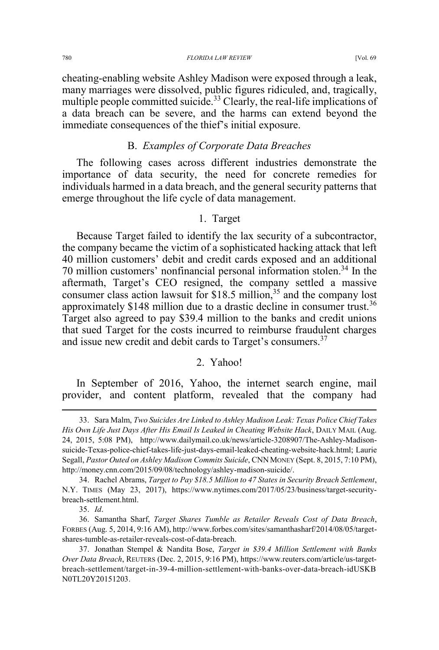cheating-enabling website Ashley Madison were exposed through a leak, many marriages were dissolved, public figures ridiculed, and, tragically, multiple people committed suicide.<sup>33</sup> Clearly, the real-life implications of a data breach can be severe, and the harms can extend beyond the immediate consequences of the thief's initial exposure.

# B. *Examples of Corporate Data Breaches*

The following cases across different industries demonstrate the importance of data security, the need for concrete remedies for individuals harmed in a data breach, and the general security patterns that emerge throughout the life cycle of data management.

### 1. Target

Because Target failed to identify the lax security of a subcontractor, the company became the victim of a sophisticated hacking attack that left 40 million customers' debit and credit cards exposed and an additional 70 million customers' nonfinancial personal information stolen.34 In the aftermath, Target's CEO resigned, the company settled a massive consumer class action lawsuit for  $$18.5$  million,<sup>35</sup> and the company lost approximately \$148 million due to a drastic decline in consumer trust.<sup>36</sup> Target also agreed to pay \$39.4 million to the banks and credit unions that sued Target for the costs incurred to reimburse fraudulent charges and issue new credit and debit cards to Target's consumers.<sup>37</sup>

### 2. Yahoo!

In September of 2016, Yahoo, the internet search engine, mail provider, and content platform, revealed that the company had

 <sup>33.</sup> Sara Malm, *Two Suicides Are Linked to Ashley Madison Leak: Texas Police Chief Takes His Own Life Just Days After His Email Is Leaked in Cheating Website Hack*, DAILY MAIL (Aug. 24, 2015, 5:08 PM), http://www.dailymail.co.uk/news/article-3208907/The-Ashley-Madisonsuicide-Texas-police-chief-takes-life-just-days-email-leaked-cheating-website-hack.html; Laurie Segall, *Pastor Outed on Ashley Madison Commits Suicide*, CNN MONEY (Sept. 8, 2015, 7:10 PM), http://money.cnn.com/2015/09/08/technology/ashley-madison-suicide/.

<sup>34.</sup> Rachel Abrams, *Target to Pay \$18.5 Million to 47 States in Security Breach Settlement*, N.Y. TIMES (May 23, 2017), https://www.nytimes.com/2017/05/23/business/target-securitybreach-settlement.html.

<sup>35.</sup> *Id*.

<sup>36.</sup> Samantha Sharf, *Target Shares Tumble as Retailer Reveals Cost of Data Breach*, FORBES (Aug. 5, 2014, 9:16 AM), http://www.forbes.com/sites/samanthasharf/2014/08/05/targetshares-tumble-as-retailer-reveals-cost-of-data-breach.

<sup>37.</sup> Jonathan Stempel & Nandita Bose, *Target in \$39.4 Million Settlement with Banks Over Data Breach*, REUTERS (Dec. 2, 2015, 9:16 PM), https://www.reuters.com/article/us-targetbreach-settlement/target-in-39-4-million-settlement-with-banks-over-data-breach-idUSKB N0TL20Y20151203.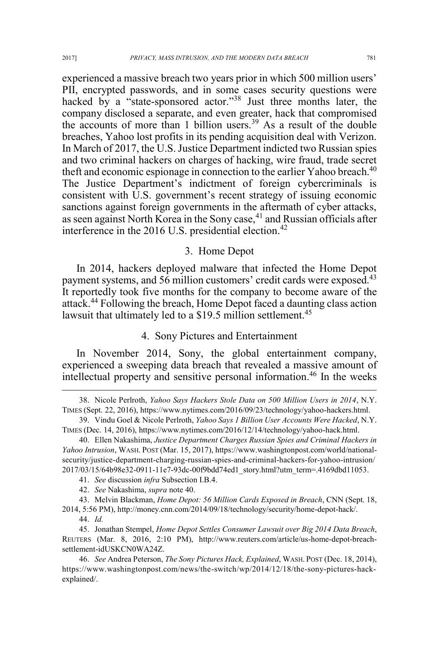experienced a massive breach two years prior in which 500 million users' PII, encrypted passwords, and in some cases security questions were hacked by a "state-sponsored actor."<sup>38</sup> Just three months later, the company disclosed a separate, and even greater, hack that compromised the accounts of more than 1 billion users.<sup>39</sup> As a result of the double breaches, Yahoo lost profits in its pending acquisition deal with Verizon. In March of 2017, the U.S. Justice Department indicted two Russian spies and two criminal hackers on charges of hacking, wire fraud, trade secret theft and economic espionage in connection to the earlier Yahoo breach.<sup>40</sup> The Justice Department's indictment of foreign cybercriminals is consistent with U.S. government's recent strategy of issuing economic sanctions against foreign governments in the aftermath of cyber attacks, as seen against North Korea in the Sony case,<sup>41</sup> and Russian officials after interference in the 2016 U.S. presidential election.<sup>42</sup>

#### 3. Home Depot

In 2014, hackers deployed malware that infected the Home Depot payment systems, and 56 million customers' credit cards were exposed.<sup>43</sup> It reportedly took five months for the company to become aware of the attack.<sup>44</sup> Following the breach, Home Depot faced a daunting class action lawsuit that ultimately led to a \$19.5 million settlement.<sup>45</sup>

### 4. Sony Pictures and Entertainment

In November 2014, Sony, the global entertainment company, experienced a sweeping data breach that revealed a massive amount of intellectual property and sensitive personal information.46 In the weeks

 <sup>38.</sup> Nicole Perlroth, *Yahoo Says Hackers Stole Data on 500 Million Users in 2014*, N.Y. TIMES (Sept. 22, 2016), https://www.nytimes.com/2016/09/23/technology/yahoo-hackers.html.

<sup>39.</sup> Vindu Goel & Nicole Perlroth, *Yahoo Says 1 Billion User Accounts Were Hacked*, N.Y. TIMES (Dec. 14, 2016), https://www.nytimes.com/2016/12/14/technology/yahoo-hack.html.

<sup>40.</sup> Ellen Nakashima, *Justice Department Charges Russian Spies and Criminal Hackers in Yahoo Intrusion*, WASH. POST (Mar. 15, 2017), https://www.washingtonpost.com/world/nationalsecurity/justice-department-charging-russian-spies-and-criminal-hackers-for-yahoo-intrusion/ 2017/03/15/64b98e32-0911-11e7-93dc-00f9bdd74ed1\_story.html?utm\_term=.4169dbd11053.

<sup>41.</sup> *See* discussion *infra* Subsection I.B.4.

<sup>42.</sup> *See* Nakashima, *supra* note 40.

<sup>43.</sup> Melvin Blackman, *Home Depot: 56 Million Cards Exposed in Breach*, CNN (Sept. 18, 2014, 5:56 PM), http://money.cnn.com/2014/09/18/technology/security/home-depot-hack/.

<sup>44.</sup> *Id.*

<sup>45.</sup> Jonathan Stempel, *Home Depot Settles Consumer Lawsuit over Big 2014 Data Breach*, REUTERS (Mar. 8, 2016, 2:10 PM), http://www.reuters.com/article/us-home-depot-breachsettlement-idUSKCN0WA24Z.

<sup>46.</sup> *See* Andrea Peterson, *The Sony Pictures Hack, Explained*, WASH. POST (Dec. 18, 2014), https://www.washingtonpost.com/news/the-switch/wp/2014/12/18/the-sony-pictures-hackexplained/.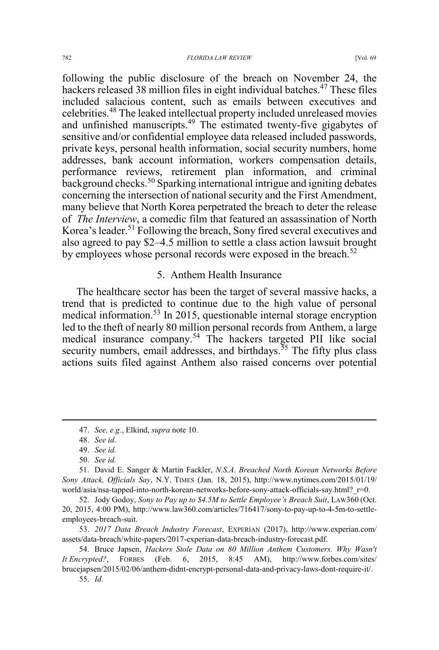following the public disclosure of the breach on November 24, the hackers released 38 million files in eight individual batches.<sup>47</sup> These files included salacious content, such as emails between executives and celebrities.<sup>48</sup> The leaked intellectual property included unreleased movies and unfinished manuscripts.49 The estimated twenty-five gigabytes of sensitive and/or confidential employee data released included passwords, private keys, personal health information, social security numbers, home addresses, bank account information, workers compensation details, performance reviews, retirement plan information, and criminal background checks.<sup>50</sup> Sparking international intrigue and igniting debates concerning the intersection of national security and the First Amendment, many believe that North Korea perpetrated the breach to deter the release of *The Interview*, a comedic film that featured an assassination of North Korea's leader.<sup>51</sup> Following the breach, Sony fired several executives and also agreed to pay \$2–4.5 million to settle a class action lawsuit brought by employees whose personal records were exposed in the breach.<sup>52</sup>

#### 5. Anthem Health Insurance

The healthcare sector has been the target of several massive hacks, a trend that is predicted to continue due to the high value of personal medical information.<sup>53</sup> In 2015, questionable internal storage encryption led to the theft of nearly 80 million personal records from Anthem, a large medical insurance company.<sup>54</sup> The hackers targeted PII like social security numbers, email addresses, and birthdays.<sup> $55$ </sup> The fifty plus class actions suits filed against Anthem also raised concerns over potential

 <sup>47.</sup> *See, e.g.*, Elkind, *supra* note 10.

<sup>48.</sup> *See id.*

<sup>49.</sup> *See id.*

<sup>50.</sup> *See id.*

<sup>51.</sup> David E. Sanger & Martin Fackler, *N.S.A. Breached North Korean Networks Before Sony Attack, Officials Say*, N.Y. TIMES (Jan. 18, 2015), http://www.nytimes.com/2015/01/19/ world/asia/nsa-tapped-into-north-korean-networks-before-sony-attack-officials-say.html? r=0.

<sup>52.</sup> Jody Godoy, *Sony to Pay up to \$4.5M to Settle Employee's Breach Suit*, LAW360 (Oct. 20, 2015, 4:00 PM), http://www.law360.com/articles/716417/sony-to-pay-up-to-4-5m-to-settleemployees-breach-suit.

<sup>53.</sup> *2017 Data Breach Industry Forecast*, EXPERIAN (2017), http://www.experian.com/ assets/data-breach/white-papers/2017-experian-data-breach-industry-forecast.pdf.

<sup>54.</sup> Bruce Japsen, *Hackers Stole Data on 80 Million Anthem Customers. Why Wasn't It Encrypted?*, FORBES (Feb. 6, 2015, 8:45 AM), http://www.forbes.com/sites/ brucejapsen/2015/02/06/anthem-didnt-encrypt-personal-data-and-privacy-laws-dont-require-it/.

<sup>55.</sup> *Id.*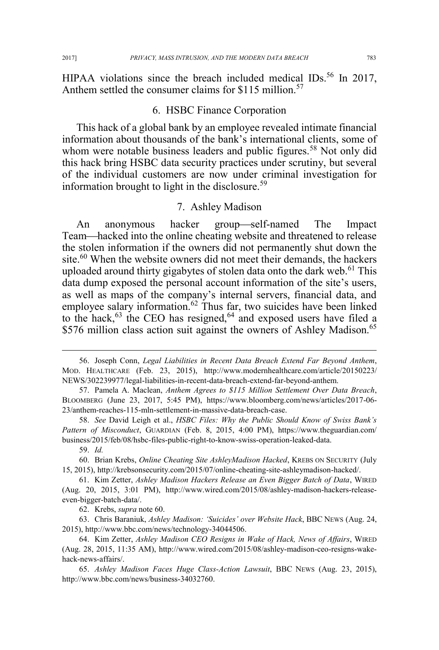HIPAA violations since the breach included medical IDs.<sup>56</sup> In 2017, Anthem settled the consumer claims for \$115 million.<sup>57</sup>

### 6. HSBC Finance Corporation

This hack of a global bank by an employee revealed intimate financial information about thousands of the bank's international clients, some of whom were notable business leaders and public figures.<sup>58</sup> Not only did this hack bring HSBC data security practices under scrutiny, but several of the individual customers are now under criminal investigation for information brought to light in the disclosure.<sup>59</sup>

#### 7. Ashley Madison

An anonymous hacker group-self-named The Impact Team—hacked into the online cheating website and threatened to release the stolen information if the owners did not permanently shut down the site.<sup>60</sup> When the website owners did not meet their demands, the hackers uploaded around thirty gigabytes of stolen data onto the dark web.<sup>61</sup> This data dump exposed the personal account information of the site's users, as well as maps of the company's internal servers, financial data, and employee salary information.<sup>62</sup> Thus far, two suicides have been linked to the hack,  $63$  the CEO has resigned,  $64$  and exposed users have filed a \$576 million class action suit against the owners of Ashley Madison.<sup>65</sup>

62. Krebs, *supra* note 60.

63. Chris Baraniuk, *Ashley Madison: 'Suicides' over Website Hack*, BBC NEWS (Aug. 24, 2015), http://www.bbc.com/news/technology-34044506.

 <sup>56.</sup> Joseph Conn, *Legal Liabilities in Recent Data Breach Extend Far Beyond Anthem*, MOD. HEALTHCARE (Feb. 23, 2015), http://www.modernhealthcare.com/article/20150223/ NEWS/302239977/legal-liabilities-in-recent-data-breach-extend-far-beyond-anthem.

<sup>57.</sup> Pamela A. Maclean, *Anthem Agrees to \$115 Million Settlement Over Data Breach*, BLOOMBERG (June 23, 2017, 5:45 PM), https://www.bloomberg.com/news/articles/2017-06- 23/anthem-reaches-115-mln-settlement-in-massive-data-breach-case.

<sup>58.</sup> *See* David Leigh et al., *HSBC Files: Why the Public Should Know of Swiss Bank's Pattern of Misconduct*, GUARDIAN (Feb. 8, 2015, 4:00 PM), https://www.theguardian.com/ business/2015/feb/08/hsbc-files-public-right-to-know-swiss-operation-leaked-data.

<sup>59.</sup> *Id.*

<sup>60.</sup> Brian Krebs, *Online Cheating Site AshleyMadison Hacked*, KREBS ON SECURITY (July 15, 2015), http://krebsonsecurity.com/2015/07/online-cheating-site-ashleymadison-hacked/.

<sup>61.</sup> Kim Zetter, *Ashley Madison Hackers Release an Even Bigger Batch of Data*, WIRED (Aug. 20, 2015, 3:01 PM), http://www.wired.com/2015/08/ashley-madison-hackers-releaseeven-bigger-batch-data/.

<sup>64.</sup> Kim Zetter, *Ashley Madison CEO Resigns in Wake of Hack, News of Affairs*, WIRED (Aug. 28, 2015, 11:35 AM), http://www.wired.com/2015/08/ashley-madison-ceo-resigns-wakehack-news-affairs/.

<sup>65.</sup> *Ashley Madison Faces Huge Class-Action Lawsuit*, BBC NEWS (Aug. 23, 2015), http://www.bbc.com/news/business-34032760.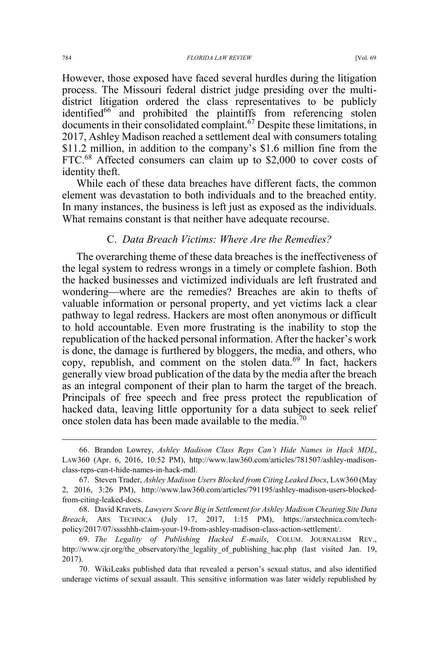However, those exposed have faced several hurdles during the litigation process. The Missouri federal district judge presiding over the multidistrict litigation ordered the class representatives to be publicly identified<sup>66</sup> and prohibited the plaintiffs from referencing stolen documents in their consolidated complaint.<sup>67</sup> Despite these limitations, in 2017, Ashley Madison reached a settlement deal with consumers totaling \$11.2 million, in addition to the company's \$1.6 million fine from the FTC.<sup>68</sup> Affected consumers can claim up to \$2,000 to cover costs of identity theft.

While each of these data breaches have different facts, the common element was devastation to both individuals and to the breached entity. In many instances, the business is left just as exposed as the individuals. What remains constant is that neither have adequate recourse.

#### C. *Data Breach Victims: Where Are the Remedies?*

The overarching theme of these data breaches is the ineffectiveness of the legal system to redress wrongs in a timely or complete fashion. Both the hacked businesses and victimized individuals are left frustrated and wondering—where are the remedies? Breaches are akin to thefts of valuable information or personal property, and yet victims lack a clear pathway to legal redress. Hackers are most often anonymous or difficult to hold accountable. Even more frustrating is the inability to stop the republication of the hacked personal information. After the hacker's work is done, the damage is furthered by bloggers, the media, and others, who copy, republish, and comment on the stolen data.<sup>69</sup> In fact, hackers generally view broad publication of the data by the media after the breach as an integral component of their plan to harm the target of the breach. Principals of free speech and free press protect the republication of hacked data, leaving little opportunity for a data subject to seek relief once stolen data has been made available to the media.<sup>70</sup>

68. David Kravets, *Lawyers Score Big in Settlement for Ashley Madison Cheating Site Data Breach*, ARS TECHNICA (July 17, 2017, 1:15 PM), https://arstechnica.com/techpolicy/2017/07/sssshhh-claim-your-19-from-ashley-madison-class-action-settlement/.

 <sup>66.</sup> Brandon Lowrey, *Ashley Madison Class Reps Can't Hide Names in Hack MDL*, LAW360 (Apr. 6, 2016, 10:52 PM), http://www.law360.com/articles/781507/ashley-madisonclass-reps-can-t-hide-names-in-hack-mdl.

<sup>67.</sup> Steven Trader, *Ashley Madison Users Blocked from Citing Leaked Docs*, LAW360 (May 2, 2016, 3:26 PM), http://www.law360.com/articles/791195/ashley-madison-users-blockedfrom-citing-leaked-docs.

<sup>69.</sup> *The Legality of Publishing Hacked E-mails*, COLUM. JOURNALISM REV., http://www.cjr.org/the\_observatory/the\_legality\_of\_publishing\_hac.php (last visited Jan. 19, 2017).

<sup>70.</sup> WikiLeaks published data that revealed a person's sexual status, and also identified underage victims of sexual assault. This sensitive information was later widely republished by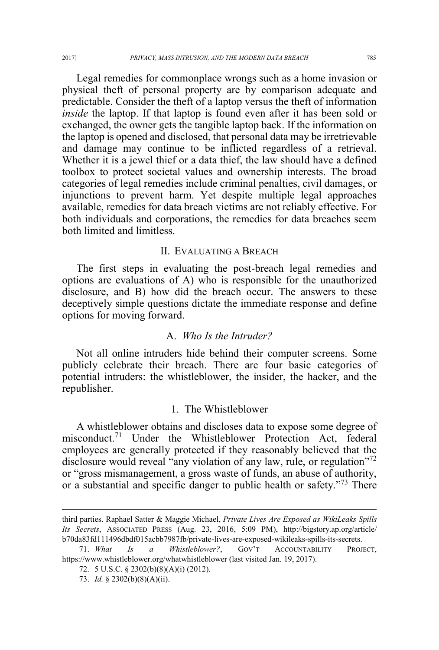Legal remedies for commonplace wrongs such as a home invasion or physical theft of personal property are by comparison adequate and predictable. Consider the theft of a laptop versus the theft of information *inside* the laptop. If that laptop is found even after it has been sold or exchanged, the owner gets the tangible laptop back. If the information on the laptop is opened and disclosed, that personal data may be irretrievable and damage may continue to be inflicted regardless of a retrieval. Whether it is a jewel thief or a data thief, the law should have a defined toolbox to protect societal values and ownership interests. The broad categories of legal remedies include criminal penalties, civil damages, or injunctions to prevent harm. Yet despite multiple legal approaches available, remedies for data breach victims are not reliably effective. For both individuals and corporations, the remedies for data breaches seem both limited and limitless.

### II. EVALUATING A BREACH

The first steps in evaluating the post-breach legal remedies and options are evaluations of A) who is responsible for the unauthorized disclosure, and B) how did the breach occur. The answers to these deceptively simple questions dictate the immediate response and define options for moving forward.

#### A. *Who Is the Intruder?*

Not all online intruders hide behind their computer screens. Some publicly celebrate their breach. There are four basic categories of potential intruders: the whistleblower, the insider, the hacker, and the republisher.

#### 1. The Whistleblower

A whistleblower obtains and discloses data to expose some degree of misconduct.<sup>71</sup> Under the Whistleblower Protection Act, federal employees are generally protected if they reasonably believed that the disclosure would reveal "any violation of any law, rule, or regulation"<sup>72</sup> or "gross mismanagement, a gross waste of funds, an abuse of authority, or a substantial and specific danger to public health or safety."<sup>73</sup> There

 $\overline{a}$ 

third parties. Raphael Satter & Maggie Michael, *Private Lives Are Exposed as WikiLeaks Spills Its Secrets*, ASSOCIATED PRESS (Aug. 23, 2016, 5:09 PM), http://bigstory.ap.org/article/ b70da83fd111496dbdf015acbb7987fb/private-lives-are-exposed-wikileaks-spills-its-secrets.

<sup>71.</sup> *What Is a Whistleblower?*, GOV'T ACCOUNTABILITY PROJECT, https://www.whistleblower.org/whatwhistleblower (last visited Jan. 19, 2017).

<sup>72. 5</sup> U.S.C. § 2302(b)(8)(A)(i) (2012).

<sup>73.</sup> *Id.* § 2302(b)(8)(A)(ii).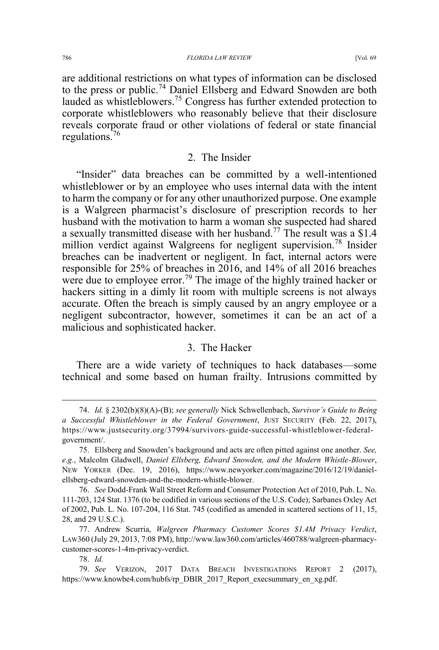are additional restrictions on what types of information can be disclosed to the press or public.<sup>74</sup> Daniel Ellsberg and Edward Snowden are both lauded as whistleblowers.<sup>75</sup> Congress has further extended protection to corporate whistleblowers who reasonably believe that their disclosure reveals corporate fraud or other violations of federal or state financial regulations.<sup>76</sup>

#### 2. The Insider

"Insider" data breaches can be committed by a well-intentioned whistleblower or by an employee who uses internal data with the intent to harm the company or for any other unauthorized purpose. One example is a Walgreen pharmacist's disclosure of prescription records to her husband with the motivation to harm a woman she suspected had shared a sexually transmitted disease with her husband.<sup>77</sup> The result was a \$1.4 million verdict against Walgreens for negligent supervision.<sup>78</sup> Insider breaches can be inadvertent or negligent. In fact, internal actors were responsible for 25% of breaches in 2016, and 14% of all 2016 breaches were due to employee error.<sup>79</sup> The image of the highly trained hacker or hackers sitting in a dimly lit room with multiple screens is not always accurate. Often the breach is simply caused by an angry employee or a negligent subcontractor, however, sometimes it can be an act of a malicious and sophisticated hacker.

#### 3. The Hacker

There are a wide variety of techniques to hack databases—some technical and some based on human frailty. Intrusions committed by

 <sup>74.</sup> *Id.* § 2302(b)(8)(A)-(B); *see generally* Nick Schwellenbach, *Survivor's Guide to Being a Successful Whistleblower in the Federal Government*, JUST SECURITY (Feb. 22, 2017), https://www.justsecurity.org/37994/survivors-guide-successful-whistleblower-federalgovernment/.

<sup>75.</sup> Ellsberg and Snowden's background and acts are often pitted against one another. *See, e.g.*, Malcolm Gladwell, *Daniel Ellsberg, Edward Snowden, and the Modern Whistle-Blower*, NEW YORKER (Dec. 19, 2016), https://www.newyorker.com/magazine/2016/12/19/danielellsberg-edward-snowden-and-the-modern-whistle-blower.

<sup>76.</sup> *See* Dodd-Frank Wall Street Reform and Consumer Protection Act of 2010, Pub. L. No. 111-203, 124 Stat. 1376 (to be codified in various sections of the U.S. Code); Sarbanes Oxley Act of 2002, Pub. L. No. 107-204, 116 Stat. 745 (codified as amended in scattered sections of 11, 15, 28, and 29 U.S.C.).

<sup>77.</sup> Andrew Scurria, *Walgreen Pharmacy Customer Scores \$1.4M Privacy Verdict*, LAW360 (July 29, 2013, 7:08 PM), http://www.law360.com/articles/460788/walgreen-pharmacycustomer-scores-1-4m-privacy-verdict.

<sup>78.</sup> *Id.*

<sup>79.</sup> *See* VERIZON, 2017 DATA BREACH INVESTIGATIONS REPORT 2 (2017), https://www.knowbe4.com/hubfs/rp\_DBIR\_2017\_Report\_execsummary\_en\_xg.pdf.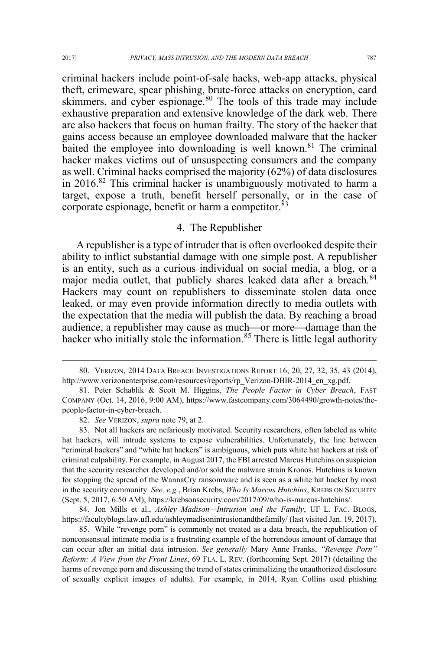criminal hackers include point-of-sale hacks, web-app attacks, physical theft, crimeware, spear phishing, brute-force attacks on encryption, card skimmers, and cyber espionage.<sup>80</sup> The tools of this trade may include exhaustive preparation and extensive knowledge of the dark web. There are also hackers that focus on human frailty. The story of the hacker that gains access because an employee downloaded malware that the hacker baited the employee into downloading is well known.<sup>81</sup> The criminal hacker makes victims out of unsuspecting consumers and the company as well. Criminal hacks comprised the majority (62%) of data disclosures in 2016.82 This criminal hacker is unambiguously motivated to harm a target, expose a truth, benefit herself personally, or in the case of corporate espionage, benefit or harm a competitor.<sup>83</sup>

#### 4. The Republisher

A republisher is a type of intruder that is often overlooked despite their ability to inflict substantial damage with one simple post. A republisher is an entity, such as a curious individual on social media, a blog, or a major media outlet, that publicly shares leaked data after a breach.<sup>84</sup> Hackers may count on republishers to disseminate stolen data once leaked, or may even provide information directly to media outlets with the expectation that the media will publish the data. By reaching a broad audience, a republisher may cause as much—or more—damage than the hacker who initially stole the information.<sup>85</sup> There is little legal authority

84. Jon Mills et al., *Ashley Madison—Intrusion and the Family*, UF L. FAC. BLOGS, https://facultyblogs.law.ufl.edu/ashleymadisonintrusionandthefamily/ (last visited Jan. 19, 2017).

85. While "revenge porn" is commonly not treated as a data breach, the republication of nonconsensual intimate media is a frustrating example of the horrendous amount of damage that can occur after an initial data intrusion. *See generally* Mary Anne Franks, *"Revenge Porn" Reform: A View from the Front Lines*, 69 FLA. L. REV. (forthcoming Sept. 2017) (detailing the harms of revenge porn and discussing the trend of states criminalizing the unauthorized disclosure of sexually explicit images of adults). For example, in 2014, Ryan Collins used phishing

 <sup>80.</sup> VERIZON, 2014 DATA BREACH INVESTIGATIONS REPORT 16, 20, 27, 32, 35, 43 (2014), http://www.verizonenterprise.com/resources/reports/rp\_Verizon-DBIR-2014\_en\_xg.pdf.

<sup>81.</sup> Peter Schablik & Scott M. Higgins, *The People Factor in Cyber Breach*, FAST COMPANY (Oct. 14, 2016, 9:00 AM), https://www.fastcompany.com/3064490/growth-notes/thepeople-factor-in-cyber-breach.

<sup>82.</sup> *See* VERIZON, *supra* note 79, at 2.

<sup>83.</sup> Not all hackers are nefariously motivated. Security researchers, often labeled as white hat hackers, will intrude systems to expose vulnerabilities. Unfortunately, the line between "criminal hackers" and "white hat hackers" is ambiguous, which puts white hat hackers at risk of criminal culpability. For example, in August 2017, the FBI arrested Marcus Hutchins on suspicion that the security researcher developed and/or sold the malware strain Kronos. Hutchins is known for stopping the spread of the WannaCry ransomware and is seen as a white hat hacker by most in the security community. *See, e.g.*, Brian Krebs, *Who Is Marcus Hutchins*, KREBS ON SECURITY (Sept. 5, 2017, 6:50 AM), https://krebsonsecurity.com/2017/09/who-is-marcus-hutchins/.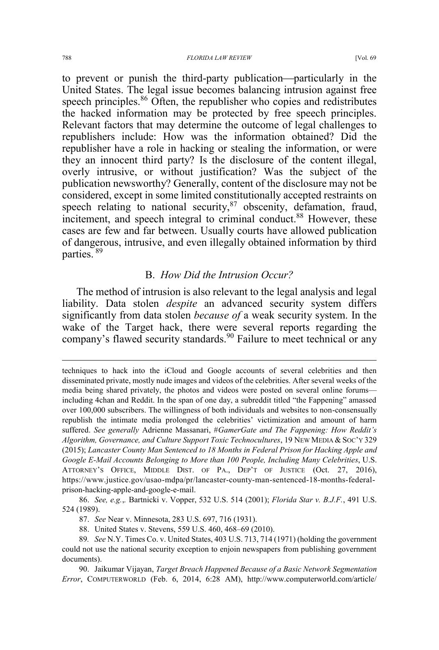to prevent or punish the third-party publication—particularly in the United States. The legal issue becomes balancing intrusion against free speech principles.<sup>86</sup> Often, the republisher who copies and redistributes the hacked information may be protected by free speech principles. Relevant factors that may determine the outcome of legal challenges to republishers include: How was the information obtained? Did the republisher have a role in hacking or stealing the information, or were they an innocent third party? Is the disclosure of the content illegal, overly intrusive, or without justification? Was the subject of the publication newsworthy? Generally, content of the disclosure may not be considered, except in some limited constitutionally accepted restraints on speech relating to national security, $87$  obscenity, defamation, fraud, incitement, and speech integral to criminal conduct.<sup>88</sup> However, these cases are few and far between. Usually courts have allowed publication of dangerous, intrusive, and even illegally obtained information by third parties. <sup>89</sup>

### B. *How Did the Intrusion Occur?*

The method of intrusion is also relevant to the legal analysis and legal liability. Data stolen *despite* an advanced security system differs significantly from data stolen *because of* a weak security system. In the wake of the Target hack, there were several reports regarding the company's flawed security standards.<sup>90</sup> Failure to meet technical or any

86. *See, e.g.*,*.* Bartnicki v. Vopper, 532 U.S. 514 (2001); *Florida Star v. B.J.F.*, 491 U.S. 524 (1989).

87. *See* Near v. Minnesota, 283 U.S. 697, 716 (1931).

88. United States v. Stevens, 559 U.S. 460, 468–69 (2010).

90. Jaikumar Vijayan, *Target Breach Happened Because of a Basic Network Segmentation Error*, COMPUTERWORLD (Feb. 6, 2014, 6:28 AM), http://www.computerworld.com/article/

 $\overline{a}$ 

techniques to hack into the iCloud and Google accounts of several celebrities and then disseminated private, mostly nude images and videos of the celebrities. After several weeks of the media being shared privately, the photos and videos were posted on several online forums including 4chan and Reddit. In the span of one day, a subreddit titled "the Fappening" amassed over 100,000 subscribers. The willingness of both individuals and websites to non-consensually republish the intimate media prolonged the celebrities' victimization and amount of harm suffered. *See generally* Adrienne Massanari, #*GamerGate and The Fappening: How Reddit's Algorithm, Governance, and Culture Support Toxic Technocultures*, 19 NEW MEDIA & SOC'Y 329 (2015); *Lancaster County Man Sentenced to 18 Months in Federal Prison for Hacking Apple and Google E-Mail Accounts Belonging to More than 100 People, Including Many Celebrities*, U.S. ATTORNEY'S OFFICE, MIDDLE DIST. OF PA., DEP'T OF JUSTICE (Oct. 27, 2016), https://www.justice.gov/usao-mdpa/pr/lancaster-county-man-sentenced-18-months-federalprison-hacking-apple-and-google-e-mail.

<sup>89</sup>*. See* N.Y. Times Co. v. United States, 403 U.S. 713, 714 (1971) (holding the government could not use the national security exception to enjoin newspapers from publishing government documents).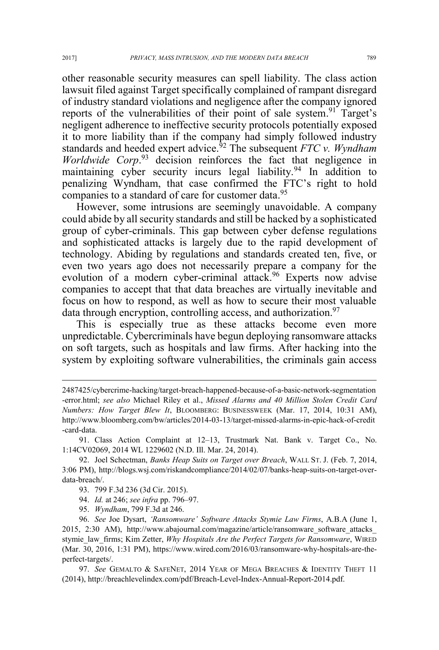other reasonable security measures can spell liability. The class action lawsuit filed against Target specifically complained of rampant disregard of industry standard violations and negligence after the company ignored reports of the vulnerabilities of their point of sale system.<sup>91</sup> Target's negligent adherence to ineffective security protocols potentially exposed it to more liability than if the company had simply followed industry standards and heeded expert advice.<sup>92</sup> The subsequent *FTC v. Wyndham Worldwide Corp*. <sup>93</sup> decision reinforces the fact that negligence in maintaining cyber security incurs legal liability.<sup>94</sup> In addition to penalizing Wyndham, that case confirmed the FTC's right to hold companies to a standard of care for customer data.<sup>95</sup>

However, some intrusions are seemingly unavoidable. A company could abide by all security standards and still be hacked by a sophisticated group of cyber-criminals. This gap between cyber defense regulations and sophisticated attacks is largely due to the rapid development of technology. Abiding by regulations and standards created ten, five, or even two years ago does not necessarily prepare a company for the evolution of a modern cyber-criminal attack.<sup>96</sup> Experts now advise companies to accept that that data breaches are virtually inevitable and focus on how to respond, as well as how to secure their most valuable data through encryption, controlling access, and authorization.<sup>97</sup>

This is especially true as these attacks become even more unpredictable. Cybercriminals have begun deploying ransomware attacks on soft targets, such as hospitals and law firms. After hacking into the system by exploiting software vulnerabilities, the criminals gain access

91. Class Action Complaint at 12–13, Trustmark Nat. Bank v. Target Co., No. 1:14CV02069, 2014 WL 1229602 (N.D. Ill. Mar. 24, 2014).

- 93. 799 F.3d 236 (3d Cir. 2015).
- 94. *Id.* at 246; *see infra* pp. 796–97.
- 95. *Wyndham*, 799 F.3d at 246.

96. *See* Joe Dysart, *'Ransomware' Software Attacks Stymie Law Firms*, A.B.A (June 1, 2015, 2:30 AM), http://www.abajournal.com/magazine/article/ransomware\_software\_attacks\_ stymie\_law\_firms; Kim Zetter, *Why Hospitals Are the Perfect Targets for Ransomware*, WIRED (Mar. 30, 2016, 1:31 PM), https://www.wired.com/2016/03/ransomware-why-hospitals-are-theperfect-targets/.

97. *See* GEMALTO & SAFENET, 2014 YEAR OF MEGA BREACHES & IDENTITY THEFT 11 (2014), http://breachlevelindex.com/pdf/Breach-Level-Index-Annual-Report-2014.pdf.

 $\overline{a}$ 

<sup>2487425/</sup>cybercrime-hacking/target-breach-happened-because-of-a-basic-network-segmentation -error.html; *see also* Michael Riley et al., *Missed Alarms and 40 Million Stolen Credit Card Numbers: How Target Blew It*, BLOOMBERG: BUSINESSWEEK (Mar. 17, 2014, 10:31 AM), http://www.bloomberg.com/bw/articles/2014-03-13/target-missed-alarms-in-epic-hack-of-credit -card-data.

<sup>92.</sup> Joel Schectman, *Banks Heap Suits on Target over Breach*, WALL ST. J. (Feb. 7, 2014, 3:06 PM), http://blogs.wsj.com/riskandcompliance/2014/02/07/banks-heap-suits-on-target-overdata-breach/.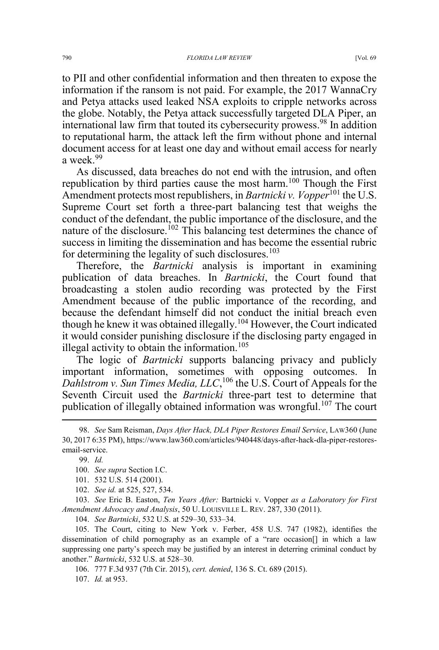to PII and other confidential information and then threaten to expose the information if the ransom is not paid. For example, the 2017 WannaCry and Petya attacks used leaked NSA exploits to cripple networks across the globe. Notably, the Petya attack successfully targeted DLA Piper, an international law firm that touted its cybersecurity prowess.<sup>98</sup> In addition to reputational harm, the attack left the firm without phone and internal document access for at least one day and without email access for nearly a week.<sup>99</sup>

As discussed, data breaches do not end with the intrusion, and often republication by third parties cause the most harm.<sup>100</sup> Though the First Amendment protects most republishers, in *Bartnicki v. Vopper*<sup>101</sup> the U.S. Supreme Court set forth a three-part balancing test that weighs the conduct of the defendant, the public importance of the disclosure, and the nature of the disclosure.<sup>102</sup> This balancing test determines the chance of success in limiting the dissemination and has become the essential rubric for determining the legality of such disclosures.<sup>103</sup>

Therefore, the *Bartnicki* analysis is important in examining publication of data breaches. In *Bartnicki*, the Court found that broadcasting a stolen audio recording was protected by the First Amendment because of the public importance of the recording, and because the defendant himself did not conduct the initial breach even though he knew it was obtained illegally.<sup>104</sup> However, the Court indicated it would consider punishing disclosure if the disclosing party engaged in illegal activity to obtain the information.<sup>105</sup>

The logic of *Bartnicki* supports balancing privacy and publicly important information, sometimes with opposing outcomes. In Dahlstrom v. Sun Times Media, LLC,<sup>106</sup> the U.S. Court of Appeals for the Seventh Circuit used the *Bartnicki* three-part test to determine that publication of illegally obtained information was wrongful.<sup>107</sup> The court

103. *See* Eric B. Easton, *Ten Years After:* Bartnicki v. Vopper *as a Laboratory for First Amendment Advocacy and Analysis*, 50 U. LOUISVILLE L. REV. 287, 330 (2011).

104. *See Bartnicki*, 532 U.S. at 529–30, 533–34.

105. The Court, citing to New York v. Ferber, 458 U.S. 747 (1982), identifies the dissemination of child pornography as an example of a "rare occasion[] in which a law suppressing one party's speech may be justified by an interest in deterring criminal conduct by another." *Bartnicki*, 532 U.S. at 528–30.

106. 777 F.3d 937 (7th Cir. 2015), *cert. denied*, 136 S. Ct. 689 (2015). 107. *Id.* at 953.

 <sup>98.</sup> *See* Sam Reisman, *Days After Hack, DLA Piper Restores Email Service*, LAW360 (June 30, 2017 6:35 PM), https://www.law360.com/articles/940448/days-after-hack-dla-piper-restoresemail-service.

<sup>99.</sup> *Id.* 

<sup>100.</sup> *See supra* Section I.C.

<sup>101. 532</sup> U.S. 514 (2001).

<sup>102.</sup> *See id.* at 525, 527, 534.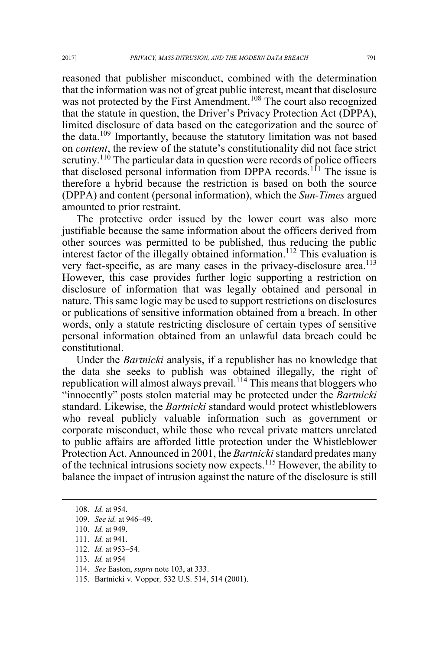reasoned that publisher misconduct, combined with the determination that the information was not of great public interest, meant that disclosure was not protected by the First Amendment.<sup>108</sup> The court also recognized that the statute in question, the Driver's Privacy Protection Act (DPPA), limited disclosure of data based on the categorization and the source of the data.<sup>109</sup> Importantly, because the statutory limitation was not based on *content*, the review of the statute's constitutionality did not face strict scrutiny.<sup>110</sup> The particular data in question were records of police officers that disclosed personal information from DPPA records.<sup>111</sup> The issue is therefore a hybrid because the restriction is based on both the source (DPPA) and content (personal information), which the *Sun-Times* argued amounted to prior restraint.

The protective order issued by the lower court was also more justifiable because the same information about the officers derived from other sources was permitted to be published, thus reducing the public interest factor of the illegally obtained information.<sup>112</sup> This evaluation is very fact-specific, as are many cases in the privacy-disclosure area.<sup>113</sup> However, this case provides further logic supporting a restriction on disclosure of information that was legally obtained and personal in nature. This same logic may be used to support restrictions on disclosures or publications of sensitive information obtained from a breach. In other words, only a statute restricting disclosure of certain types of sensitive personal information obtained from an unlawful data breach could be constitutional.

Under the *Bartnicki* analysis, if a republisher has no knowledge that the data she seeks to publish was obtained illegally, the right of republication will almost always prevail.<sup>114</sup> This means that bloggers who "innocently" posts stolen material may be protected under the *Bartnicki* standard. Likewise, the *Bartnicki* standard would protect whistleblowers who reveal publicly valuable information such as government or corporate misconduct, while those who reveal private matters unrelated to public affairs are afforded little protection under the Whistleblower Protection Act. Announced in 2001, the *Bartnicki* standard predates many of the technical intrusions society now expects.<sup>115</sup> However, the ability to balance the impact of intrusion against the nature of the disclosure is still

113. *Id.* at 954

 <sup>108.</sup> *Id.* at 954.

<sup>109.</sup> *See id.* at 946–49.

<sup>110.</sup> *Id.* at 949.

<sup>111.</sup> *Id.* at 941.

<sup>112.</sup> *Id.* at 953–54.

<sup>114.</sup> *See* Easton, *supra* note 103, at 333.

<sup>115.</sup> Bartnicki v. Vopper*,* 532 U.S. 514, 514 (2001).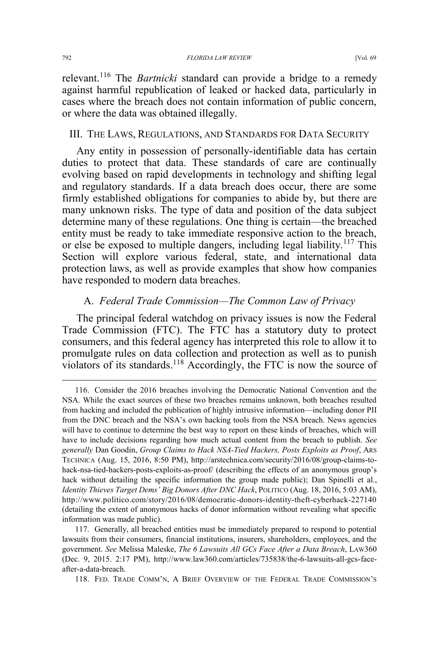#### III. THE LAWS, REGULATIONS, AND STANDARDS FOR DATA SECURITY

or where the data was obtained illegally.

Any entity in possession of personally-identifiable data has certain duties to protect that data. These standards of care are continually evolving based on rapid developments in technology and shifting legal and regulatory standards. If a data breach does occur, there are some firmly established obligations for companies to abide by, but there are many unknown risks. The type of data and position of the data subject determine many of these regulations. One thing is certain—the breached entity must be ready to take immediate responsive action to the breach, or else be exposed to multiple dangers, including legal liability.<sup>117</sup> This Section will explore various federal, state, and international data protection laws, as well as provide examples that show how companies have responded to modern data breaches.

### A. *Federal Trade Commission—The Common Law of Privacy*

The principal federal watchdog on privacy issues is now the Federal Trade Commission (FTC). The FTC has a statutory duty to protect consumers, and this federal agency has interpreted this role to allow it to promulgate rules on data collection and protection as well as to punish violators of its standards.<sup>118</sup> Accordingly, the FTC is now the source of

 <sup>116.</sup> Consider the 2016 breaches involving the Democratic National Convention and the NSA. While the exact sources of these two breaches remains unknown, both breaches resulted from hacking and included the publication of highly intrusive information—including donor PII from the DNC breach and the NSA's own hacking tools from the NSA breach. News agencies will have to continue to determine the best way to report on these kinds of breaches, which will have to include decisions regarding how much actual content from the breach to publish. *See generally* Dan Goodin, *Group Claims to Hack NSA-Tied Hackers, Posts Exploits as Proof*, ARS TECHNICA (Aug. 15, 2016, 8:50 PM), http://arstechnica.com/security/2016/08/group-claims-tohack-nsa-tied-hackers-posts-exploits-as-proof/ (describing the effects of an anonymous group's hack without detailing the specific information the group made public); Dan Spinelli et al., *Identity Thieves Target Dems' Big Donors After DNC Hack*, POLITICO (Aug. 18, 2016, 5:03 AM), http://www.politico.com/story/2016/08/democratic-donors-identity-theft-cyberhack-227140 (detailing the extent of anonymous hacks of donor information without revealing what specific information was made public).

<sup>117.</sup> Generally, all breached entities must be immediately prepared to respond to potential lawsuits from their consumers, financial institutions, insurers, shareholders, employees, and the government. *See* Melissa Maleske, *The 6 Lawsuits All GCs Face After a Data Breach*, LAW360 (Dec. 9, 2015. 2:17 PM), http://www.law360.com/articles/735838/the-6-lawsuits-all-gcs-faceafter-a-data-breach.

<sup>118.</sup> FED. TRADE COMM'N, A BRIEF OVERVIEW OF THE FEDERAL TRADE COMMISSION'S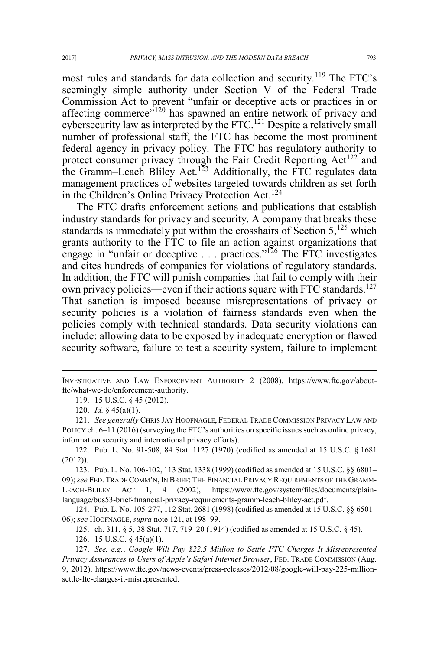most rules and standards for data collection and security.<sup>119</sup> The FTC's seemingly simple authority under Section V of the Federal Trade Commission Act to prevent "unfair or deceptive acts or practices in or affecting commerce<sup>"120</sup> has spawned an entire network of privacy and cybersecurity law as interpreted by the FTC.<sup>121</sup> Despite a relatively small number of professional staff, the FTC has become the most prominent federal agency in privacy policy. The FTC has regulatory authority to protect consumer privacy through the Fair Credit Reporting Act<sup>122</sup> and the Gramm–Leach Bliley Act.<sup>123</sup> Additionally, the FTC regulates data management practices of websites targeted towards children as set forth in the Children's Online Privacy Protection Act. 124

The FTC drafts enforcement actions and publications that establish industry standards for privacy and security. A company that breaks these standards is immediately put within the crosshairs of Section  $5<sup>125</sup>$  which grants authority to the FTC to file an action against organizations that engage in "unfair or deceptive . . . practices."<sup>126</sup> The FTC investigates and cites hundreds of companies for violations of regulatory standards. In addition, the FTC will punish companies that fail to comply with their own privacy policies—even if their actions square with FTC standards.<sup>127</sup> That sanction is imposed because misrepresentations of privacy or security policies is a violation of fairness standards even when the policies comply with technical standards. Data security violations can include: allowing data to be exposed by inadequate encryption or flawed security software, failure to test a security system, failure to implement

 $\overline{a}$ 

124. Pub. L. No. 105-277, 112 Stat. 2681 (1998) (codified as amended at 15 U.S.C. §§ 6501– 06); *see* HOOFNAGLE, *supra* note 121, at 198–99.

125. ch. 311, § 5, 38 Stat. 717, 719–20 (1914) (codified as amended at 15 U.S.C. § 45).

126. 15 U.S.C. § 45(a)(1).

INVESTIGATIVE AND LAW ENFORCEMENT AUTHORITY 2 (2008), https://www.ftc.gov/aboutftc/what-we-do/enforcement-authority.

<sup>119. 15</sup> U.S.C. § 45 (2012).

<sup>120.</sup> *Id.* § 45(a)(1).

<sup>121.</sup> *See generally* CHRIS JAY HOOFNAGLE, FEDERAL TRADE COMMISSION PRIVACY LAW AND POLICY ch. 6–11 (2016) (surveying the FTC's authorities on specific issues such as online privacy, information security and international privacy efforts).

<sup>122.</sup> Pub. L. No. 91-508, 84 Stat. 1127 (1970) (codified as amended at 15 U.S.C. § 1681 (2012)).

<sup>123.</sup> Pub. L. No. 106-102, 113 Stat. 1338 (1999) (codified as amended at 15 U.S.C. §§ 6801– 09); *see* FED. TRADE COMM'N, IN BRIEF: THE FINANCIAL PRIVACY REQUIREMENTS OF THE GRAMM-LEACH-BLILEY ACT 1, 4 (2002), https://www.ftc.gov/system/files/documents/plainlanguage/bus53-brief-financial-privacy-requirements-gramm-leach-bliley-act.pdf.

<sup>127.</sup> *See, e.g.*, *Google Will Pay \$22.5 Million to Settle FTC Charges It Misrepresented Privacy Assurances to Users of Apple's Safari Internet Browser*, FED. TRADE COMMISSION (Aug. 9, 2012), https://www.ftc.gov/news-events/press-releases/2012/08/google-will-pay-225-millionsettle-ftc-charges-it-misrepresented.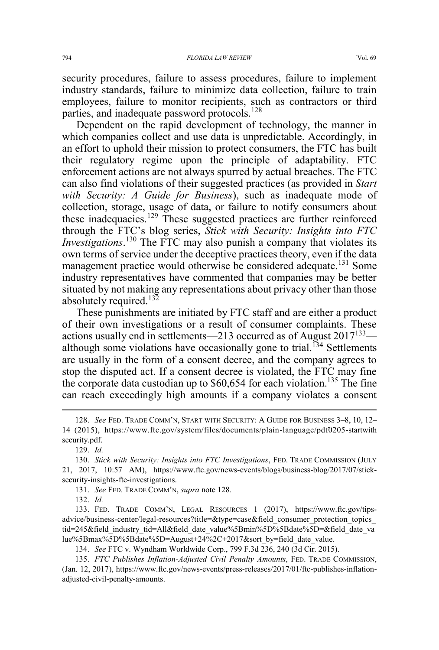security procedures, failure to assess procedures, failure to implement industry standards, failure to minimize data collection, failure to train employees, failure to monitor recipients, such as contractors or third parties, and inadequate password protocols.<sup>128</sup>

Dependent on the rapid development of technology, the manner in which companies collect and use data is unpredictable. Accordingly, in an effort to uphold their mission to protect consumers, the FTC has built their regulatory regime upon the principle of adaptability. FTC enforcement actions are not always spurred by actual breaches. The FTC can also find violations of their suggested practices (as provided in *Start with Security: A Guide for Business*), such as inadequate mode of collection, storage, usage of data, or failure to notify consumers about these inadequacies.<sup>129</sup> These suggested practices are further reinforced through the FTC's blog series, *Stick with Security: Insights into FTC Investigations*. <sup>130</sup> The FTC may also punish a company that violates its own terms of service under the deceptive practices theory, even if the data management practice would otherwise be considered adequate.<sup>131</sup> Some industry representatives have commented that companies may be better situated by not making any representations about privacy other than those absolutely required.<sup>132</sup>

These punishments are initiated by FTC staff and are either a product of their own investigations or a result of consumer complaints. These actions usually end in settlements—213 occurred as of August  $2017^{133}$  although some violations have occasionally gone to trial.<sup> $134$ </sup> Settlements are usually in the form of a consent decree, and the company agrees to stop the disputed act. If a consent decree is violated, the FTC may fine the corporate data custodian up to \$60,654 for each violation.<sup>135</sup> The fine can reach exceedingly high amounts if a company violates a consent

129. *Id.*

131. *See* FED. TRADE COMM'N, *supra* note 128.

132. *Id.*

133. FED. TRADE COMM'N, LEGAL RESOURCES 1 (2017), https://www.ftc.gov/tipsadvice/business-center/legal-resources?title=&type=case&field\_consumer\_protection\_topics\_ tid=245&field\_industry\_tid=All&field\_date\_value%5Bmin%5D%5Bdate%5D=&field\_date\_va lue%5Bmax%5D%5Bdate%5D=August+24%2C+2017&sort\_by=field\_date\_value.

134. *See* FTC v. Wyndham Worldwide Corp., 799 F.3d 236, 240 (3d Cir. 2015).

135. *FTC Publishes Inflation-Adjusted Civil Penalty Amounts*, FED. TRADE COMMISSION, (Jan. 12, 2017), https://www.ftc.gov/news-events/press-releases/2017/01/ftc-publishes-inflationadjusted-civil-penalty-amounts.

 <sup>128.</sup> *See* FED. TRADE COMM'N, START WITH SECURITY:AGUIDE FOR BUSINESS <sup>3</sup>–8, 10, 12– 14 (2015), https://www.ftc.gov/system/files/documents/plain-language/pdf0205-startwith security.pdf.

<sup>130.</sup> *Stick with Security: Insights into FTC Investigations*, FED. TRADE COMMISSION (JULY 21, 2017, 10:57 AM), https://www.ftc.gov/news-events/blogs/business-blog/2017/07/sticksecurity-insights-ftc-investigations.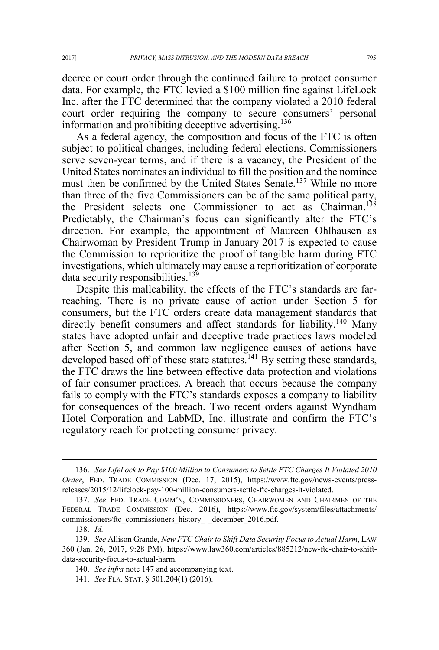decree or court order through the continued failure to protect consumer data. For example, the FTC levied a \$100 million fine against LifeLock Inc. after the FTC determined that the company violated a 2010 federal court order requiring the company to secure consumers' personal information and prohibiting deceptive advertising.<sup>136</sup>

As a federal agency, the composition and focus of the FTC is often subject to political changes, including federal elections. Commissioners serve seven-year terms, and if there is a vacancy, the President of the United States nominates an individual to fill the position and the nominee must then be confirmed by the United States Senate.<sup>137</sup> While no more than three of the five Commissioners can be of the same political party, the President selects one Commissioner to act as Chairman.<sup>138</sup> Predictably, the Chairman's focus can significantly alter the FTC's direction. For example, the appointment of Maureen Ohlhausen as Chairwoman by President Trump in January 2017 is expected to cause the Commission to reprioritize the proof of tangible harm during FTC investigations, which ultimately may cause a reprioritization of corporate data security responsibilities.<sup>139</sup>

Despite this malleability, the effects of the FTC's standards are farreaching. There is no private cause of action under Section 5 for consumers, but the FTC orders create data management standards that directly benefit consumers and affect standards for liability.<sup>140</sup> Many states have adopted unfair and deceptive trade practices laws modeled after Section 5, and common law negligence causes of actions have developed based off of these state statutes.<sup>141</sup> By setting these standards, the FTC draws the line between effective data protection and violations of fair consumer practices. A breach that occurs because the company fails to comply with the FTC's standards exposes a company to liability for consequences of the breach. Two recent orders against Wyndham Hotel Corporation and LabMD, Inc. illustrate and confirm the FTC's regulatory reach for protecting consumer privacy.

 <sup>136.</sup> *See LifeLock to Pay \$100 Million to Consumers to Settle FTC Charges It Violated 2010 Order*, FED. TRADE COMMISSION (Dec. 17, 2015), https://www.ftc.gov/news-events/pressreleases/2015/12/lifelock-pay-100-million-consumers-settle-ftc-charges-it-violated.

<sup>137.</sup> *See* FED. TRADE COMM'N, COMMISSIONERS, CHAIRWOMEN AND CHAIRMEN OF THE FEDERAL TRADE COMMISSION (Dec. 2016), https://www.ftc.gov/system/files/attachments/ commissioners/ftc\_commissioners\_history\_-\_december\_2016.pdf.

<sup>138.</sup> *Id.*

<sup>139.</sup> *See* Allison Grande, *New FTC Chair to Shift Data Security Focus to Actual Harm*, LAW 360 (Jan. 26, 2017, 9:28 PM), https://www.law360.com/articles/885212/new-ftc-chair-to-shiftdata-security-focus-to-actual-harm.

<sup>140.</sup> *See infra* note 147 and accompanying text.

<sup>141.</sup> *See* FLA. STAT. § 501.204(1) (2016).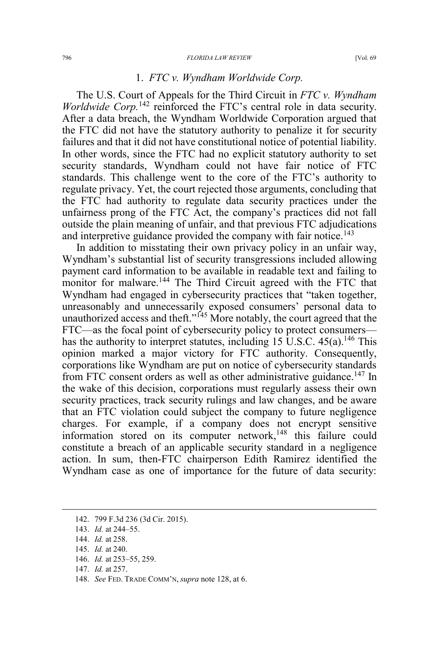#### 1. *FTC v. Wyndham Worldwide Corp.*

The U.S. Court of Appeals for the Third Circuit in *FTC v. Wyndham Worldwide Corp.*<sup>142</sup> reinforced the FTC's central role in data security. After a data breach, the Wyndham Worldwide Corporation argued that the FTC did not have the statutory authority to penalize it for security failures and that it did not have constitutional notice of potential liability. In other words, since the FTC had no explicit statutory authority to set security standards, Wyndham could not have fair notice of FTC standards. This challenge went to the core of the FTC's authority to regulate privacy. Yet, the court rejected those arguments, concluding that the FTC had authority to regulate data security practices under the unfairness prong of the FTC Act, the company's practices did not fall outside the plain meaning of unfair, and that previous FTC adjudications and interpretive guidance provided the company with fair notice.<sup>143</sup>

In addition to misstating their own privacy policy in an unfair way, Wyndham's substantial list of security transgressions included allowing payment card information to be available in readable text and failing to monitor for malware.<sup>144</sup> The Third Circuit agreed with the FTC that Wyndham had engaged in cybersecurity practices that "taken together, unreasonably and unnecessarily exposed consumers' personal data to unauthorized access and theft." $145$  More notably, the court agreed that the FTC—as the focal point of cybersecurity policy to protect consumers has the authority to interpret statutes, including 15 U.S.C.  $45(a)$ .<sup>146</sup> This opinion marked a major victory for FTC authority. Consequently, corporations like Wyndham are put on notice of cybersecurity standards from FTC consent orders as well as other administrative guidance.<sup>147</sup> In the wake of this decision, corporations must regularly assess their own security practices, track security rulings and law changes, and be aware that an FTC violation could subject the company to future negligence charges. For example, if a company does not encrypt sensitive information stored on its computer network, $148$  this failure could constitute a breach of an applicable security standard in a negligence action. In sum, then-FTC chairperson Edith Ramirez identified the Wyndham case as one of importance for the future of data security:

 <sup>142. 799</sup> F.3d 236 (3d Cir. 2015).

<sup>143.</sup> *Id.* at 244–55.

<sup>144.</sup> *Id.* at 258.

<sup>145.</sup> *Id.* at 240.

<sup>146.</sup> *Id.* at 253–55, 259.

<sup>147.</sup> *Id.* at 257.

<sup>148.</sup> *See* FED. TRADE COMM'N, *supra* note 128, at 6.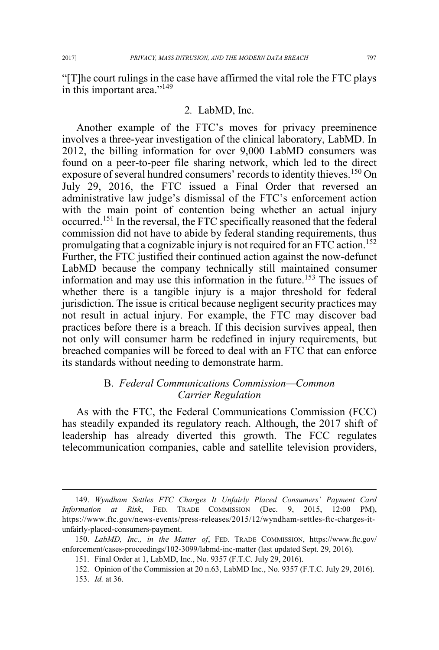"[T]he court rulings in the case have affirmed the vital role the FTC plays in this important area."<sup>149</sup>

### 2*.* LabMD, Inc.

Another example of the FTC's moves for privacy preeminence involves a three-year investigation of the clinical laboratory, LabMD. In 2012, the billing information for over 9,000 LabMD consumers was found on a peer-to-peer file sharing network, which led to the direct exposure of several hundred consumers' records to identity thieves.<sup>150</sup> On July 29, 2016, the FTC issued a Final Order that reversed an administrative law judge's dismissal of the FTC's enforcement action with the main point of contention being whether an actual injury occurred.<sup>151</sup> In the reversal, the FTC specifically reasoned that the federal commission did not have to abide by federal standing requirements, thus promulgating that a cognizable injury is not required for an FTC action.<sup>152</sup> Further, the FTC justified their continued action against the now-defunct LabMD because the company technically still maintained consumer information and may use this information in the future.<sup>153</sup> The issues of whether there is a tangible injury is a major threshold for federal jurisdiction. The issue is critical because negligent security practices may not result in actual injury. For example, the FTC may discover bad practices before there is a breach. If this decision survives appeal, then not only will consumer harm be redefined in injury requirements, but breached companies will be forced to deal with an FTC that can enforce its standards without needing to demonstrate harm.

### B. *Federal Communications Commission—Common Carrier Regulation*

As with the FTC, the Federal Communications Commission (FCC) has steadily expanded its regulatory reach. Although, the 2017 shift of leadership has already diverted this growth. The FCC regulates telecommunication companies, cable and satellite television providers,

 <sup>149.</sup> *Wyndham Settles FTC Charges It Unfairly Placed Consumers' Payment Card Information at Risk*, FED. TRADE COMMISSION (Dec. 9, 2015, 12:00 PM), https://www.ftc.gov/news-events/press-releases/2015/12/wyndham-settles-ftc-charges-itunfairly-placed-consumers-payment.

<sup>150.</sup> *LabMD, Inc., in the Matter of*, FED. TRADE COMMISSION, https://www.ftc.gov/ enforcement/cases-proceedings/102-3099/labmd-inc-matter (last updated Sept. 29, 2016).

<sup>151.</sup> Final Order at 1, LabMD, Inc*.*, No. 9357 (F.T.C. July 29, 2016).

<sup>152.</sup> Opinion of the Commission at 20 n.63, LabMD Inc., No. 9357 (F.T.C. July 29, 2016).

<sup>153.</sup> *Id.* at 36.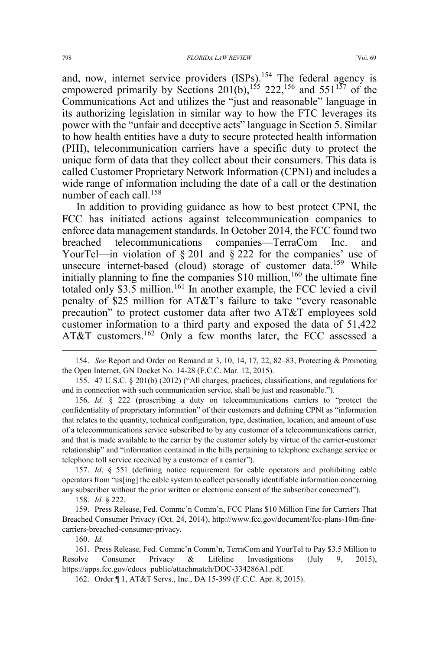and, now, internet service providers  $(ISPs)$ .<sup>154</sup> The federal agency is empowered primarily by Sections  $201(b)$ ,<sup>155</sup> 222,<sup>156</sup> and 551<sup>157</sup> of the Communications Act and utilizes the "just and reasonable" language in its authorizing legislation in similar way to how the FTC leverages its power with the "unfair and deceptive acts" language in Section 5. Similar to how health entities have a duty to secure protected health information (PHI), telecommunication carriers have a specific duty to protect the unique form of data that they collect about their consumers. This data is called Customer Proprietary Network Information (CPNI) and includes a wide range of information including the date of a call or the destination number of each call.<sup>158</sup>

In addition to providing guidance as how to best protect CPNI, the FCC has initiated actions against telecommunication companies to enforce data management standards. In October 2014, the FCC found two breached telecommunications companies—TerraCom Inc. and YourTel—in violation of § 201 and § 222 for the companies' use of unsecure internet-based (cloud) storage of customer data.<sup>159</sup> While initially planning to fine the companies  $$10$  million,<sup>160</sup> the ultimate fine totaled only  $$3.5$  million.<sup>161</sup> In another example, the FCC levied a civil penalty of \$25 million for AT&T's failure to take "every reasonable precaution" to protect customer data after two AT&T employees sold customer information to a third party and exposed the data of 51,422 AT&T customers.<sup>162</sup> Only a few months later, the FCC assessed a

 154. *See* Report and Order on Remand at 3, 10, 14, 17, 22, 82–83, Protecting & Promoting the Open Internet, GN Docket No. 14-28 (F.C.C. Mar. 12, 2015).

155. 47 U.S.C. § 201(b) (2012) ("All charges, practices, classifications, and regulations for and in connection with such communication service, shall be just and reasonable.").

156. *Id.* § 222 (proscribing a duty on telecommunications carriers to "protect the confidentiality of proprietary information" of their customers and defining CPNI as "information that relates to the quantity, technical configuration, type, destination, location, and amount of use of a telecommunications service subscribed to by any customer of a telecommunications carrier, and that is made available to the carrier by the customer solely by virtue of the carrier-customer relationship" and "information contained in the bills pertaining to telephone exchange service or telephone toll service received by a customer of a carrier").

157. *Id*. § 551 (defining notice requirement for cable operators and prohibiting cable operators from "us[ing] the cable system to collect personally identifiable information concerning any subscriber without the prior written or electronic consent of the subscriber concerned").

158. *Id.* § 222.

159. Press Release, Fed. Commc'n Comm'n, FCC Plans \$10 Million Fine for Carriers That Breached Consumer Privacy (Oct. 24, 2014), http://www.fcc.gov/document/fcc-plans-10m-finecarriers-breached-consumer-privacy.

160. *Id.*

161. Press Release, Fed. Commc'n Comm'n, TerraCom and YourTel to Pay \$3.5 Million to Resolve Consumer Privacy & Lifeline Investigations (July 9, 2015), https://apps.fcc.gov/edocs\_public/attachmatch/DOC-334286A1.pdf.

162. Order ¶ 1, AT&T Servs., Inc., DA 15-399 (F.C.C. Apr. 8, 2015).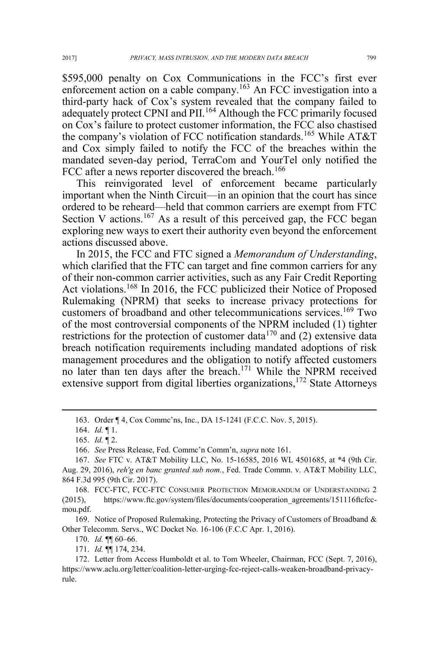\$595,000 penalty on Cox Communications in the FCC's first ever enforcement action on a cable company.<sup>163</sup> An FCC investigation into a third-party hack of Cox's system revealed that the company failed to adequately protect CPNI and PII.<sup>164</sup> Although the FCC primarily focused on Cox's failure to protect customer information, the FCC also chastised the company's violation of FCC notification standards.<sup>165</sup> While AT&T and Cox simply failed to notify the FCC of the breaches within the mandated seven-day period, TerraCom and YourTel only notified the FCC after a news reporter discovered the breach.<sup>166</sup>

This reinvigorated level of enforcement became particularly important when the Ninth Circuit—in an opinion that the court has since ordered to be reheard—held that common carriers are exempt from FTC Section V actions.<sup>167</sup> As a result of this perceived gap, the FCC began exploring new ways to exert their authority even beyond the enforcement actions discussed above.

In 2015, the FCC and FTC signed a *Memorandum of Understanding*, which clarified that the FTC can target and fine common carriers for any of their non-common carrier activities, such as any Fair Credit Reporting Act violations.<sup>168</sup> In 2016, the FCC publicized their Notice of Proposed Rulemaking (NPRM) that seeks to increase privacy protections for customers of broadband and other telecommunications services.<sup>169</sup> Two of the most controversial components of the NPRM included (1) tighter restrictions for the protection of customer data<sup>170</sup> and (2) extensive data breach notification requirements including mandated adoptions of risk management procedures and the obligation to notify affected customers no later than ten days after the breach.<sup>171</sup> While the NPRM received extensive support from digital liberties organizations, $172$  State Attorneys

165. *Id.* ¶ 2.

166. *See* Press Release, Fed. Commc'n Comm'n, *supra* note 161.

168. FCC-FTC, FCC-FTC CONSUMER PROTECTION MEMORANDUM OF UNDERSTANDING 2 (2015), https://www.ftc.gov/system/files/documents/cooperation\_agreements/151116ftcfccmou.pdf.

169. Notice of Proposed Rulemaking, Protecting the Privacy of Customers of Broadband & Other Telecomm. Servs., WC Docket No. 16-106 (F.C.C Apr. 1, 2016).

170. *Id.* ¶¶ 60–66.

171. *Id.* ¶¶ 174, 234.

172. Letter from Access Humboldt et al. to Tom Wheeler, Chairman, FCC (Sept. 7, 2016), https://www.aclu.org/letter/coalition-letter-urging-fcc-reject-calls-weaken-broadband-privacyrule.

 <sup>163.</sup> Order ¶ 4, Cox Commc'ns, Inc., DA 15-1241 (F.C.C. Nov. 5, 2015).

<sup>164.</sup> *Id.* ¶ 1.

<sup>167.</sup> *See* FTC v. AT&T Mobility LLC, No. 15-16585, 2016 WL 4501685, at \*4 (9th Cir. Aug. 29, 2016), *reh'g en banc granted sub nom.*, Fed. Trade Commn. v. AT&T Mobility LLC, 864 F.3d 995 (9th Cir. 2017).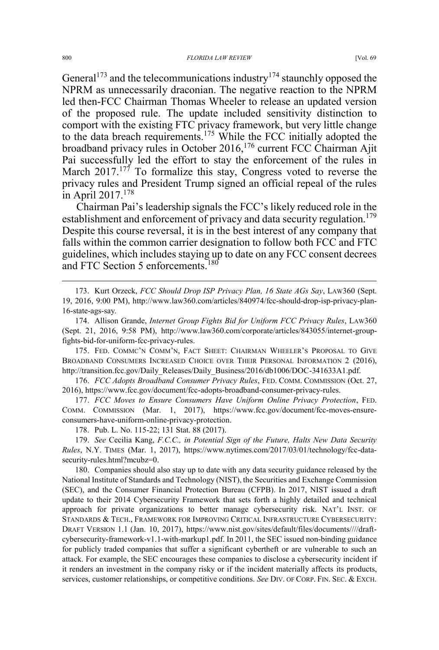General<sup>173</sup> and the telecommunications industry<sup>174</sup> staunchly opposed the NPRM as unnecessarily draconian. The negative reaction to the NPRM led then-FCC Chairman Thomas Wheeler to release an updated version of the proposed rule. The update included sensitivity distinction to comport with the existing FTC privacy framework, but very little change to the data breach requirements.<sup>175</sup> While the FCC initially adopted the broadband privacy rules in October 2016,<sup>176</sup> current FCC Chairman Ajit Pai successfully led the effort to stay the enforcement of the rules in March  $2017$ .<sup>177</sup> To formalize this stay, Congress voted to reverse the privacy rules and President Trump signed an official repeal of the rules in April  $2017.<sup>178</sup>$ 

Chairman Pai's leadership signals the FCC's likely reduced role in the establishment and enforcement of privacy and data security regulation.<sup>179</sup> Despite this course reversal, it is in the best interest of any company that falls within the common carrier designation to follow both FCC and FTC guidelines, which includes staying up to date on any FCC consent decrees and FTC Section 5 enforcements.<sup>180</sup>

 173. Kurt Orzeck, *FCC Should Drop ISP Privacy Plan, 16 State AGs Say*, LAW360 (Sept. 19, 2016, 9:00 PM), http://www.law360.com/articles/840974/fcc-should-drop-isp-privacy-plan-16-state-ags-say*.*

174. Allison Grande, *Internet Group Fights Bid for Uniform FCC Privacy Rules*, LAW360 (Sept. 21, 2016, 9:58 PM), http://www.law360.com/corporate/articles/843055/internet-groupfights-bid-for-uniform-fcc-privacy-rules.

175. FED. COMMC'N COMM'N, FACT SHEET: CHAIRMAN WHEELER'S PROPOSAL TO GIVE BROADBAND CONSUMERS INCREASED CHOICE OVER THEIR PERSONAL INFORMATION 2 (2016), http://transition.fcc.gov/Daily\_Releases/Daily\_Business/2016/db1006/DOC-341633A1.pdf.

176. *FCC Adopts Broadband Consumer Privacy Rules*, FED. COMM. COMMISSION (Oct. 27, 2016), https://www.fcc.gov/document/fcc-adopts-broadband-consumer-privacy-rules.

177. *FCC Moves to Ensure Consumers Have Uniform Online Privacy Protection*, FED. COMM. COMMISSION (Mar. 1, 2017), https://www.fcc.gov/document/fcc-moves-ensureconsumers-have-uniform-online-privacy-protection.

178. Pub. L. No. 115-22; 131 Stat. 88 (2017).

179. *See* Cecilia Kang, *F.C.C., in Potential Sign of the Future, Halts New Data Security Rules*, N.Y. TIMES (Mar. 1, 2017), https://www.nytimes.com/2017/03/01/technology/fcc-datasecurity-rules.html?mcubz=0.

180. Companies should also stay up to date with any data security guidance released by the National Institute of Standards and Technology (NIST), the Securities and Exchange Commission (SEC), and the Consumer Financial Protection Bureau (CFPB). In 2017, NIST issued a draft update to their 2014 Cybersecurity Framework that sets forth a highly detailed and technical approach for private organizations to better manage cybersecurity risk. NAT'L INST. OF STANDARDS & TECH., FRAMEWORK FOR IMPROVING CRITICAL INFRASTRUCTURE CYBERSECURITY: DRAFT VERSION 1.1 (Jan. 10, 2017), https://www.nist.gov/sites/default/files/documents////draftcybersecurity-framework-v1.1-with-markup1.pdf. In 2011, the SEC issued non-binding guidance for publicly traded companies that suffer a significant cybertheft or are vulnerable to such an attack. For example, the SEC encourages these companies to disclose a cybersecurity incident if it renders an investment in the company risky or if the incident materially affects its products, services, customer relationships, or competitive conditions. *See* DIV. OF CORP. FIN. SEC.&EXCH.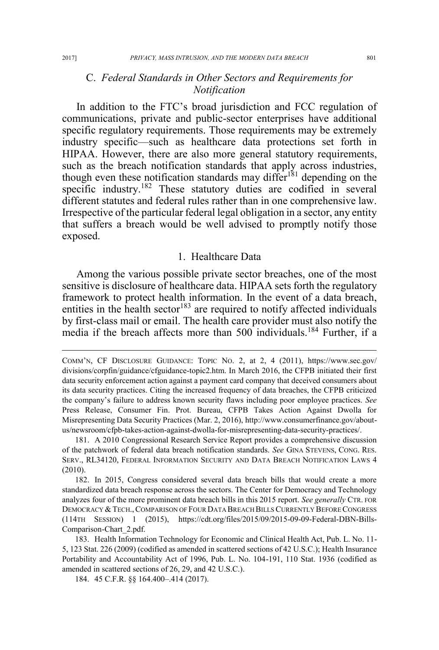### C. *Federal Standards in Other Sectors and Requirements for Notification*

In addition to the FTC's broad jurisdiction and FCC regulation of communications, private and public-sector enterprises have additional specific regulatory requirements. Those requirements may be extremely industry specific—such as healthcare data protections set forth in HIPAA. However, there are also more general statutory requirements, such as the breach notification standards that apply across industries, though even these notification standards may differ<sup>181</sup> depending on the specific industry.<sup>182</sup> These statutory duties are codified in several different statutes and federal rules rather than in one comprehensive law. Irrespective of the particular federal legal obligation in a sector, any entity that suffers a breach would be well advised to promptly notify those exposed.

#### 1. Healthcare Data

Among the various possible private sector breaches, one of the most sensitive is disclosure of healthcare data. HIPAA sets forth the regulatory framework to protect health information. In the event of a data breach, entities in the health sector<sup>183</sup> are required to notify affected individuals by first-class mail or email. The health care provider must also notify the media if the breach affects more than 500 individuals.<sup>184</sup> Further, if a

 $\overline{a}$ 

COMM'N, CF DISCLOSURE GUIDANCE: TOPIC NO. 2, at 2, 4 (2011), https://www.sec.gov/ divisions/corpfin/guidance/cfguidance-topic2.htm. In March 2016, the CFPB initiated their first data security enforcement action against a payment card company that deceived consumers about its data security practices. Citing the increased frequency of data breaches, the CFPB criticized the company's failure to address known security flaws including poor employee practices. *See*  Press Release, Consumer Fin. Prot. Bureau, CFPB Takes Action Against Dwolla for Misrepresenting Data Security Practices (Mar. 2, 2016), http://www.consumerfinance.gov/aboutus/newsroom/cfpb-takes-action-against-dwolla-for-misrepresenting-data-security-practices/.

<sup>181.</sup> A 2010 Congressional Research Service Report provides a comprehensive discussion of the patchwork of federal data breach notification standards. *See* GINA STEVENS, CONG. RES. SERV., RL34120, FEDERAL INFORMATION SECURITY AND DATA BREACH NOTIFICATION LAWS 4 (2010).

<sup>182.</sup> In 2015, Congress considered several data breach bills that would create a more standardized data breach response across the sectors. The Center for Democracy and Technology analyzes four of the more prominent data breach bills in this 2015 report. *See generally* CTR. FOR DEMOCRACY & TECH., COMPARISON OF FOUR DATA BREACH BILLS CURRENTLY BEFORE CONGRESS (114TH SESSION) 1 (2015), https://cdt.org/files/2015/09/2015-09-09-Federal-DBN-Bills-Comparison-Chart\_2.pdf.

<sup>183.</sup> Health Information Technology for Economic and Clinical Health Act, Pub. L. No. 11- 5, 123 Stat. 226 (2009) (codified as amended in scattered sections of 42 U.S.C.); Health Insurance Portability and Accountability Act of 1996, Pub. L. No. 104-191, 110 Stat. 1936 (codified as amended in scattered sections of 26, 29, and 42 U.S.C.).

<sup>184. 45</sup> C.F.R. §§ 164.400–.414 (2017).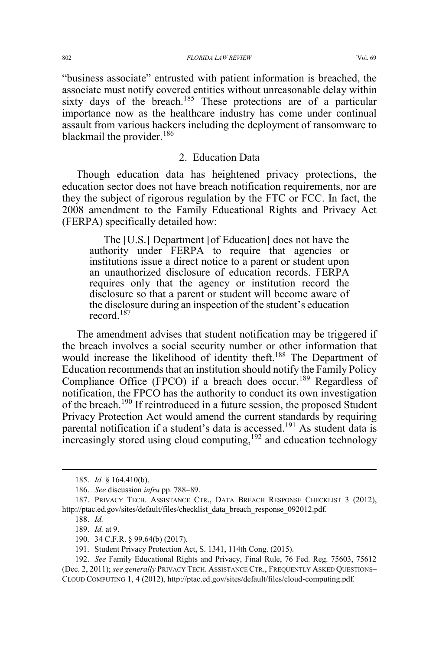"business associate" entrusted with patient information is breached, the associate must notify covered entities without unreasonable delay within sixty days of the breach.<sup>185</sup> These protections are of a particular importance now as the healthcare industry has come under continual assault from various hackers including the deployment of ransomware to blackmail the provider.<sup>186</sup>

### 2. Education Data

Though education data has heightened privacy protections, the education sector does not have breach notification requirements, nor are they the subject of rigorous regulation by the FTC or FCC. In fact, the 2008 amendment to the Family Educational Rights and Privacy Act (FERPA) specifically detailed how:

The [U.S.] Department [of Education] does not have the authority under FERPA to require that agencies or institutions issue a direct notice to a parent or student upon an unauthorized disclosure of education records. FERPA requires only that the agency or institution record the disclosure so that a parent or student will become aware of the disclosure during an inspection of the student's education record<sup>187</sup>

The amendment advises that student notification may be triggered if the breach involves a social security number or other information that would increase the likelihood of identity theft.<sup>188</sup> The Department of Education recommends that an institution should notify the Family Policy Compliance Office (FPCO) if a breach does occur.<sup>189</sup> Regardless of notification, the FPCO has the authority to conduct its own investigation of the breach.<sup>190</sup> If reintroduced in a future session, the proposed Student Privacy Protection Act would amend the current standards by requiring parental notification if a student's data is accessed.<sup>191</sup> As student data is  $\frac{1}{2}$  increasingly stored using cloud computing,<sup>192</sup> and education technology

 <sup>185.</sup> *Id.* § 164.410(b).

<sup>186.</sup> *See* discussion *infra* pp. 788–89.

<sup>187.</sup> PRIVACY TECH. ASSISTANCE CTR., DATA BREACH RESPONSE CHECKLIST 3 (2012), http://ptac.ed.gov/sites/default/files/checklist\_data\_breach\_response\_092012.pdf.

<sup>188.</sup> *Id.*

<sup>189.</sup> *Id.* at 9.

<sup>190. 34</sup> C.F.R. § 99.64(b) (2017).

<sup>191.</sup> Student Privacy Protection Act, S. 1341, 114th Cong. (2015).

<sup>192.</sup> *See* Family Educational Rights and Privacy, Final Rule, 76 Fed. Reg. 75603, 75612 (Dec. 2, 2011); *see generally* PRIVACY TECH. ASSISTANCE CTR., FREQUENTLY ASKED QUESTIONS– CLOUD COMPUTING 1, 4 (2012), http://ptac.ed.gov/sites/default/files/cloud-computing.pdf.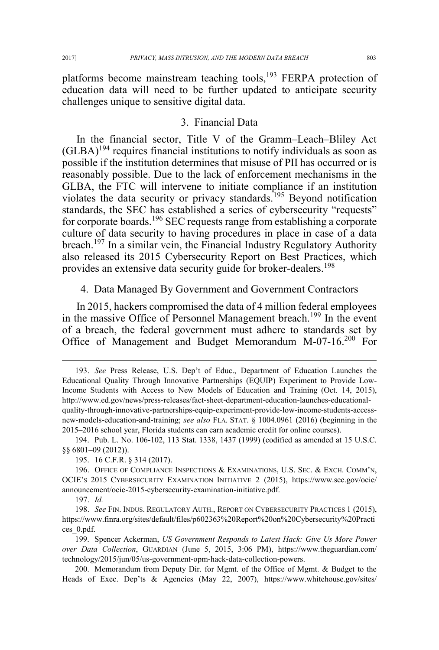platforms become mainstream teaching tools,<sup>193</sup> FERPA protection of education data will need to be further updated to anticipate security challenges unique to sensitive digital data.

### 3. Financial Data

In the financial sector, Title V of the Gramm–Leach–Bliley Act  $(GLBA)^{194}$  requires financial institutions to notify individuals as soon as possible if the institution determines that misuse of PII has occurred or is reasonably possible. Due to the lack of enforcement mechanisms in the GLBA, the FTC will intervene to initiate compliance if an institution violates the data security or privacy standards.<sup>195</sup> Beyond notification standards, the SEC has established a series of cybersecurity "requests" for corporate boards.<sup>196</sup> SEC requests range from establishing a corporate culture of data security to having procedures in place in case of a data breach.<sup>197</sup> In a similar vein, the Financial Industry Regulatory Authority also released its 2015 Cybersecurity Report on Best Practices, which provides an extensive data security guide for broker-dealers.<sup>198</sup>

4. Data Managed By Government and Government Contractors

In 2015, hackers compromised the data of 4 million federal employees in the massive Office of Personnel Management breach.<sup>199</sup> In the event of a breach, the federal government must adhere to standards set by Office of Management and Budget Memorandum M-07-16.200 For

 <sup>193.</sup> *See* Press Release, U.S. Dep't of Educ., Department of Education Launches the Educational Quality Through Innovative Partnerships (EQUIP) Experiment to Provide Low-Income Students with Access to New Models of Education and Training (Oct. 14, 2015), http://www.ed.gov/news/press-releases/fact-sheet-department-education-launches-educationalquality-through-innovative-partnerships-equip-experiment-provide-low-income-students-accessnew-models-education-and-training; *see also* FLA. STAT. § 1004.0961 (2016) (beginning in the 2015–2016 school year, Florida students can earn academic credit for online courses).

<sup>194.</sup> Pub. L. No. 106-102, 113 Stat. 1338, 1437 (1999) (codified as amended at 15 U.S.C. §§ 6801–09 (2012)).

<sup>195. 16</sup> C.F.R. § 314 (2017).

<sup>196.</sup> OFFICE OF COMPLIANCE INSPECTIONS  $\&$  EXAMINATIONS, U.S. Sec.  $\&$  Exch. COMM'N, OCIE'S 2015 CYBERSECURITY EXAMINATION INITIATIVE 2 (2015), https://www.sec.gov/ocie/ announcement/ocie-2015-cybersecurity-examination-initiative.pdf.

<sup>197.</sup> *Id.* 

<sup>198.</sup> *See* FIN. INDUS. REGULATORY AUTH., REPORT ON CYBERSECURITY PRACTICES 1 (2015), https://www.finra.org/sites/default/files/p602363%20Report%20on%20Cybersecurity%20Practi ces\_0.pdf.

<sup>199.</sup> Spencer Ackerman, *US Government Responds to Latest Hack: Give Us More Power over Data Collection*, GUARDIAN (June 5, 2015, 3:06 PM), https://www.theguardian.com/ technology/2015/jun/05/us-government-opm-hack-data-collection-powers.

<sup>200.</sup> Memorandum from Deputy Dir. for Mgmt. of the Office of Mgmt. & Budget to the Heads of Exec. Dep'ts & Agencies (May 22, 2007), https://www.whitehouse.gov/sites/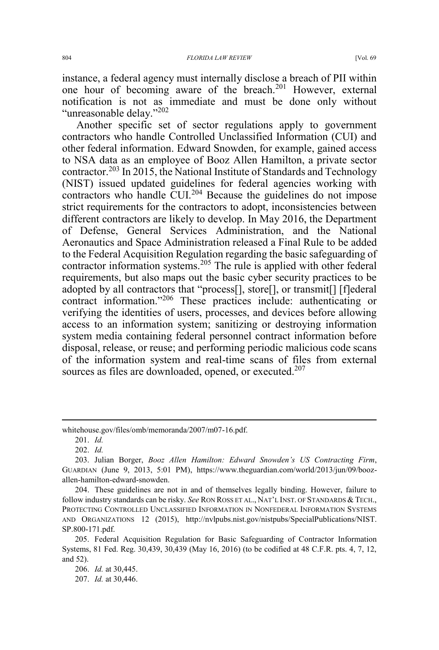instance, a federal agency must internally disclose a breach of PII within one hour of becoming aware of the breach.<sup>201</sup> However, external notification is not as immediate and must be done only without "unreasonable delay."<sup>202</sup>

Another specific set of sector regulations apply to government contractors who handle Controlled Unclassified Information (CUI) and other federal information. Edward Snowden, for example, gained access to NSA data as an employee of Booz Allen Hamilton, a private sector contractor.<sup>203</sup> In 2015, the National Institute of Standards and Technology (NIST) issued updated guidelines for federal agencies working with contractors who handle CUI.<sup>204</sup> Because the guidelines do not impose strict requirements for the contractors to adopt, inconsistencies between different contractors are likely to develop. In May 2016, the Department of Defense, General Services Administration, and the National Aeronautics and Space Administration released a Final Rule to be added to the Federal Acquisition Regulation regarding the basic safeguarding of contractor information systems.<sup>205</sup> The rule is applied with other federal requirements, but also maps out the basic cyber security practices to be adopted by all contractors that "process[], store[], or transmit[] [f]ederal contract information."<sup>206</sup> These practices include: authenticating or verifying the identities of users, processes, and devices before allowing access to an information system; sanitizing or destroying information system media containing federal personnel contract information before disposal, release, or reuse; and performing periodic malicious code scans of the information system and real-time scans of files from external sources as files are downloaded, opened, or executed.<sup>207</sup>

 $\overline{a}$ 

whitehouse.gov/files/omb/memoranda/2007/m07-16.pdf.

<sup>201.</sup> *Id.*

<sup>202.</sup> *Id.*

<sup>203.</sup> Julian Borger, *Booz Allen Hamilton: Edward Snowden's US Contracting Firm*, GUARDIAN (June 9, 2013, 5:01 PM), https://www.theguardian.com/world/2013/jun/09/boozallen-hamilton-edward-snowden.

<sup>204.</sup> These guidelines are not in and of themselves legally binding. However, failure to follow industry standards can be risky. *See* RON ROSS ET AL., NAT'L INST. OF STANDARDS & TECH., PROTECTING CONTROLLED UNCLASSIFIED INFORMATION IN NONFEDERAL INFORMATION SYSTEMS AND ORGANIZATIONS 12 (2015), http://nvlpubs.nist.gov/nistpubs/SpecialPublications/NIST. SP.800-171.pdf.

<sup>205.</sup> Federal Acquisition Regulation for Basic Safeguarding of Contractor Information Systems, 81 Fed. Reg. 30,439, 30,439 (May 16, 2016) (to be codified at 48 C.F.R. pts. 4, 7, 12, and 52).

<sup>206.</sup> *Id.* at 30,445.

<sup>207.</sup> *Id.* at 30,446.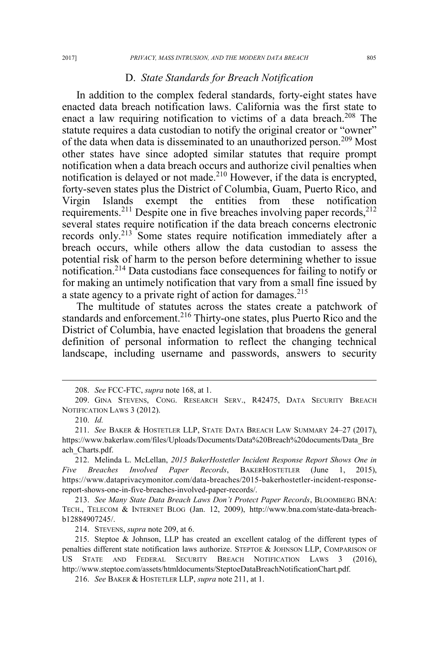#### D. *State Standards for Breach Notification*

In addition to the complex federal standards, forty-eight states have enacted data breach notification laws. California was the first state to enact a law requiring notification to victims of a data breach.<sup>208</sup> The statute requires a data custodian to notify the original creator or "owner" of the data when data is disseminated to an unauthorized person.<sup>209</sup> Most other states have since adopted similar statutes that require prompt notification when a data breach occurs and authorize civil penalties when notification is delayed or not made.<sup>210</sup> However, if the data is encrypted, forty-seven states plus the District of Columbia, Guam, Puerto Rico, and Virgin Islands exempt the entities from these notification requirements.<sup>211</sup> Despite one in five breaches involving paper records,<sup>212</sup> several states require notification if the data breach concerns electronic records only.<sup>213</sup> Some states require notification immediately after a breach occurs, while others allow the data custodian to assess the potential risk of harm to the person before determining whether to issue notification.214 Data custodians face consequences for failing to notify or for making an untimely notification that vary from a small fine issued by a state agency to a private right of action for damages.<sup>215</sup>

The multitude of statutes across the states create a patchwork of standards and enforcement.<sup>216</sup> Thirty-one states, plus Puerto Rico and the District of Columbia, have enacted legislation that broadens the general definition of personal information to reflect the changing technical landscape, including username and passwords, answers to security

 <sup>208.</sup> *See* FCC-FTC, *supra* note 168, at 1.

<sup>209.</sup> GINA STEVENS, CONG. RESEARCH SERV., R42475, DATA SECURITY BREACH NOTIFICATION LAWS 3 (2012).

<sup>210.</sup> *Id.*

<sup>211.</sup> *See* BAKER & HOSTETLER LLP, STATE DATA BREACH LAW SUMMARY 24–27 (2017), https://www.bakerlaw.com/files/Uploads/Documents/Data%20Breach%20documents/Data\_Bre ach\_Charts.pdf.

<sup>212.</sup> Melinda L. McLellan, *2015 BakerHostetler Incident Response Report Shows One in Five Breaches Involved Paper Records*, BAKERHOSTETLER (June 1, 2015), https://www.dataprivacymonitor.com/data-breaches/2015-bakerhostetler-incident-responsereport-shows-one-in-five-breaches-involved-paper-records/.

<sup>213.</sup> *See Many State Data Breach Laws Don't Protect Paper Records*, BLOOMBERG BNA: TECH., TELECOM & INTERNET BLOG (Jan. 12, 2009), http://www.bna.com/state-data-breachb12884907245/.

<sup>214.</sup> STEVENS, *supra* note 209, at 6.

<sup>215.</sup> Steptoe & Johnson, LLP has created an excellent catalog of the different types of penalties different state notification laws authorize. STEPTOE & JOHNSON LLP, COMPARISON OF US STATE AND FEDERAL SECURITY BREACH NOTIFICATION LAWS 3 (2016), http://www.steptoe.com/assets/htmldocuments/SteptoeDataBreachNotificationChart.pdf.

<sup>216.</sup> *See* BAKER & HOSTETLER LLP, *supra* note 211, at 1.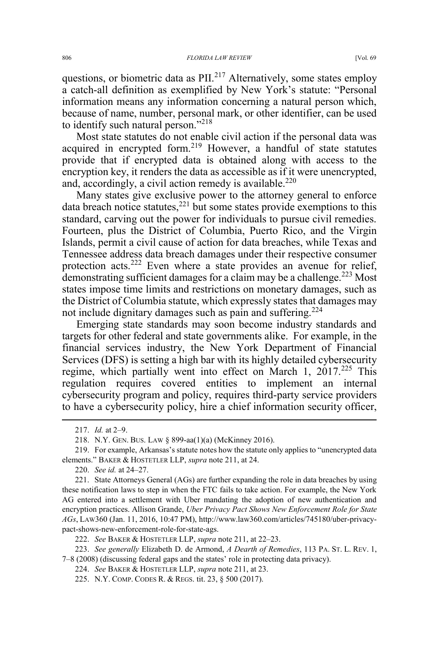questions, or biometric data as  $\text{PII}^{217}$  Alternatively, some states employ a catch-all definition as exemplified by New York's statute: "Personal information means any information concerning a natural person which, because of name, number, personal mark, or other identifier, can be used to identify such natural person."<sup>218</sup>

Most state statutes do not enable civil action if the personal data was acquired in encrypted form.<sup>219</sup> However, a handful of state statutes provide that if encrypted data is obtained along with access to the encryption key, it renders the data as accessible as if it were unencrypted, and, accordingly, a civil action remedy is available.<sup>220</sup>

Many states give exclusive power to the attorney general to enforce data breach notice statutes, $^{221}$  but some states provide exemptions to this standard, carving out the power for individuals to pursue civil remedies. Fourteen, plus the District of Columbia, Puerto Rico, and the Virgin Islands, permit a civil cause of action for data breaches, while Texas and Tennessee address data breach damages under their respective consumer protection acts.<sup>222</sup> Even where a state provides an avenue for relief, demonstrating sufficient damages for a claim may be a challenge.<sup>223</sup> Most states impose time limits and restrictions on monetary damages, such as the District of Columbia statute, which expressly states that damages may not include dignitary damages such as pain and suffering.<sup>224</sup>

Emerging state standards may soon become industry standards and targets for other federal and state governments alike. For example, in the financial services industry, the New York Department of Financial Services (DFS) is setting a high bar with its highly detailed cybersecurity regime, which partially went into effect on March 1, 2017.<sup>225</sup> This regulation requires covered entities to implement an internal cybersecurity program and policy, requires third-party service providers to have a cybersecurity policy, hire a chief information security officer,

220. *See id.* at 24–27.

221. State Attorneys General (AGs) are further expanding the role in data breaches by using these notification laws to step in when the FTC fails to take action. For example, the New York AG entered into a settlement with Uber mandating the adoption of new authentication and encryption practices. Allison Grande, *Uber Privacy Pact Shows New Enforcement Role for State AGs*, LAW360 (Jan. 11, 2016, 10:47 PM), http://www.law360.com/articles/745180/uber-privacypact-shows-new-enforcement-role-for-state-ags.

222. *See* BAKER & HOSTETLER LLP, *supra* note 211, at 22–23.

223. *See generally* Elizabeth D. de Armond, *A Dearth of Remedies*, 113 PA. ST. L. REV. 1, 7–8 (2008) (discussing federal gaps and the states' role in protecting data privacy).

224. *See* BAKER & HOSTETLER LLP, *supra* note 211, at 23.

225. N.Y. COMP. CODES R. & REGS. tit. 23, § 500 (2017).

 <sup>217.</sup> *Id.* at 2–9.

<sup>218.</sup> N.Y. GEN. BUS. LAW § 899-aa(1)(a) (McKinney 2016).

<sup>219.</sup> For example, Arkansas's statute notes how the statute only applies to "unencrypted data elements." BAKER & HOSTETLER LLP, *supra* note 211, at 24.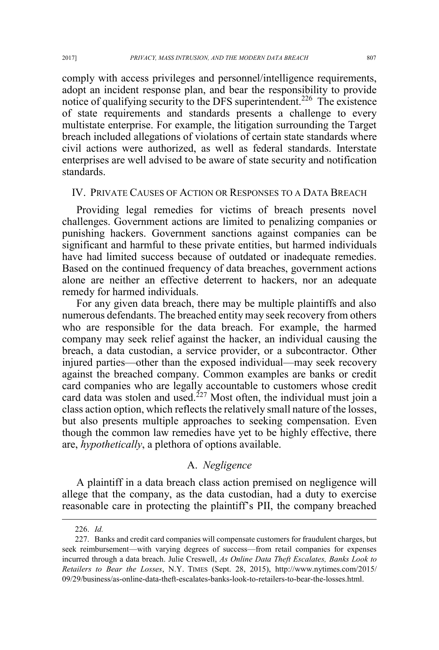comply with access privileges and personnel/intelligence requirements, adopt an incident response plan, and bear the responsibility to provide notice of qualifying security to the DFS superintendent.<sup>226</sup> The existence of state requirements and standards presents a challenge to every multistate enterprise. For example, the litigation surrounding the Target breach included allegations of violations of certain state standards where civil actions were authorized, as well as federal standards. Interstate enterprises are well advised to be aware of state security and notification standards.

#### IV. PRIVATE CAUSES OF ACTION OR RESPONSES TO A DATA BREACH

Providing legal remedies for victims of breach presents novel challenges. Government actions are limited to penalizing companies or punishing hackers. Government sanctions against companies can be significant and harmful to these private entities, but harmed individuals have had limited success because of outdated or inadequate remedies. Based on the continued frequency of data breaches, government actions alone are neither an effective deterrent to hackers, nor an adequate remedy for harmed individuals.

For any given data breach, there may be multiple plaintiffs and also numerous defendants. The breached entity may seek recovery from others who are responsible for the data breach. For example, the harmed company may seek relief against the hacker, an individual causing the breach, a data custodian, a service provider, or a subcontractor. Other injured parties—other than the exposed individual—may seek recovery against the breached company. Common examples are banks or credit card companies who are legally accountable to customers whose credit card data was stolen and used.<sup>227</sup> Most often, the individual must join a class action option, which reflects the relatively small nature of the losses, but also presents multiple approaches to seeking compensation. Even though the common law remedies have yet to be highly effective, there are, *hypothetically*, a plethora of options available.

### A. *Negligence*

A plaintiff in a data breach class action premised on negligence will allege that the company, as the data custodian, had a duty to exercise reasonable care in protecting the plaintiff's PII, the company breached

 <sup>226.</sup> *Id.*

<sup>227.</sup> Banks and credit card companies will compensate customers for fraudulent charges, but seek reimbursement—with varying degrees of success—from retail companies for expenses incurred through a data breach. Julie Creswell, *As Online Data Theft Escalates, Banks Look to Retailers to Bear the Losses*, N.Y. TIMES (Sept. 28, 2015), http://www.nytimes.com/2015/ 09/29/business/as-online-data-theft-escalates-banks-look-to-retailers-to-bear-the-losses.html.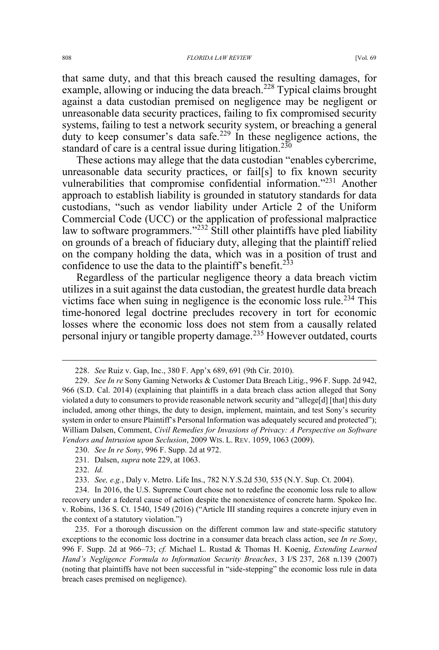that same duty, and that this breach caused the resulting damages, for example, allowing or inducing the data breach.<sup>228</sup> Typical claims brought against a data custodian premised on negligence may be negligent or unreasonable data security practices, failing to fix compromised security systems, failing to test a network security system, or breaching a general duty to keep consumer's data safe.<sup>229</sup> In these negligence actions, the standard of care is a central issue during litigation.<sup>230</sup>

These actions may allege that the data custodian "enables cybercrime, unreasonable data security practices, or fail[s] to fix known security vulnerabilities that compromise confidential information."<sup>231</sup> Another approach to establish liability is grounded in statutory standards for data custodians, "such as vendor liability under Article 2 of the Uniform Commercial Code (UCC) or the application of professional malpractice law to software programmers."<sup>232</sup> Still other plaintiffs have pled liability on grounds of a breach of fiduciary duty, alleging that the plaintiff relied on the company holding the data, which was in a position of trust and confidence to use the data to the plaintiff's benefit.<sup>233</sup>

Regardless of the particular negligence theory a data breach victim utilizes in a suit against the data custodian, the greatest hurdle data breach victims face when suing in negligence is the economic loss rule.<sup>234</sup> This time-honored legal doctrine precludes recovery in tort for economic losses where the economic loss does not stem from a causally related personal injury or tangible property damage.<sup>235</sup> However outdated, courts

 <sup>228.</sup> *See* Ruiz v. Gap, Inc., 380 F. App'x 689, 691 (9th Cir. 2010).

<sup>229.</sup> *See In re* Sony Gaming Networks & Customer Data Breach Litig., 996 F. Supp. 2d 942, 966 (S.D. Cal. 2014) (explaining that plaintiffs in a data breach class action alleged that Sony violated a duty to consumers to provide reasonable network security and "allege[d] [that] this duty included, among other things, the duty to design, implement, maintain, and test Sony's security system in order to ensure Plaintiff's Personal Information was adequately secured and protected"); William Dalsen, Comment, *Civil Remedies for Invasions of Privacy: A Perspective on Software Vendors and Intrusion upon Seclusion*, 2009 WIS. L. REV. 1059, 1063 (2009).

<sup>230.</sup> *See In re Sony*, 996 F. Supp. 2d at 972.

<sup>231.</sup> Dalsen, *supra* note 229, at 1063.

<sup>232.</sup> *Id.*

<sup>233.</sup> *See, e.g.*, Daly v. Metro. Life Ins., 782 N.Y.S.2d 530, 535 (N.Y. Sup. Ct. 2004).

<sup>234.</sup> In 2016, the U.S. Supreme Court chose not to redefine the economic loss rule to allow recovery under a federal cause of action despite the nonexistence of concrete harm. Spokeo Inc. v. Robins, 136 S. Ct. 1540, 1549 (2016) ("Article III standing requires a concrete injury even in the context of a statutory violation.")

<sup>235.</sup> For a thorough discussion on the different common law and state-specific statutory exceptions to the economic loss doctrine in a consumer data breach class action, see *In re Sony*, 996 F. Supp. 2d at 966–73; *cf.* Michael L. Rustad & Thomas H. Koenig, *Extending Learned Hand's Negligence Formula to Information Security Breaches*, 3 I/S 237, 268 n.139 (2007) (noting that plaintiffs have not been successful in "side-stepping" the economic loss rule in data breach cases premised on negligence).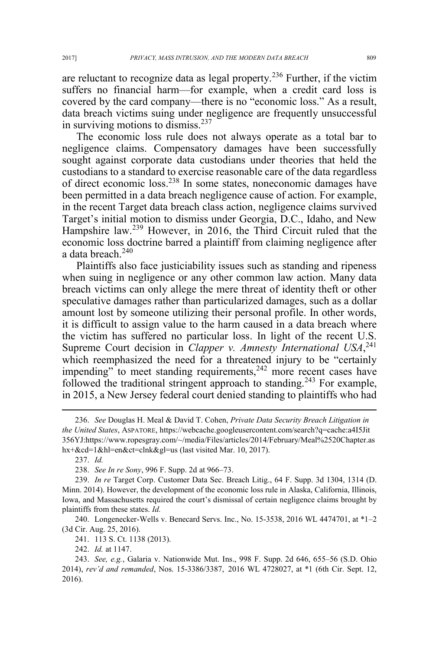are reluctant to recognize data as legal property.<sup>236</sup> Further, if the victim suffers no financial harm—for example, when a credit card loss is covered by the card company—there is no "economic loss." As a result, data breach victims suing under negligence are frequently unsuccessful in surviving motions to dismiss. $237$ 

The economic loss rule does not always operate as a total bar to negligence claims. Compensatory damages have been successfully sought against corporate data custodians under theories that held the custodians to a standard to exercise reasonable care of the data regardless of direct economic loss.238 In some states, noneconomic damages have been permitted in a data breach negligence cause of action. For example, in the recent Target data breach class action, negligence claims survived Target's initial motion to dismiss under Georgia, D.C., Idaho, and New Hampshire law.<sup>239</sup> However, in 2016, the Third Circuit ruled that the economic loss doctrine barred a plaintiff from claiming negligence after a data breach.<sup>240</sup>

Plaintiffs also face justiciability issues such as standing and ripeness when suing in negligence or any other common law action. Many data breach victims can only allege the mere threat of identity theft or other speculative damages rather than particularized damages, such as a dollar amount lost by someone utilizing their personal profile. In other words, it is difficult to assign value to the harm caused in a data breach where the victim has suffered no particular loss. In light of the recent U.S. Supreme Court decision in *Clapper v. Amnesty International USA*,<sup>241</sup> which reemphasized the need for a threatened injury to be "certainly impending" to meet standing requirements,<sup>242</sup> more recent cases have followed the traditional stringent approach to standing.<sup>243</sup> For example, in 2015, a New Jersey federal court denied standing to plaintiffs who had

 <sup>236.</sup> *See* Douglas H. Meal & David T. Cohen, *Private Data Security Breach Litigation in the United States*, ASPATORE, https://webcache.googleusercontent.com/search?q=cache:a4I5Jit 356YJ:https://www.ropesgray.com/~/media/Files/articles/2014/February/Meal%2520Chapter.as hx+&cd=1&hl=en&ct=clnk&gl=us (last visited Mar. 10, 2017).

<sup>237.</sup> *Id.*

<sup>238.</sup> *See In re Sony*, 996 F. Supp. 2d at 966–73.

<sup>239.</sup> *In re* Target Corp. Customer Data Sec. Breach Litig., 64 F. Supp. 3d 1304, 1314 (D. Minn. 2014). However, the development of the economic loss rule in Alaska, California, Illinois, Iowa, and Massachusetts required the court's dismissal of certain negligence claims brought by plaintiffs from these states. *Id.*

<sup>240.</sup> Longenecker-Wells v. Benecard Servs. Inc., No. 15-3538, 2016 WL 4474701, at \*1–2 (3d Cir. Aug. 25, 2016).

<sup>241. 113</sup> S. Ct. 1138 (2013).

<sup>242.</sup> *Id.* at 1147.

<sup>243.</sup> *See, e.g.*, Galaria v. Nationwide Mut. Ins., 998 F. Supp. 2d 646, 655–56 (S.D. Ohio 2014), *rev'd and remanded*, Nos. 15-3386/3387, 2016 WL 4728027, at \*1 (6th Cir. Sept. 12, 2016).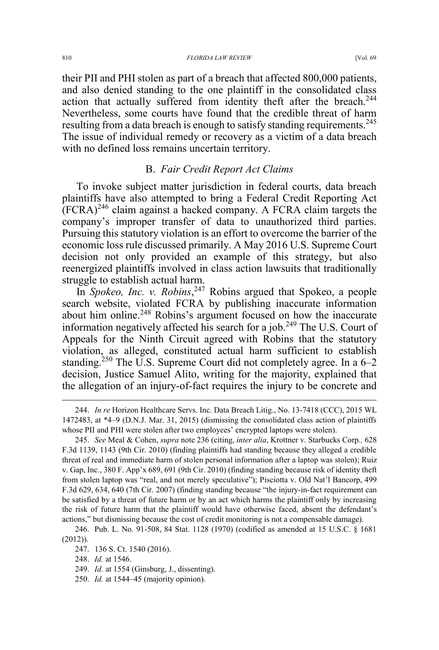their PII and PHI stolen as part of a breach that affected 800,000 patients, and also denied standing to the one plaintiff in the consolidated class action that actually suffered from identity theft after the breach.<sup>244</sup> Nevertheless, some courts have found that the credible threat of harm resulting from a data breach is enough to satisfy standing requirements.<sup>245</sup> The issue of individual remedy or recovery as a victim of a data breach with no defined loss remains uncertain territory.

### B. *Fair Credit Report Act Claims*

To invoke subject matter jurisdiction in federal courts, data breach plaintiffs have also attempted to bring a Federal Credit Reporting Act  $(FCRA)^{246}$  claim against a hacked company. A FCRA claim targets the company's improper transfer of data to unauthorized third parties. Pursuing this statutory violation is an effort to overcome the barrier of the economic loss rule discussed primarily. A May 2016 U.S. Supreme Court decision not only provided an example of this strategy, but also reenergized plaintiffs involved in class action lawsuits that traditionally struggle to establish actual harm.

In *Spokeo, Inc. v. Robins*, <sup>247</sup> Robins argued that Spokeo, a people search website, violated FCRA by publishing inaccurate information about him online.<sup>248</sup> Robins's argument focused on how the inaccurate information negatively affected his search for a job.<sup>249</sup> The U.S. Court of Appeals for the Ninth Circuit agreed with Robins that the statutory violation, as alleged, constituted actual harm sufficient to establish standing.<sup>250</sup> The U.S. Supreme Court did not completely agree. In a 6–2 decision, Justice Samuel Alito, writing for the majority, explained that the allegation of an injury-of-fact requires the injury to be concrete and

 <sup>244.</sup> *In re* Horizon Healthcare Servs. Inc. Data Breach Litig., No. 13-7418 (CCC), 2015 WL 1472483, at \*4–9 (D.N.J. Mar. 31, 2015) (dismissing the consolidated class action of plaintiffs whose PII and PHI were stolen after two employees' encrypted laptops were stolen).

<sup>245.</sup> *See* Meal & Cohen, *supra* note 236 (citing, *inter alia*, Krottner v. Starbucks Corp*.,* 628 F.3d 1139, 1143 (9th Cir. 2010) (finding plaintiffs had standing because they alleged a credible threat of real and immediate harm of stolen personal information after a laptop was stolen); Ruiz v. Gap, Inc*.*, 380 F. App'x 689, 691 (9th Cir. 2010) (finding standing because risk of identity theft from stolen laptop was "real, and not merely speculative"); Pisciotta v. Old Nat'l Bancorp, 499 F.3d 629, 634, 640 (7th Cir. 2007) (finding standing because "the injury-in-fact requirement can be satisfied by a threat of future harm or by an act which harms the plaintiff only by increasing the risk of future harm that the plaintiff would have otherwise faced, absent the defendant's actions," but dismissing because the cost of credit monitoring is not a compensable damage).

<sup>246.</sup> Pub. L. No. 91-508, 84 Stat. 1128 (1970) (codified as amended at 15 U.S.C. § 1681 (2012)).

<sup>247. 136</sup> S. Ct. 1540 (2016).

<sup>248.</sup> *Id.* at 1546.

<sup>249.</sup> *Id.* at 1554 (Ginsburg, J., dissenting).

<sup>250.</sup> *Id.* at 1544–45 (majority opinion).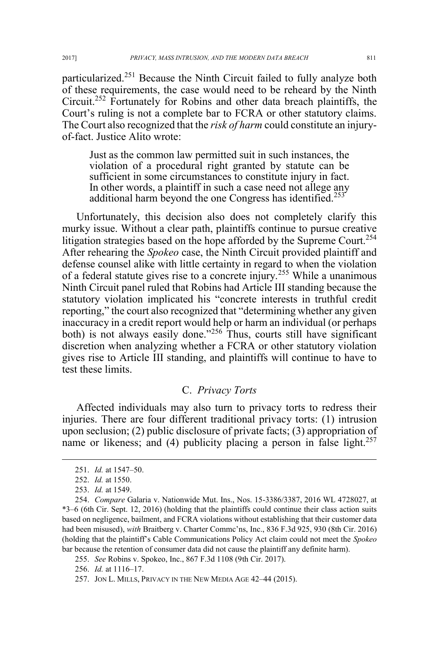particularized.<sup>251</sup> Because the Ninth Circuit failed to fully analyze both of these requirements, the case would need to be reheard by the Ninth Circuit.252 Fortunately for Robins and other data breach plaintiffs, the Court's ruling is not a complete bar to FCRA or other statutory claims. The Court also recognized that the *risk of harm* could constitute an injuryof-fact. Justice Alito wrote:

Just as the common law permitted suit in such instances, the violation of a procedural right granted by statute can be sufficient in some circumstances to constitute injury in fact. In other words, a plaintiff in such a case need not allege any additional harm beyond the one Congress has identified.<sup>253</sup>

Unfortunately, this decision also does not completely clarify this murky issue. Without a clear path, plaintiffs continue to pursue creative litigation strategies based on the hope afforded by the Supreme Court.<sup>254</sup> After rehearing the *Spokeo* case, the Ninth Circuit provided plaintiff and defense counsel alike with little certainty in regard to when the violation of a federal statute gives rise to a concrete injury.<sup>255</sup> While a unanimous Ninth Circuit panel ruled that Robins had Article III standing because the statutory violation implicated his "concrete interests in truthful credit reporting," the court also recognized that "determining whether any given inaccuracy in a credit report would help or harm an individual (or perhaps both) is not always easily done."<sup>256</sup> Thus, courts still have significant discretion when analyzing whether a FCRA or other statutory violation gives rise to Article III standing, and plaintiffs will continue to have to test these limits.

### C. *Privacy Torts*

Affected individuals may also turn to privacy torts to redress their injuries. There are four different traditional privacy torts: (1) intrusion upon seclusion; (2) public disclosure of private facts; (3) appropriation of name or likeness; and (4) publicity placing a person in false light. $257$ 

 <sup>251.</sup> *Id.* at 1547–50.

<sup>252.</sup> *Id.* at 1550.

<sup>253.</sup> *Id.* at 1549.

<sup>254.</sup> *Compare* Galaria v. Nationwide Mut. Ins., Nos. 15-3386/3387, 2016 WL 4728027, at \*3–6 (6th Cir. Sept. 12, 2016) (holding that the plaintiffs could continue their class action suits based on negligence, bailment, and FCRA violations without establishing that their customer data had been misused), *with* Braitberg v. Charter Commc'ns, Inc., 836 F.3d 925, 930 (8th Cir. 2016) (holding that the plaintiff's Cable Communications Policy Act claim could not meet the *Spokeo* bar because the retention of consumer data did not cause the plaintiff any definite harm).

<sup>255.</sup> *See* Robins v. Spokeo, Inc., 867 F.3d 1108 (9th Cir. 2017).

<sup>256.</sup> *Id.* at 1116–17.

<sup>257.</sup> JON L. MILLS, PRIVACY IN THE NEW MEDIA AGE 42–44 (2015).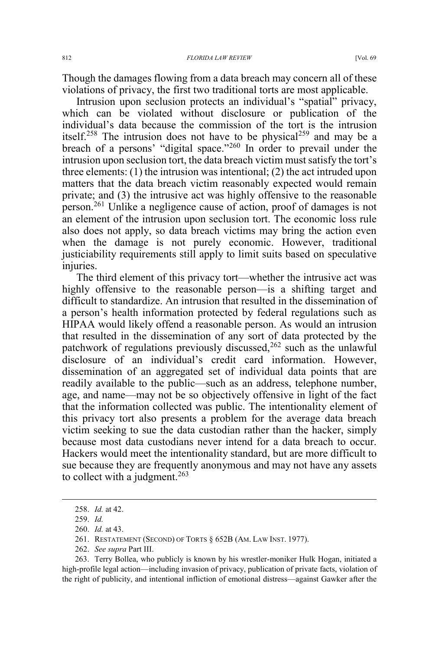Though the damages flowing from a data breach may concern all of these violations of privacy, the first two traditional torts are most applicable.

Intrusion upon seclusion protects an individual's "spatial" privacy, which can be violated without disclosure or publication of the individual's data because the commission of the tort is the intrusion itself.<sup>258</sup> The intrusion does not have to be physical<sup>259</sup> and may be a breach of a persons' "digital space."<sup>260</sup> In order to prevail under the intrusion upon seclusion tort, the data breach victim must satisfy the tort's three elements: (1) the intrusion was intentional; (2) the act intruded upon matters that the data breach victim reasonably expected would remain private; and (3) the intrusive act was highly offensive to the reasonable person.<sup>261</sup> Unlike a negligence cause of action, proof of damages is not an element of the intrusion upon seclusion tort. The economic loss rule also does not apply, so data breach victims may bring the action even when the damage is not purely economic. However, traditional justiciability requirements still apply to limit suits based on speculative injuries.

The third element of this privacy tort—whether the intrusive act was highly offensive to the reasonable person—is a shifting target and difficult to standardize. An intrusion that resulted in the dissemination of a person's health information protected by federal regulations such as HIPAA would likely offend a reasonable person. As would an intrusion that resulted in the dissemination of any sort of data protected by the patchwork of regulations previously discussed,<sup>262</sup> such as the unlawful disclosure of an individual's credit card information. However, dissemination of an aggregated set of individual data points that are readily available to the public—such as an address, telephone number, age, and name—may not be so objectively offensive in light of the fact that the information collected was public. The intentionality element of this privacy tort also presents a problem for the average data breach victim seeking to sue the data custodian rather than the hacker, simply because most data custodians never intend for a data breach to occur. Hackers would meet the intentionality standard, but are more difficult to sue because they are frequently anonymous and may not have any assets to collect with a judgment.<sup>263</sup>

262. *See supra* Part III.

 <sup>258.</sup> *Id.* at 42.

<sup>259.</sup> *Id.*

<sup>260.</sup> *Id.* at 43.

<sup>261.</sup> RESTATEMENT (SECOND) OF TORTS § 652B (AM. LAW INST. 1977).

<sup>263.</sup> Terry Bollea, who publicly is known by his wrestler-moniker Hulk Hogan, initiated a high-profile legal action—including invasion of privacy, publication of private facts, violation of the right of publicity, and intentional infliction of emotional distress—against Gawker after the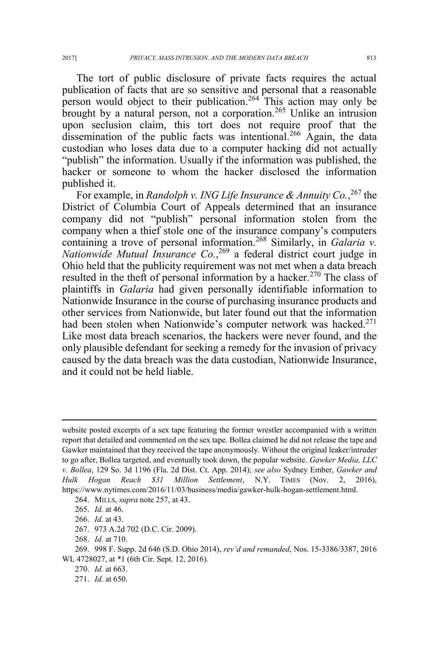The tort of public disclosure of private facts requires the actual publication of facts that are so sensitive and personal that a reasonable person would object to their publication.<sup>264</sup> This action may only be brought by a natural person, not a corporation.<sup>265</sup> Unlike an intrusion upon seclusion claim, this tort does not require proof that the dissemination of the public facts was intentional.<sup>266</sup> Again, the data custodian who loses data due to a computer hacking did not actually "publish" the information. Usually if the information was published, the hacker or someone to whom the hacker disclosed the information published it.

For example, in *Randolph v. ING Life Insurance & Annuity Co.*, <sup>267</sup> the District of Columbia Court of Appeals determined that an insurance company did not "publish" personal information stolen from the company when a thief stole one of the insurance company's computers containing a trove of personal information.<sup>268</sup> Similarly, in *Galaria v*. *Nationwide Mutual Insurance Co.*, <sup>269</sup> a federal district court judge in Ohio held that the publicity requirement was not met when a data breach resulted in the theft of personal information by a hacker.<sup>270</sup> The class of plaintiffs in *Galaria* had given personally identifiable information to Nationwide Insurance in the course of purchasing insurance products and other services from Nationwide, but later found out that the information had been stolen when Nationwide's computer network was hacked.<sup>271</sup> Like most data breach scenarios, the hackers were never found, and the only plausible defendant for seeking a remedy for the invasion of privacy caused by the data breach was the data custodian, Nationwide Insurance, and it could not be held liable.

 $\overline{a}$ 

267. 973 A.2d 702 (D.C. Cir. 2009).

268. *Id.* at 710.

271. *Id.* at 650.

website posted excerpts of a sex tape featuring the former wrestler accompanied with a written report that detailed and commented on the sex tape. Bollea claimed he did not release the tape and Gawker maintained that they received the tape anonymously. Without the original leaker/intruder to go after, Bollea targeted, and eventually took down, the popular website. *Gawker Media, LLC v. Bollea*, 129 So. 3d 1196 (Fla. 2d Dist. Ct. App. 2014); *see also* Sydney Ember, *Gawker and Hulk Hogan Reach \$31 Million Settlement*, N.Y. TIMES (Nov. 2, 2016), https://www.nytimes.com/2016/11/03/business/media/gawker-hulk-hogan-settlement.html.

<sup>264.</sup> MILLS, *supra* note 257, at 43.

<sup>265.</sup> *Id.* at 46.

<sup>266.</sup> *Id.* at 43.

<sup>269. 998</sup> F. Supp. 2d 646 (S.D. Ohio 2014), *rev'd and remanded*, Nos. 15-3386/3387, 2016 WL 4728027, at \*1 (6th Cir. Sept. 12, 2016).

<sup>270.</sup> *Id.* at 663.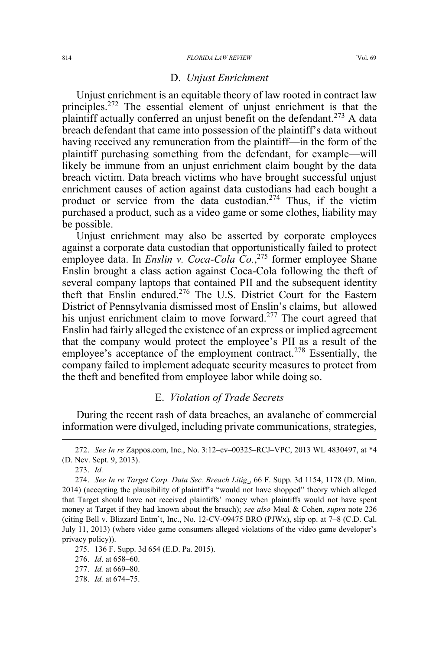#### 814 *FLORIDA LAW REVIEW* [Vol. 69

#### D. *Unjust Enrichment*

Unjust enrichment is an equitable theory of law rooted in contract law principles.<sup>272</sup> The essential element of unjust enrichment is that the plaintiff actually conferred an unjust benefit on the defendant.<sup>273</sup> A data breach defendant that came into possession of the plaintiff's data without having received any remuneration from the plaintiff—in the form of the plaintiff purchasing something from the defendant, for example—will likely be immune from an unjust enrichment claim bought by the data breach victim. Data breach victims who have brought successful unjust enrichment causes of action against data custodians had each bought a product or service from the data custodian.<sup>274</sup> Thus, if the victim purchased a product, such as a video game or some clothes, liability may be possible.

Unjust enrichment may also be asserted by corporate employees against a corporate data custodian that opportunistically failed to protect employee data. In *Enslin v. Coca-Cola Co.*,<sup>275</sup> former employee Shane Enslin brought a class action against Coca-Cola following the theft of several company laptops that contained PII and the subsequent identity theft that Enslin endured.276 The U.S. District Court for the Eastern District of Pennsylvania dismissed most of Enslin's claims, but allowed his unjust enrichment claim to move forward.<sup>277</sup> The court agreed that Enslin had fairly alleged the existence of an express or implied agreement that the company would protect the employee's PII as a result of the employee's acceptance of the employment contract.<sup>278</sup> Essentially, the company failed to implement adequate security measures to protect from the theft and benefited from employee labor while doing so.

### E. *Violation of Trade Secrets*

During the recent rash of data breaches, an avalanche of commercial information were divulged, including private communications, strategies,

278. *Id.* at 674–75.

 <sup>272.</sup> *See In re* Zappos.com, Inc., No. 3:12–cv–00325–RCJ–VPC, 2013 WL 4830497, at \*4 (D. Nev. Sept. 9, 2013).

<sup>273.</sup> *Id.*

<sup>274.</sup> *See In re Target Corp. Data Sec. Breach Litig.*, 66 F. Supp. 3d 1154, 1178 (D. Minn. 2014) (accepting the plausibility of plaintiff's "would not have shopped" theory which alleged that Target should have not received plaintiffs' money when plaintiffs would not have spent money at Target if they had known about the breach); *see also* Meal & Cohen, *supra* note 236 (citing Bell v. Blizzard Entm't, Inc., No. 12-CV-09475 BRO (PJWx), slip op. at 7–8 (C.D. Cal. July 11, 2013) (where video game consumers alleged violations of the video game developer's privacy policy)).

<sup>275. 136</sup> F. Supp. 3d 654 (E.D. Pa. 2015).

<sup>276.</sup> *Id*. at 658–60.

<sup>277.</sup> *Id.* at 669–80.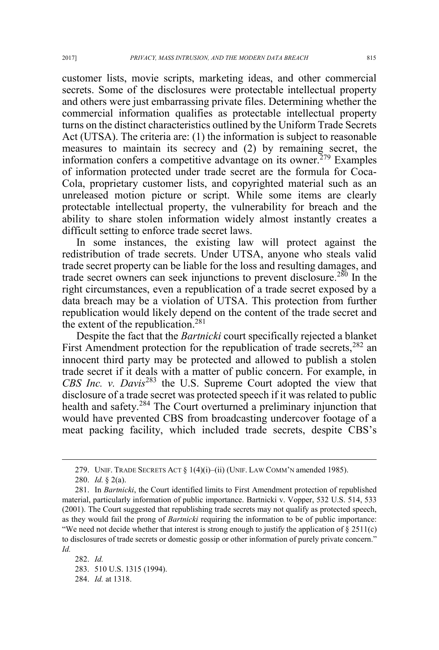customer lists, movie scripts, marketing ideas, and other commercial secrets. Some of the disclosures were protectable intellectual property and others were just embarrassing private files. Determining whether the commercial information qualifies as protectable intellectual property turns on the distinct characteristics outlined by the Uniform Trade Secrets Act (UTSA). The criteria are: (1) the information is subject to reasonable measures to maintain its secrecy and (2) by remaining secret, the information confers a competitive advantage on its owner.<sup> $279$ </sup> Examples of information protected under trade secret are the formula for Coca-Cola, proprietary customer lists, and copyrighted material such as an unreleased motion picture or script. While some items are clearly protectable intellectual property, the vulnerability for breach and the ability to share stolen information widely almost instantly creates a difficult setting to enforce trade secret laws.

In some instances, the existing law will protect against the redistribution of trade secrets. Under UTSA, anyone who steals valid trade secret property can be liable for the loss and resulting damages, and trade secret owners can seek injunctions to prevent disclosure.<sup>280</sup> In the right circumstances, even a republication of a trade secret exposed by a data breach may be a violation of UTSA. This protection from further republication would likely depend on the content of the trade secret and the extent of the republication.<sup>281</sup>

Despite the fact that the *Bartnicki* court specifically rejected a blanket First Amendment protection for the republication of trade secrets,  $282$  an innocent third party may be protected and allowed to publish a stolen trade secret if it deals with a matter of public concern. For example, in *CBS Inc. v. Davis*<sup>283</sup> the U.S. Supreme Court adopted the view that disclosure of a trade secret was protected speech if it was related to public health and safety.<sup>284</sup> The Court overturned a preliminary injunction that would have prevented CBS from broadcasting undercover footage of a meat packing facility, which included trade secrets, despite CBS's

282. *Id.* 283. 510 U.S. 1315 (1994). 284. *Id.* at 1318.

 <sup>279.</sup> UNIF. TRADE SECRETS ACT § 1(4)(i)–(ii) (UNIF. LAW COMM'<sup>N</sup> amended 1985).

<sup>280.</sup> *Id.* § 2(a).

<sup>281.</sup> In *Bartnicki*, the Court identified limits to First Amendment protection of republished material, particularly information of public importance. Bartnicki v. Vopper, 532 U.S. 514, 533 (2001). The Court suggested that republishing trade secrets may not qualify as protected speech, as they would fail the prong of *Bartnicki* requiring the information to be of public importance: "We need not decide whether that interest is strong enough to justify the application of  $\S 2511(c)$ to disclosures of trade secrets or domestic gossip or other information of purely private concern." *Id.*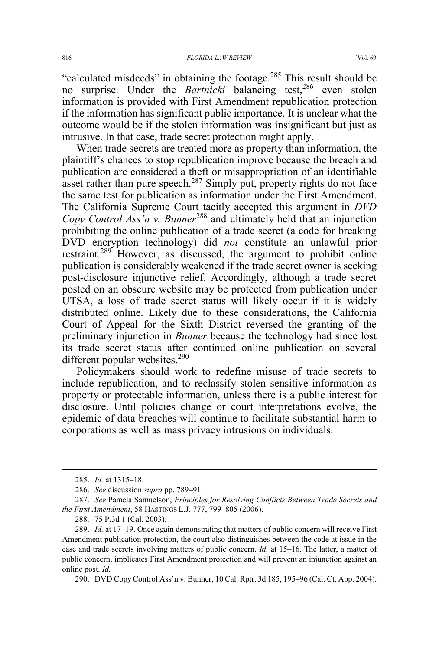"calculated misdeeds" in obtaining the footage.<sup>285</sup> This result should be no surprise. Under the *Bartnicki* balancing test,<sup>286</sup> even stolen information is provided with First Amendment republication protection if the information has significant public importance. It is unclear what the outcome would be if the stolen information was insignificant but just as intrusive. In that case, trade secret protection might apply.

When trade secrets are treated more as property than information, the plaintiff's chances to stop republication improve because the breach and publication are considered a theft or misappropriation of an identifiable asset rather than pure speech.<sup>287</sup> Simply put, property rights do not face the same test for publication as information under the First Amendment. The California Supreme Court tacitly accepted this argument in *DVD Copy Control Ass'n v. Bunner*<sup>288</sup> and ultimately held that an injunction prohibiting the online publication of a trade secret (a code for breaking DVD encryption technology) did *not* constitute an unlawful prior restraint.<sup>289</sup> However, as discussed, the argument to prohibit online publication is considerably weakened if the trade secret owner is seeking post-disclosure injunctive relief. Accordingly, although a trade secret posted on an obscure website may be protected from publication under UTSA, a loss of trade secret status will likely occur if it is widely distributed online. Likely due to these considerations, the California Court of Appeal for the Sixth District reversed the granting of the preliminary injunction in *Bunner* because the technology had since lost its trade secret status after continued online publication on several different popular websites.<sup>290</sup>

Policymakers should work to redefine misuse of trade secrets to include republication, and to reclassify stolen sensitive information as property or protectable information, unless there is a public interest for disclosure. Until policies change or court interpretations evolve, the epidemic of data breaches will continue to facilitate substantial harm to corporations as well as mass privacy intrusions on individuals.

290. DVD Copy Control Ass'n v. Bunner, 10 Cal. Rptr. 3d 185, 195–96 (Cal. Ct. App. 2004).

 <sup>285.</sup> *Id.* at 1315–18.

<sup>286.</sup> *See* discussion *supra* pp. 789–91.

<sup>287.</sup> *See* Pamela Samuelson, *Principles for Resolving Conflicts Between Trade Secrets and the First Amendment*, 58 HASTINGS L.J. 777, 799–805 (2006).

<sup>288. 75</sup> P.3d 1 (Cal. 2003).

<sup>289.</sup> *Id.* at 17–19. Once again demonstrating that matters of public concern will receive First Amendment publication protection, the court also distinguishes between the code at issue in the case and trade secrets involving matters of public concern. *Id.* at 15–16. The latter, a matter of public concern, implicates First Amendment protection and will prevent an injunction against an online post. *Id.*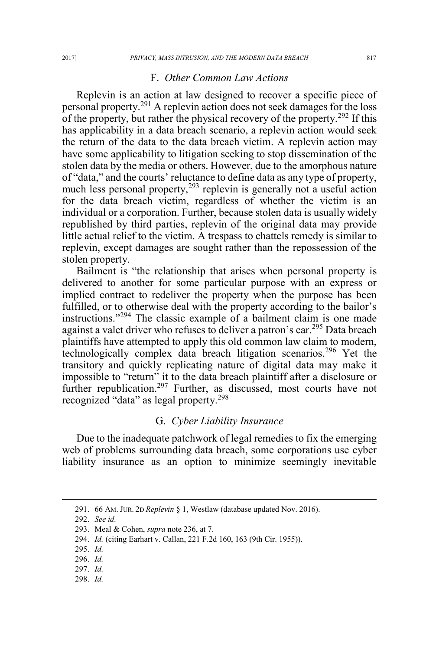### F. *Other Common Law Actions*

Replevin is an action at law designed to recover a specific piece of personal property.<sup>291</sup> A replevin action does not seek damages for the loss of the property, but rather the physical recovery of the property.<sup>292</sup> If this has applicability in a data breach scenario, a replevin action would seek the return of the data to the data breach victim. A replevin action may have some applicability to litigation seeking to stop dissemination of the stolen data by the media or others. However, due to the amorphous nature of "data," and the courts' reluctance to define data as any type of property, much less personal property, $293$  replevin is generally not a useful action for the data breach victim, regardless of whether the victim is an individual or a corporation. Further, because stolen data is usually widely republished by third parties, replevin of the original data may provide little actual relief to the victim. A trespass to chattels remedy is similar to replevin, except damages are sought rather than the repossession of the stolen property.

Bailment is "the relationship that arises when personal property is delivered to another for some particular purpose with an express or implied contract to redeliver the property when the purpose has been fulfilled, or to otherwise deal with the property according to the bailor's instructions."<sup>294</sup> The classic example of a bailment claim is one made against a valet driver who refuses to deliver a patron's car.<sup>295</sup> Data breach plaintiffs have attempted to apply this old common law claim to modern, technologically complex data breach litigation scenarios.<sup>296</sup> Yet the transitory and quickly replicating nature of digital data may make it impossible to "return" it to the data breach plaintiff after a disclosure or further republication.<sup>297</sup> Further, as discussed, most courts have not recognized "data" as legal property.<sup>298</sup>

#### G. *Cyber Liability Insurance*

Due to the inadequate patchwork of legal remedies to fix the emerging web of problems surrounding data breach, some corporations use cyber liability insurance as an option to minimize seemingly inevitable

298. *Id.*

 <sup>291. 66</sup> AM. JUR. 2D *Replevin* § 1, Westlaw (database updated Nov. 2016).

<sup>292.</sup> *See id.*

<sup>293.</sup> Meal & Cohen, *supra* note 236, at 7.

<sup>294.</sup> *Id.* (citing Earhart v. Callan, 221 F.2d 160, 163 (9th Cir. 1955)).

<sup>295.</sup> *Id.*

<sup>296.</sup> *Id.* 

<sup>297.</sup> *Id.*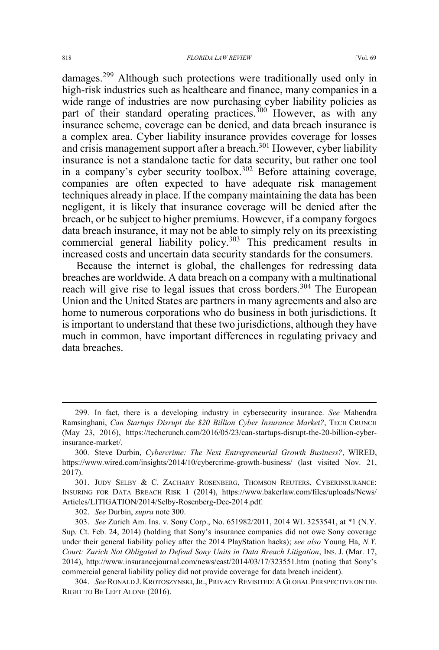#### 818 *FLORIDA LAW REVIEW* [Vol. 69

damages.<sup>299</sup> Although such protections were traditionally used only in high-risk industries such as healthcare and finance, many companies in a wide range of industries are now purchasing cyber liability policies as part of their standard operating practices.<sup>300</sup> However, as with any insurance scheme, coverage can be denied, and data breach insurance is a complex area. Cyber liability insurance provides coverage for losses and crisis management support after a breach.<sup>301</sup> However, cyber liability insurance is not a standalone tactic for data security, but rather one tool in a company's cyber security toolbox.<sup>302</sup> Before attaining coverage, companies are often expected to have adequate risk management techniques already in place. If the company maintaining the data has been negligent, it is likely that insurance coverage will be denied after the breach, or be subject to higher premiums. However, if a company forgoes data breach insurance, it may not be able to simply rely on its preexisting commercial general liability policy.<sup>303</sup> This predicament results in increased costs and uncertain data security standards for the consumers.

Because the internet is global, the challenges for redressing data breaches are worldwide. A data breach on a company with a multinational reach will give rise to legal issues that cross borders.<sup>304</sup> The European Union and the United States are partners in many agreements and also are home to numerous corporations who do business in both jurisdictions. It is important to understand that these two jurisdictions, although they have much in common, have important differences in regulating privacy and data breaches.

302. *See* Durbin, *supra* note 300.

 <sup>299.</sup> In fact, there is a developing industry in cybersecurity insurance. *See* Mahendra Ramsinghani, *Can Startups Disrupt the \$20 Billion Cyber Insurance Market?*, TECH CRUNCH (May 23, 2016), https://techcrunch.com/2016/05/23/can-startups-disrupt-the-20-billion-cyberinsurance-market/.

<sup>300.</sup> Steve Durbin, *Cybercrime: The Next Entrepreneurial Growth Business?*, WIRED, https://www.wired.com/insights/2014/10/cybercrime-growth-business/ (last visited Nov. 21, 2017).

<sup>301.</sup> JUDY SELBY & C. ZACHARY ROSENBERG, THOMSON REUTERS, CYBERINSURANCE: INSURING FOR DATA BREACH RISK 1 (2014), https://www.bakerlaw.com/files/uploads/News/ Articles/LITIGATION/2014/Selby-Rosenberg-Dec-2014.pdf.

<sup>303.</sup> *See* Zurich Am. Ins. v. Sony Corp., No. 651982/2011, 2014 WL 3253541, at \*1 (N.Y. Sup. Ct. Feb. 24, 2014) (holding that Sony's insurance companies did not owe Sony coverage under their general liability policy after the 2014 PlayStation hacks); *see also* Young Ha, *N.Y. Court: Zurich Not Obligated to Defend Sony Units in Data Breach Litigation*, INS. J. (Mar. 17, 2014), http://www.insurancejournal.com/news/east/2014/03/17/323551.htm (noting that Sony's commercial general liability policy did not provide coverage for data breach incident).

<sup>304.</sup> *See* RONALD J. KROTOSZYNSKI, JR., PRIVACY REVISITED:AGLOBAL PERSPECTIVE ON THE RIGHT TO BE LEFT ALONE (2016).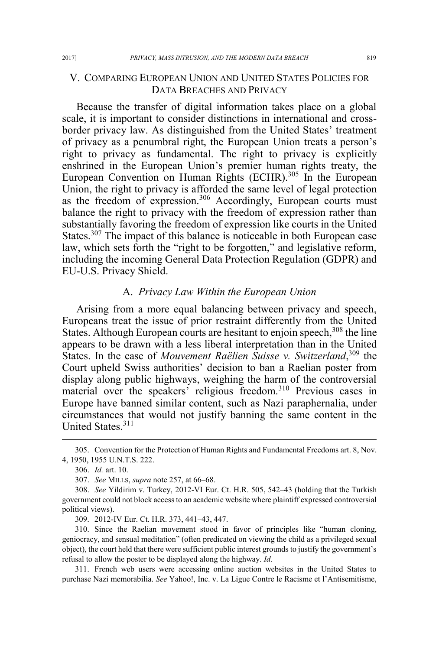## V. COMPARING EUROPEAN UNION AND UNITED STATES POLICIES FOR DATA BREACHES AND PRIVACY

Because the transfer of digital information takes place on a global scale, it is important to consider distinctions in international and crossborder privacy law. As distinguished from the United States' treatment of privacy as a penumbral right, the European Union treats a person's right to privacy as fundamental. The right to privacy is explicitly enshrined in the European Union's premier human rights treaty, the European Convention on Human Rights (ECHR).<sup>305</sup> In the European Union, the right to privacy is afforded the same level of legal protection as the freedom of expression.<sup>306</sup> Accordingly, European courts must balance the right to privacy with the freedom of expression rather than substantially favoring the freedom of expression like courts in the United States.<sup>307</sup> The impact of this balance is noticeable in both European case law, which sets forth the "right to be forgotten," and legislative reform, including the incoming General Data Protection Regulation (GDPR) and EU-U.S. Privacy Shield.

#### A. *Privacy Law Within the European Union*

Arising from a more equal balancing between privacy and speech, Europeans treat the issue of prior restraint differently from the United States. Although European courts are hesitant to enjoin speech, <sup>308</sup> the line appears to be drawn with a less liberal interpretation than in the United States. In the case of *Mouvement Raëlien Suisse v. Switzerland*, <sup>309</sup> the Court upheld Swiss authorities' decision to ban a Raelian poster from display along public highways, weighing the harm of the controversial material over the speakers' religious freedom.<sup>310</sup> Previous cases in Europe have banned similar content, such as Nazi paraphernalia, under circumstances that would not justify banning the same content in the United States.<sup>311</sup>

309. 2012-IV Eur. Ct. H.R. 373, 441–43, 447.

310. Since the Raelian movement stood in favor of principles like "human cloning, geniocracy, and sensual meditation" (often predicated on viewing the child as a privileged sexual object), the court held that there were sufficient public interest grounds to justify the government's refusal to allow the poster to be displayed along the highway. *Id.*

311. French web users were accessing online auction websites in the United States to purchase Nazi memorabilia. *See* Yahoo!, Inc. v. La Ligue Contre le Racisme et l'Antisemitisme,

 <sup>305.</sup> Convention for the Protection of Human Rights and Fundamental Freedoms art. 8, Nov. 4, 1950, 1955 U.N.T.S. 222.

<sup>306.</sup> *Id.* art. 10.

<sup>307.</sup> *See* MILLS, *supra* note 257, at 66–68.

<sup>308.</sup> *See* Yildirim v. Turkey, 2012-VI Eur. Ct. H.R. 505, 542–43 (holding that the Turkish government could not block access to an academic website where plaintiff expressed controversial political views).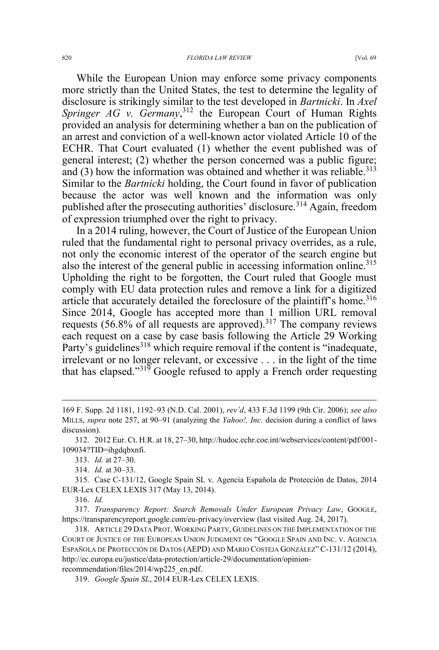While the European Union may enforce some privacy components more strictly than the United States, the test to determine the legality of disclosure is strikingly similar to the test developed in *Bartnicki*. In *Axel*  Springer AG v. Germany,<sup>312</sup> the European Court of Human Rights provided an analysis for determining whether a ban on the publication of an arrest and conviction of a well-known actor violated Article 10 of the ECHR. That Court evaluated (1) whether the event published was of general interest; (2) whether the person concerned was a public figure; and  $(3)$  how the information was obtained and whether it was reliable.<sup>313</sup> Similar to the *Bartnicki* holding, the Court found in favor of publication because the actor was well known and the information was only published after the prosecuting authorities' disclosure.<sup>314</sup> Again, freedom of expression triumphed over the right to privacy.

In a 2014 ruling, however, the Court of Justice of the European Union ruled that the fundamental right to personal privacy overrides, as a rule, not only the economic interest of the operator of the search engine but also the interest of the general public in accessing information online.<sup>315</sup> Upholding the right to be forgotten, the Court ruled that Google must comply with EU data protection rules and remove a link for a digitized article that accurately detailed the foreclosure of the plaintiff's home.<sup>316</sup> Since 2014, Google has accepted more than 1 million URL removal requests  $(56.8\% \text{ of all requests are approved})$ .<sup>317</sup> The company reviews each request on a case by case basis following the Article 29 Working Party's guidelines<sup>318</sup> which require removal if the content is "inadequate, irrelevant or no longer relevant, or excessive . . . in the light of the time that has elapsed." $31\overline{9}$  Google refused to apply a French order requesting

316. *Id.*

 $\overline{a}$ 

<sup>169</sup> F. Supp. 2d 1181, 1192–93 (N.D. Cal. 2001), *rev'd*, 433 F.3d 1199 (9th Cir. 2006); *see also* MILLS, *supra* note 257, at 90–91 (analyzing the *Yahoo!, Inc.* decision during a conflict of laws discussion).

<sup>312. 2012</sup> Eur. Ct. H.R. at 18, 27–30, http://hudoc.echr.coe.int/webservices/content/pdf/001- 109034?TID=ihgdqbxnfi.

<sup>313.</sup> *Id.* at 27–30.

<sup>314.</sup> *Id.* at 30–33.

<sup>315.</sup> Case C-131/12, Google Spain SL v. Agencia Española de Protección de Datos, 2014 EUR-Lex CELEX LEXIS 317 (May 13, 2014).

<sup>317.</sup> *Transparency Report: Search Removals Under European Privacy Law*, GOOGLE, https://transparencyreport.google.com/eu-privacy/overview (last visited Aug. 24, 2017).

<sup>318.</sup> ARTICLE 29 DATA PROT. WORKING PARTY, GUIDELINES ON THE IMPLEMENTATION OF THE COURT OF JUSTICE OF THE EUROPEAN UNION JUDGMENT ON "GOOGLE SPAIN AND INC. V. AGENCIA ESPAÑOLA DE PROTECCIÓN DE DATOS (AEPD) AND MARIO COSTEJA GONZÁLEZ" C-131/12 (2014), http://ec.europa.eu/justice/data-protection/article-29/documentation/opinionrecommendation/files/2014/wp225\_en.pdf.

<sup>319.</sup> *Google Spain SL*, 2014 EUR-Lex CELEX LEXIS.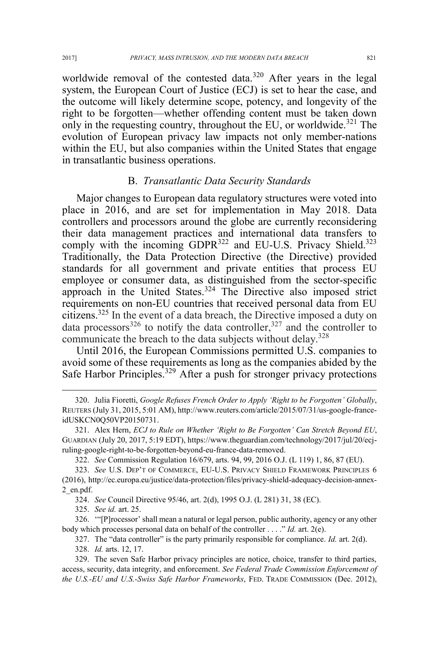worldwide removal of the contested data.<sup>320</sup> After years in the legal system, the European Court of Justice (ECJ) is set to hear the case, and the outcome will likely determine scope, potency, and longevity of the right to be forgotten—whether offending content must be taken down only in the requesting country, throughout the EU, or worldwide.<sup>321</sup> The evolution of European privacy law impacts not only member-nations within the EU, but also companies within the United States that engage in transatlantic business operations.

### B. *Transatlantic Data Security Standards*

Major changes to European data regulatory structures were voted into place in 2016, and are set for implementation in May 2018. Data controllers and processors around the globe are currently reconsidering their data management practices and international data transfers to comply with the incoming  $GDPR<sup>322</sup>$  and EU-U.S. Privacy Shield.<sup>323</sup> Traditionally, the Data Protection Directive (the Directive) provided standards for all government and private entities that process EU employee or consumer data, as distinguished from the sector-specific approach in the United States.<sup>324</sup> The Directive also imposed strict requirements on non-EU countries that received personal data from EU citizens.325 In the event of a data breach, the Directive imposed a duty on data processors<sup>326</sup> to notify the data controller,<sup>327</sup> and the controller to communicate the breach to the data subjects without delay.<sup>328</sup>

Until 2016, the European Commissions permitted U.S. companies to avoid some of these requirements as long as the companies abided by the Safe Harbor Principles.<sup>329</sup> After a push for stronger privacy protections

324. *See* Council Directive 95/46, art. 2(d), 1995 O.J. (L 281) 31, 38 (EC).

326. '"[P]rocessor' shall mean a natural or legal person, public authority, agency or any other body which processes personal data on behalf of the controller . . . ." *Id.* art. 2(e).

327. The "data controller" is the party primarily responsible for compliance. *Id.* art. 2(d).

328. *Id.* arts. 12, 17.

 <sup>320.</sup> Julia Fioretti, *Google Refuses French Order to Apply 'Right to be Forgotten' Globally*, REUTERS (July 31, 2015, 5:01 AM), http://www.reuters.com/article/2015/07/31/us-google-franceidUSKCN0Q50VP20150731.

<sup>321.</sup> Alex Hern, *ECJ to Rule on Whether 'Right to Be Forgotten' Can Stretch Beyond EU*, GUARDIAN (July 20, 2017, 5:19 EDT), https://www.theguardian.com/technology/2017/jul/20/ecjruling-google-right-to-be-forgotten-beyond-eu-france-data-removed.

<sup>322.</sup> *See* Commission Regulation 16/679, arts. 94, 99, 2016 O.J. (L 119) 1, 86, 87 (EU).

<sup>323.</sup> *See* U.S. DEP'T OF COMMERCE, EU-U.S. PRIVACY SHIELD FRAMEWORK PRINCIPLES 6 (2016), http://ec.europa.eu/justice/data-protection/files/privacy-shield-adequacy-decision-annex-2\_en.pdf.

<sup>325.</sup> *See id.* art. 25.

<sup>329.</sup> The seven Safe Harbor privacy principles are notice, choice, transfer to third parties, access, security, data integrity, and enforcement. *See Federal Trade Commission Enforcement of the U.S.-EU and U.S.-Swiss Safe Harbor Frameworks*, FED. TRADE COMMISSION (Dec. 2012),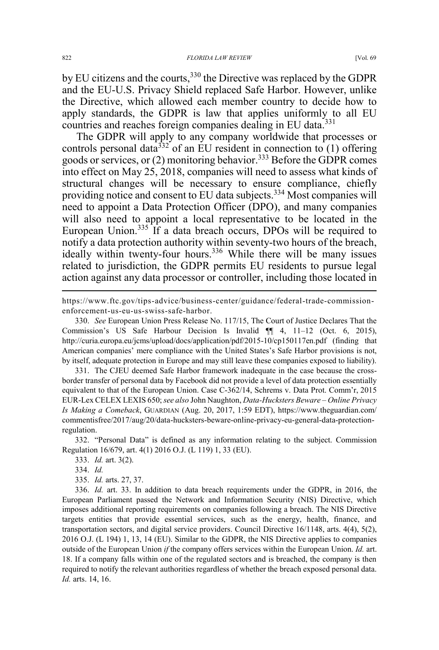by EU citizens and the courts,<sup>330</sup> the Directive was replaced by the GDPR and the EU-U.S. Privacy Shield replaced Safe Harbor. However, unlike the Directive, which allowed each member country to decide how to apply standards, the GDPR is law that applies uniformly to all EU countries and reaches foreign companies dealing in EU data.<sup>331</sup>

The GDPR will apply to any company worldwide that processes or controls personal data<sup>332</sup> of an EU resident in connection to  $(1)$  offering goods or services, or (2) monitoring behavior.<sup>333</sup> Before the GDPR comes into effect on May 25, 2018, companies will need to assess what kinds of structural changes will be necessary to ensure compliance, chiefly providing notice and consent to EU data subjects.<sup>334</sup> Most companies will need to appoint a Data Protection Officer (DPO), and many companies will also need to appoint a local representative to be located in the European Union.<sup>335</sup> If a data breach occurs, DPOs will be required to notify a data protection authority within seventy-two hours of the breach, ideally within twenty-four hours.<sup>336</sup> While there will be many issues related to jurisdiction, the GDPR permits EU residents to pursue legal action against any data processor or controller, including those located in

https://www.ftc.gov/tips-advice/business-center/guidance/federal-trade-commissionenforcement-us-eu-us-swiss-safe-harbor.

330. *See* European Union Press Release No. 117/15, The Court of Justice Declares That the Commission's US Safe Harbour Decision Is Invalid ¶¶ 4, 11–12 (Oct. 6, 2015), http://curia.europa.eu/jcms/upload/docs/application/pdf/2015-10/cp150117en.pdf (finding that American companies' mere compliance with the United States's Safe Harbor provisions is not, by itself, adequate protection in Europe and may still leave these companies exposed to liability).

331. The CJEU deemed Safe Harbor framework inadequate in the case because the crossborder transfer of personal data by Facebook did not provide a level of data protection essentially equivalent to that of the European Union. Case C-362/14, Schrems v. Data Prot. Comm'r, 2015 EUR-Lex CELEX LEXIS 650;*see also* John Naughton, *Data-Hucksters Beware – Online Privacy Is Making a Comeback*, GUARDIAN (Aug. 20, 2017, 1:59 EDT), https://www.theguardian.com/ commentisfree/2017/aug/20/data-hucksters-beware-online-privacy-eu-general-data-protectionregulation.

332. "Personal Data" is defined as any information relating to the subject. Commission Regulation 16/679, art. 4(1) 2016 O.J. (L 119) 1, 33 (EU).

333. *Id.* art. 3(2).

335. *Id.* arts. 27, 37.

336. *Id.* art. 33. In addition to data breach requirements under the GDPR, in 2016, the European Parliament passed the Network and Information Security (NIS) Directive, which imposes additional reporting requirements on companies following a breach. The NIS Directive targets entities that provide essential services, such as the energy, health, finance, and transportation sectors, and digital service providers. Council Directive 16/1148, arts. 4(4), 5(2), 2016 O.J. (L 194) 1, 13, 14 (EU). Similar to the GDPR, the NIS Directive applies to companies outside of the European Union *if* the company offers services within the European Union. *Id.* art. 18. If a company falls within one of the regulated sectors and is breached, the company is then required to notify the relevant authorities regardless of whether the breach exposed personal data. *Id.* arts. 14, 16.

 $\overline{a}$ 

<sup>334.</sup> *Id.*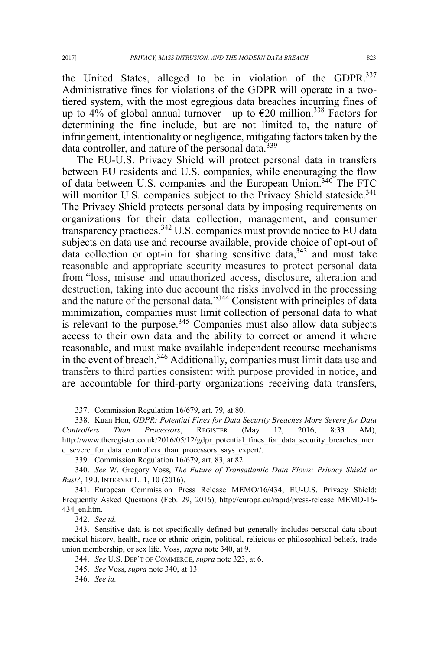the United States, alleged to be in violation of the GDPR.<sup>337</sup> Administrative fines for violations of the GDPR will operate in a twotiered system, with the most egregious data breaches incurring fines of up to 4% of global annual turnover—up to  $\epsilon$ 20 million.<sup>338</sup> Factors for determining the fine include, but are not limited to, the nature of

infringement, intentionality or negligence, mitigating factors taken by the data controller, and nature of the personal data.<sup>339</sup>

The EU-U.S. Privacy Shield will protect personal data in transfers between EU residents and U.S. companies, while encouraging the flow of data between U.S. companies and the European Union.<sup>340</sup> The FTC will monitor U.S. companies subject to the Privacy Shield stateside.<sup>341</sup> The Privacy Shield protects personal data by imposing requirements on organizations for their data collection, management, and consumer transparency practices.<sup>342</sup> U.S. companies must provide notice to EU data subjects on data use and recourse available, provide choice of opt-out of data collection or opt-in for sharing sensitive data,  $343$  and must take reasonable and appropriate security measures to protect personal data from "loss, misuse and unauthorized access, disclosure, alteration and destruction, taking into due account the risks involved in the processing and the nature of the personal data."<sup>344</sup> Consistent with principles of data minimization, companies must limit collection of personal data to what is relevant to the purpose.  $345$  Companies must also allow data subjects access to their own data and the ability to correct or amend it where reasonable, and must make available independent recourse mechanisms in the event of breach.<sup>346</sup> Additionally, companies must limit data use and transfers to third parties consistent with purpose provided in notice, and are accountable for third-party organizations receiving data transfers,

342. *See id.*

 <sup>337.</sup> Commission Regulation 16/679, art. 79, at 80.

<sup>338.</sup> Kuan Hon, *GDPR: Potential Fines for Data Security Breaches More Severe for Data Controllers Than Processors*, REGISTER (May 12, 2016, 8:33 AM), http://www.theregister.co.uk/2016/05/12/gdpr\_potential\_fines\_for\_data\_security\_breaches\_mor e\_severe\_for\_data\_controllers\_than\_processors\_says\_expert/.

<sup>339.</sup> Commission Regulation 16/679, art. 83, at 82.

<sup>340.</sup> *See* W. Gregory Voss, *The Future of Transatlantic Data Flows: Privacy Shield or Bust?*, 19 J. INTERNET L. 1, 10 (2016).

<sup>341.</sup> European Commission Press Release MEMO/16/434, EU-U.S. Privacy Shield: Frequently Asked Questions (Feb. 29, 2016), http://europa.eu/rapid/press-release\_MEMO-16- 434\_en.htm.

<sup>343.</sup> Sensitive data is not specifically defined but generally includes personal data about medical history, health, race or ethnic origin, political, religious or philosophical beliefs, trade union membership, or sex life. Voss, *supra* note 340, at 9.

<sup>344.</sup> *See* U.S. DEP'T OF COMMERCE, *supra* note 323, at 6.

<sup>345.</sup> *See* Voss, *supra* note 340, at 13.

<sup>346.</sup> *See id.*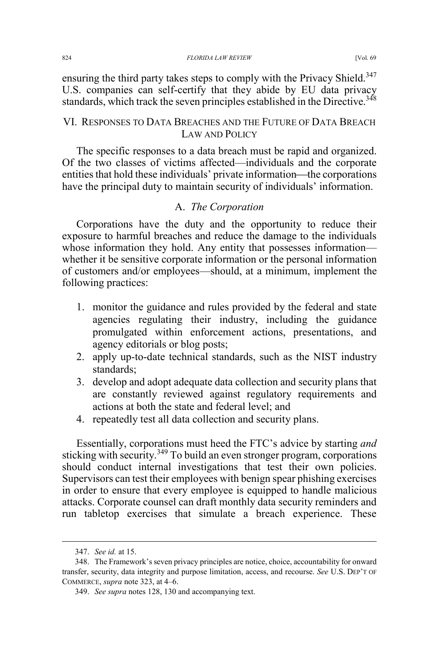ensuring the third party takes steps to comply with the Privacy Shield.<sup>347</sup> U.S. companies can self-certify that they abide by EU data privacy standards, which track the seven principles established in the Directive.<sup>348</sup>

## VI. RESPONSES TO DATA BREACHES AND THE FUTURE OF DATA BREACH LAW AND POLICY

The specific responses to a data breach must be rapid and organized. Of the two classes of victims affected—individuals and the corporate entities that hold these individuals' private information—the corporations have the principal duty to maintain security of individuals' information.

### A. *The Corporation*

Corporations have the duty and the opportunity to reduce their exposure to harmful breaches and reduce the damage to the individuals whose information they hold. Any entity that possesses information whether it be sensitive corporate information or the personal information of customers and/or employees—should, at a minimum, implement the following practices:

- 1. monitor the guidance and rules provided by the federal and state agencies regulating their industry, including the guidance promulgated within enforcement actions, presentations, and agency editorials or blog posts;
- 2. apply up-to-date technical standards, such as the NIST industry standards;
- 3. develop and adopt adequate data collection and security plans that are constantly reviewed against regulatory requirements and actions at both the state and federal level; and
- 4. repeatedly test all data collection and security plans.

Essentially, corporations must heed the FTC's advice by starting *and*  sticking with security.<sup>349</sup> To build an even stronger program, corporations should conduct internal investigations that test their own policies. Supervisors can test their employees with benign spear phishing exercises in order to ensure that every employee is equipped to handle malicious attacks. Corporate counsel can draft monthly data security reminders and run tabletop exercises that simulate a breach experience. These

 <sup>347.</sup> *See id.* at 15.

<sup>348.</sup> The Framework's seven privacy principles are notice, choice, accountability for onward transfer, security, data integrity and purpose limitation, access, and recourse. *See* U.S. DEP'T OF COMMERCE, *supra* note 323, at 4–6.

<sup>349.</sup> *See supra* notes 128, 130 and accompanying text.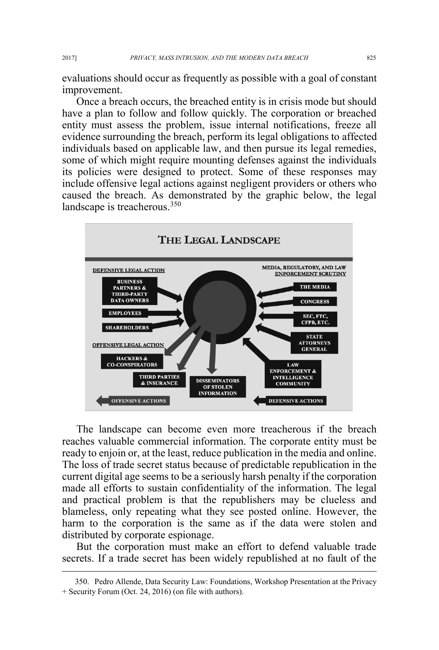evaluations should occur as frequently as possible with a goal of constant improvement.

Once a breach occurs, the breached entity is in crisis mode but should have a plan to follow and follow quickly. The corporation or breached entity must assess the problem, issue internal notifications, freeze all evidence surrounding the breach, perform its legal obligations to affected individuals based on applicable law, and then pursue its legal remedies, some of which might require mounting defenses against the individuals its policies were designed to protect. Some of these responses may include offensive legal actions against negligent providers or others who caused the breach. As demonstrated by the graphic below, the legal landscape is treacherous.<sup>350</sup>



The landscape can become even more treacherous if the breach reaches valuable commercial information. The corporate entity must be ready to enjoin or, at the least, reduce publication in the media and online. The loss of trade secret status because of predictable republication in the current digital age seems to be a seriously harsh penalty if the corporation made all efforts to sustain confidentiality of the information. The legal and practical problem is that the republishers may be clueless and blameless, only repeating what they see posted online. However, the harm to the corporation is the same as if the data were stolen and distributed by corporate espionage.

But the corporation must make an effort to defend valuable trade secrets. If a trade secret has been widely republished at no fault of the

 <sup>350.</sup> Pedro Allende, Data Security Law: Foundations, Workshop Presentation at the Privacy + Security Forum (Oct. 24, 2016) (on file with authors).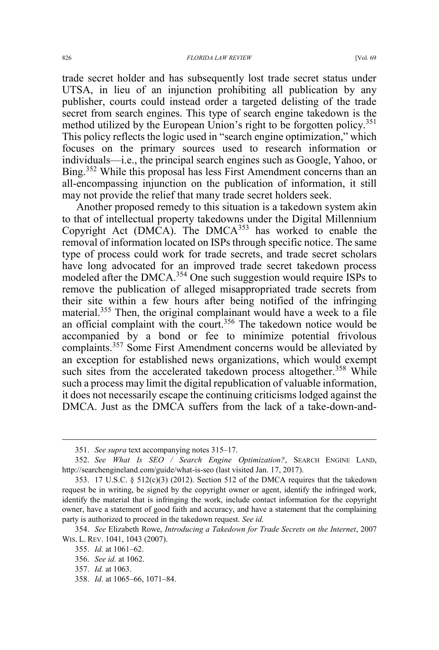trade secret holder and has subsequently lost trade secret status under UTSA, in lieu of an injunction prohibiting all publication by any publisher, courts could instead order a targeted delisting of the trade secret from search engines. This type of search engine takedown is the method utilized by the European Union's right to be forgotten policy.<sup>351</sup> This policy reflects the logic used in "search engine optimization," which focuses on the primary sources used to research information or individuals—i.e., the principal search engines such as Google, Yahoo, or Bing.<sup>352</sup> While this proposal has less First Amendment concerns than an all-encompassing injunction on the publication of information, it still may not provide the relief that many trade secret holders seek.

Another proposed remedy to this situation is a takedown system akin to that of intellectual property takedowns under the Digital Millennium Copyright Act (DMCA). The  $DMCA^{353}$  has worked to enable the removal of information located on ISPs through specific notice. The same type of process could work for trade secrets, and trade secret scholars have long advocated for an improved trade secret takedown process modeled after the DMCA.<sup>354</sup> One such suggestion would require ISPs to remove the publication of alleged misappropriated trade secrets from their site within a few hours after being notified of the infringing material.<sup>355</sup> Then, the original complainant would have a week to a file an official complaint with the court.<sup>356</sup> The takedown notice would be accompanied by a bond or fee to minimize potential frivolous complaints.<sup>357</sup> Some First Amendment concerns would be alleviated by an exception for established news organizations, which would exempt such sites from the accelerated takedown process altogether.<sup>358</sup> While such a process may limit the digital republication of valuable information, it does not necessarily escape the continuing criticisms lodged against the DMCA. Just as the DMCA suffers from the lack of a take-down-and-

358. *Id.* at 1065–66, 1071–84.

 <sup>351.</sup> *See supra* text accompanying notes 315–17.

<sup>352.</sup> *See What Is SEO / Search Engine Optimization?*, SEARCH ENGINE LAND, http://searchengineland.com/guide/what-is-seo (last visited Jan. 17, 2017).

<sup>353. 17</sup> U.S.C.  $\S$  512(c)(3) (2012). Section 512 of the DMCA requires that the takedown request be in writing, be signed by the copyright owner or agent, identify the infringed work, identify the material that is infringing the work, include contact information for the copyright owner, have a statement of good faith and accuracy, and have a statement that the complaining party is authorized to proceed in the takedown request. *See id.*

<sup>354.</sup> *See* Elizabeth Rowe, *Introducing a Takedown for Trade Secrets on the Internet*, 2007 WIS. L. REV. 1041, 1043 (2007).

<sup>355.</sup> *Id.* at 1061–62.

<sup>356.</sup> *See id.* at 1062.

<sup>357.</sup> *Id.* at 1063.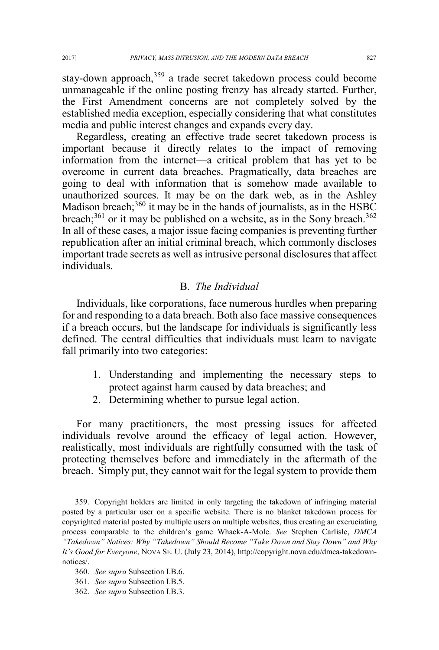stay-down approach,<sup>359</sup> a trade secret takedown process could become unmanageable if the online posting frenzy has already started. Further, the First Amendment concerns are not completely solved by the established media exception, especially considering that what constitutes media and public interest changes and expands every day.

Regardless, creating an effective trade secret takedown process is important because it directly relates to the impact of removing information from the internet—a critical problem that has yet to be overcome in current data breaches. Pragmatically, data breaches are going to deal with information that is somehow made available to unauthorized sources. It may be on the dark web, as in the Ashley Madison breach; $360$  it may be in the hands of journalists, as in the HSBC breach; $^{361}$  or it may be published on a website, as in the Sony breach. $^{362}$ In all of these cases, a major issue facing companies is preventing further republication after an initial criminal breach, which commonly discloses important trade secrets as well as intrusive personal disclosures that affect individuals.

#### B. *The Individual*

Individuals, like corporations, face numerous hurdles when preparing for and responding to a data breach. Both also face massive consequences if a breach occurs, but the landscape for individuals is significantly less defined. The central difficulties that individuals must learn to navigate fall primarily into two categories:

- 1. Understanding and implementing the necessary steps to protect against harm caused by data breaches; and
- 2. Determining whether to pursue legal action.

For many practitioners, the most pressing issues for affected individuals revolve around the efficacy of legal action. However, realistically, most individuals are rightfully consumed with the task of protecting themselves before and immediately in the aftermath of the breach. Simply put, they cannot wait for the legal system to provide them

 <sup>359.</sup> Copyright holders are limited in only targeting the takedown of infringing material posted by a particular user on a specific website. There is no blanket takedown process for copyrighted material posted by multiple users on multiple websites, thus creating an excruciating process comparable to the children's game Whack-A-Mole. *See* Stephen Carlisle, *DMCA "Takedown" Notices: Why "Takedown" Should Become "Take Down and Stay Down" and Why It's Good for Everyone*, NOVA SE. U. (July 23, 2014), http://copyright.nova.edu/dmca-takedownnotices/.

<sup>360.</sup> *See supra* Subsection I.B.6.

<sup>361.</sup> *See supra* Subsection I.B.5.

<sup>362.</sup> *See supra* Subsection I.B.3.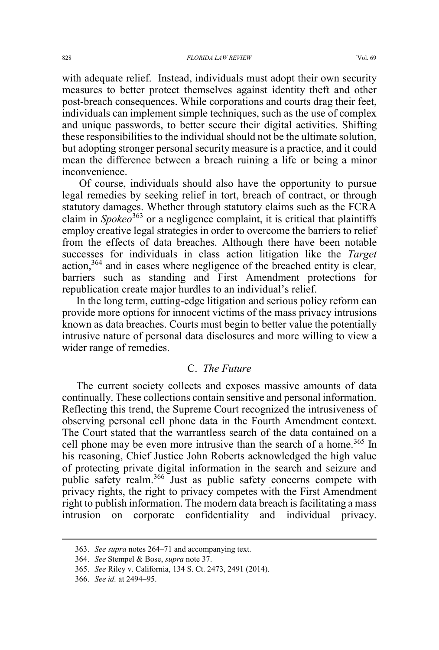with adequate relief. Instead, individuals must adopt their own security measures to better protect themselves against identity theft and other post-breach consequences. While corporations and courts drag their feet, individuals can implement simple techniques, such as the use of complex and unique passwords, to better secure their digital activities. Shifting these responsibilities to the individual should not be the ultimate solution, but adopting stronger personal security measure is a practice, and it could mean the difference between a breach ruining a life or being a minor inconvenience.

Of course, individuals should also have the opportunity to pursue legal remedies by seeking relief in tort, breach of contract, or through statutory damages. Whether through statutory claims such as the FCRA claim in *Spokeo*<sup>363</sup> or a negligence complaint, it is critical that plaintiffs employ creative legal strategies in order to overcome the barriers to relief from the effects of data breaches. Although there have been notable successes for individuals in class action litigation like the *Target* action,364 and in cases where negligence of the breached entity is clear*,* barriers such as standing and First Amendment protections for republication create major hurdles to an individual's relief.

In the long term, cutting-edge litigation and serious policy reform can provide more options for innocent victims of the mass privacy intrusions known as data breaches. Courts must begin to better value the potentially intrusive nature of personal data disclosures and more willing to view a wider range of remedies.

### C. *The Future*

The current society collects and exposes massive amounts of data continually. These collections contain sensitive and personal information. Reflecting this trend, the Supreme Court recognized the intrusiveness of observing personal cell phone data in the Fourth Amendment context. The Court stated that the warrantless search of the data contained on a cell phone may be even more intrusive than the search of a home.<sup>365</sup> In his reasoning, Chief Justice John Roberts acknowledged the high value of protecting private digital information in the search and seizure and public safety realm.<sup>366</sup> Just as public safety concerns compete with privacy rights, the right to privacy competes with the First Amendment right to publish information. The modern data breach is facilitating a mass intrusion on corporate confidentiality and individual privacy.

 <sup>363.</sup> *See supra* notes 264–71 and accompanying text.

<sup>364.</sup> *See* Stempel & Bose, *supra* note 37.

<sup>365.</sup> *See* Riley v. California, 134 S. Ct. 2473, 2491 (2014).

<sup>366.</sup> *See id.* at 2494–95.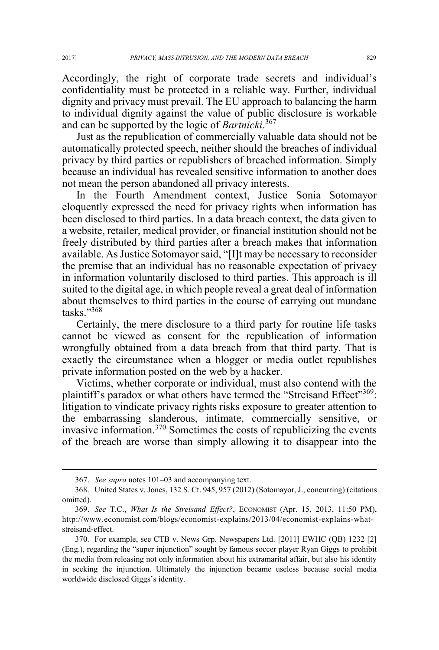Accordingly, the right of corporate trade secrets and individual's confidentiality must be protected in a reliable way. Further, individual dignity and privacy must prevail. The EU approach to balancing the harm to individual dignity against the value of public disclosure is workable and can be supported by the logic of *Bartnicki*. 367

Just as the republication of commercially valuable data should not be automatically protected speech, neither should the breaches of individual privacy by third parties or republishers of breached information. Simply because an individual has revealed sensitive information to another does not mean the person abandoned all privacy interests.

In the Fourth Amendment context, Justice Sonia Sotomayor eloquently expressed the need for privacy rights when information has been disclosed to third parties. In a data breach context, the data given to a website, retailer, medical provider, or financial institution should not be freely distributed by third parties after a breach makes that information available. As Justice Sotomayor said, "[I]t may be necessary to reconsider the premise that an individual has no reasonable expectation of privacy in information voluntarily disclosed to third parties. This approach is ill suited to the digital age, in which people reveal a great deal of information about themselves to third parties in the course of carrying out mundane tasks."<sup>368</sup>

Certainly, the mere disclosure to a third party for routine life tasks cannot be viewed as consent for the republication of information wrongfully obtained from a data breach from that third party. That is exactly the circumstance when a blogger or media outlet republishes private information posted on the web by a hacker.

Victims, whether corporate or individual, must also contend with the plaintiff's paradox or what others have termed the "Streisand Effect"<sup>369</sup>: litigation to vindicate privacy rights risks exposure to greater attention to the embarrassing slanderous, intimate, commercially sensitive, or invasive information.<sup>370</sup> Sometimes the costs of republicizing the events of the breach are worse than simply allowing it to disappear into the

 <sup>367.</sup> *See supra* notes 101–03 and accompanying text.

<sup>368.</sup> United States v. Jones, 132 S. Ct. 945, 957 (2012) (Sotomayor, J., concurring) (citations omitted).

<sup>369.</sup> *See* T.C., *What Is the Streisand Effect?*, ECONOMIST (Apr. 15, 2013, 11:50 PM), http://www.economist.com/blogs/economist-explains/2013/04/economist-explains-whatstreisand-effect.

<sup>370.</sup> For example, see CTB v. News Grp. Newspapers Ltd. [2011] EWHC (QB) 1232 [2] (Eng.), regarding the "super injunction" sought by famous soccer player Ryan Giggs to prohibit the media from releasing not only information about his extramarital affair, but also his identity in seeking the injunction. Ultimately the injunction became useless because social media worldwide disclosed Giggs's identity.